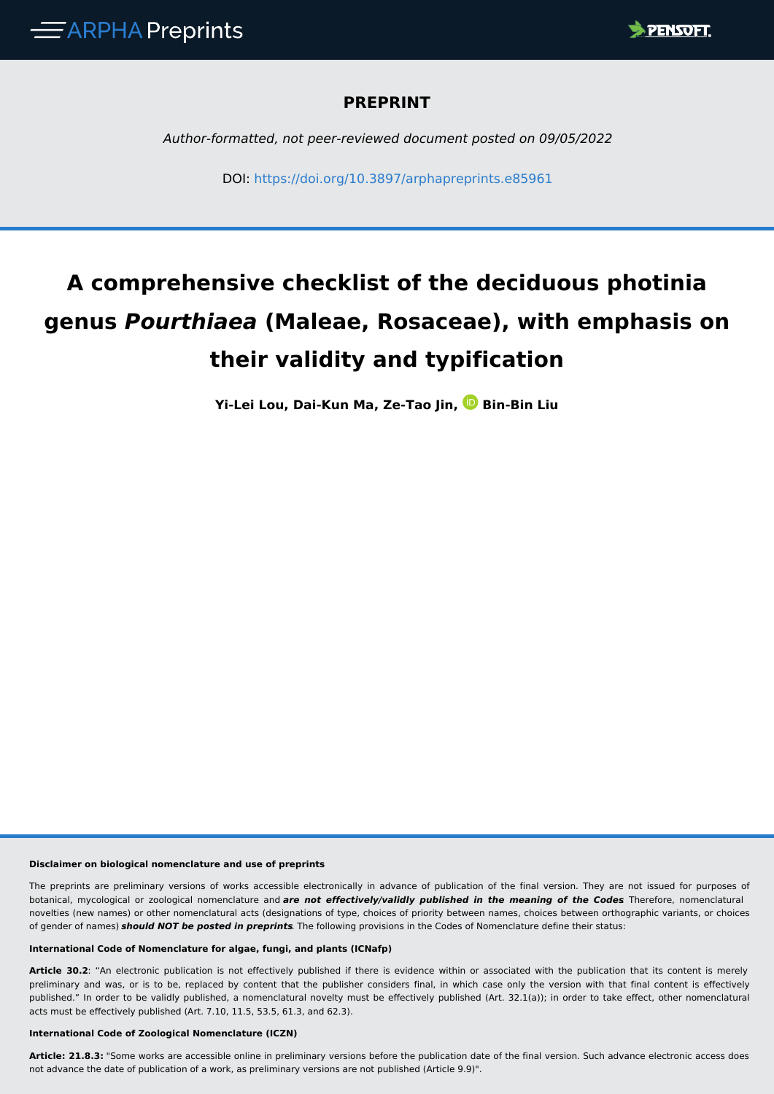

## **PREPRINT**

*Author-formatted, not peer-reviewed document posted on 09/05/2022*

DOI: <https://doi.org/10.3897/arphapreprints.e85961>

# **A comprehensive checklist of the deciduous photinia genus** *Pourthiaea* **(Maleae, Rosaceae), with emphasis on their validity and typification**

**Yi-Lei Lou, Dai-Kun Ma, Ze-Tao Jin, Bin-Bin Liu**

#### **Disclaimer on biological nomenclature and use of preprints**

The preprints are preliminary versions of works accessible electronically in advance of publication of the final version. They are not issued for purposes of botanical, mycological or zoological nomenclature and *are not effectively/validly published in the meaning of the Codes*. Therefore, nomenclatural novelties (new names) or other nomenclatural acts (designations of type, choices of priority between names, choices between orthographic variants, or choices of gender of names) *should NOT be posted in preprints*. The following provisions in the Codes of Nomenclature define their status:

#### **International Code of Nomenclature for algae, fungi, and plants (ICNafp)**

**Article 30.2**: "An electronic publication is not effectively published if there is evidence within or associated with the publication that its content is merely preliminary and was, or is to be, replaced by content that the publisher considers final, in which case only the version with that final content is effectively published." In order to be validly published, a nomenclatural novelty must be effectively published (Art. 32.1(a)); in order to take effect, other nomenclatural acts must be effectively published (Art. 7.10, 11.5, 53.5, 61.3, and 62.3).

#### **International Code of Zoological Nomenclature (ICZN)**

**Article: 21.8.3:** "Some works are accessible online in preliminary versions before the publication date of the final version. Such advance electronic access does not advance the date of publication of a work, as preliminary versions are not published (Article 9.9)".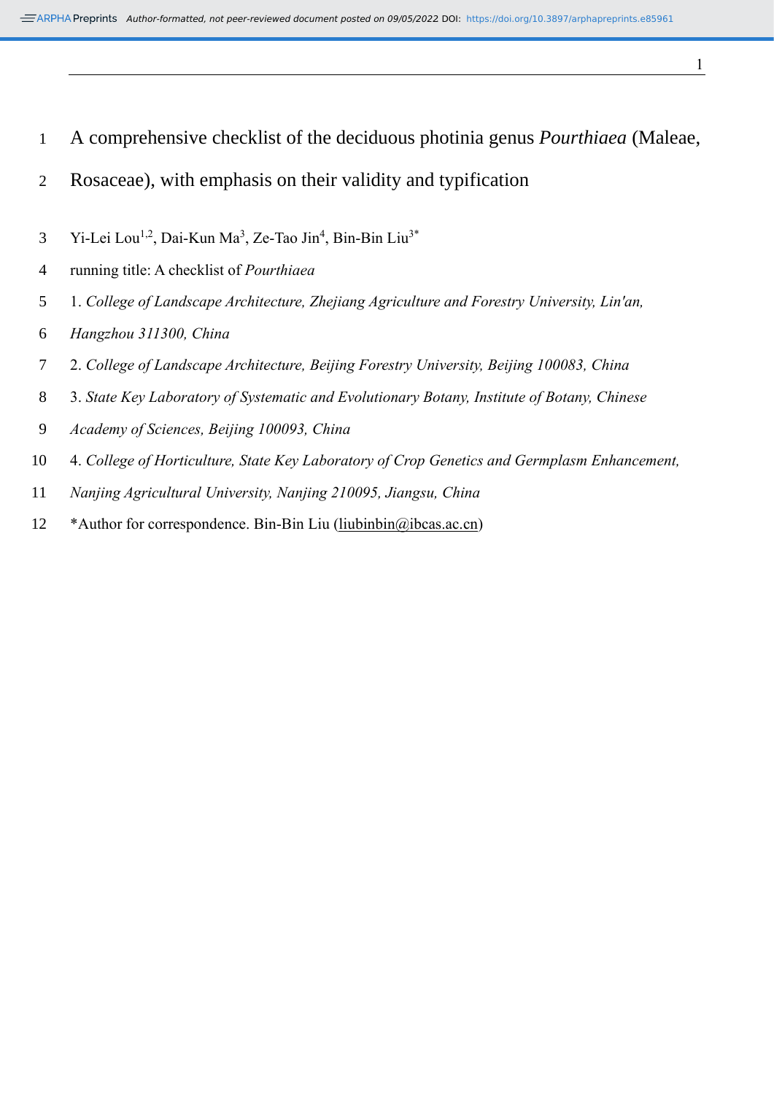- A comprehensive checklist of the deciduous photinia genus *Pourthiaea* (Maleae,
- Rosaceae), with emphasis on their validity and typification
- Yi-Lei Lou<sup>1,2</sup>, Dai-Kun Ma<sup>3</sup>, Ze-Tao Jin<sup>4</sup>, Bin-Bin Liu<sup>3\*</sup>
- running title: A checklist of *Pourthiaea*
- 1. *College of Landscape Architecture, Zhejiang Agriculture and Forestry University, Lin'an,*
- *Hangzhou 311300, China*
- 2. *College of Landscape Architecture, Beijing Forestry University, Beijing 100083, China*
- 3. *State Key Laboratory of Systematic and Evolutionary Botany, Institute of Botany, Chinese*
- *Academy of Sciences, Beijing 100093, China*
- 4. *College of Horticulture, State Key Laboratory of Crop Genetics and Germplasm Enhancement,*
- *Nanjing Agricultural University, Nanjing 210095, Jiangsu, China*
- \*Author for correspondence. Bin-Bin Liu [\(liubinbin@ibcas.ac.cn\)](mailto:liubinbin@ibcas.ac.cn)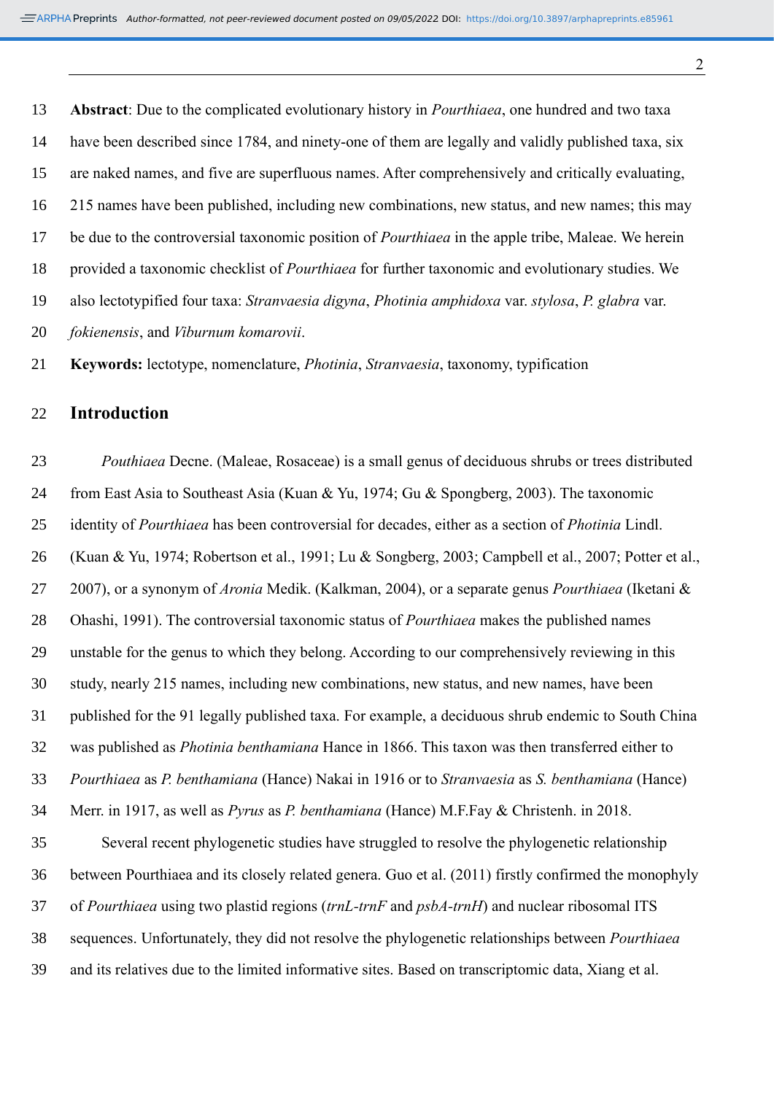**Abstract**: Due to the complicated evolutionary history in *Pourthiaea*, one hundred and two taxa have been described since 1784, and ninety-one of them are legally and validly published taxa, six are naked names, and five are superfluous names. After comprehensively and critically evaluating, 215 names have been published, including new combinations, new status, and new names; this may be due to the controversial taxonomic position of *Pourthiaea* in the apple tribe, Maleae. We herein provided a taxonomic checklist of *Pourthiaea* for further taxonomic and evolutionary studies. We also lectotypified four taxa: *Stranvaesia digyna*, *Photinia amphidoxa* var. *stylosa*, *P. glabra* var. *fokienensis*, and *Viburnum komarovii*.

**Keywords:** lectotype, nomenclature, *Photinia*, *Stranvaesia*, taxonomy, typification

# **Introduction**

 *Pouthiaea* Decne. (Maleae, Rosaceae) is a small genus of deciduous shrubs or trees distributed from East Asia to Southeast Asia (Kuan & Yu, 1974; Gu & Spongberg, 2003). The taxonomic identity of *Pourthiaea* has been controversial for decades, either as a section of *Photinia* Lindl. (Kuan & Yu, 1974; Robertson et al., 1991; Lu & Songberg, 2003; Campbell et al., 2007; Potter et al., 2007), or a synonym of *Aronia* Medik. (Kalkman, 2004), or a separate genus *Pourthiaea* (Iketani & Ohashi, 1991). The controversial taxonomic status of *Pourthiaea* makes the published names unstable for the genus to which they belong. According to our comprehensively reviewing in this study, nearly 215 names, including new combinations, new status, and new names, have been published for the 91 legally published taxa. For example, a deciduous shrub endemic to South China was published as *Photinia benthamiana* Hance in 1866. This taxon was then transferred either to *Pourthiaea* as *P. benthamiana* (Hance) Nakai in 1916 or to *Stranvaesia* as *S. benthamiana* (Hance) Merr. in 1917, as well as *Pyrus* as *P. benthamiana* (Hance) M.F.Fay & Christenh. in 2018. Several recent phylogenetic studies have struggled to resolve the phylogenetic relationship between Pourthiaea and its closely related genera. Guo et al. (2011) firstly confirmed the monophyly of *Pourthiaea* using two plastid regions (*trnL-trnF* and *psbA-trnH*) and nuclear ribosomal ITS sequences. Unfortunately, they did not resolve the phylogenetic relationships between *Pourthiaea* and its relatives due to the limited informative sites. Based on transcriptomic data, Xiang et al.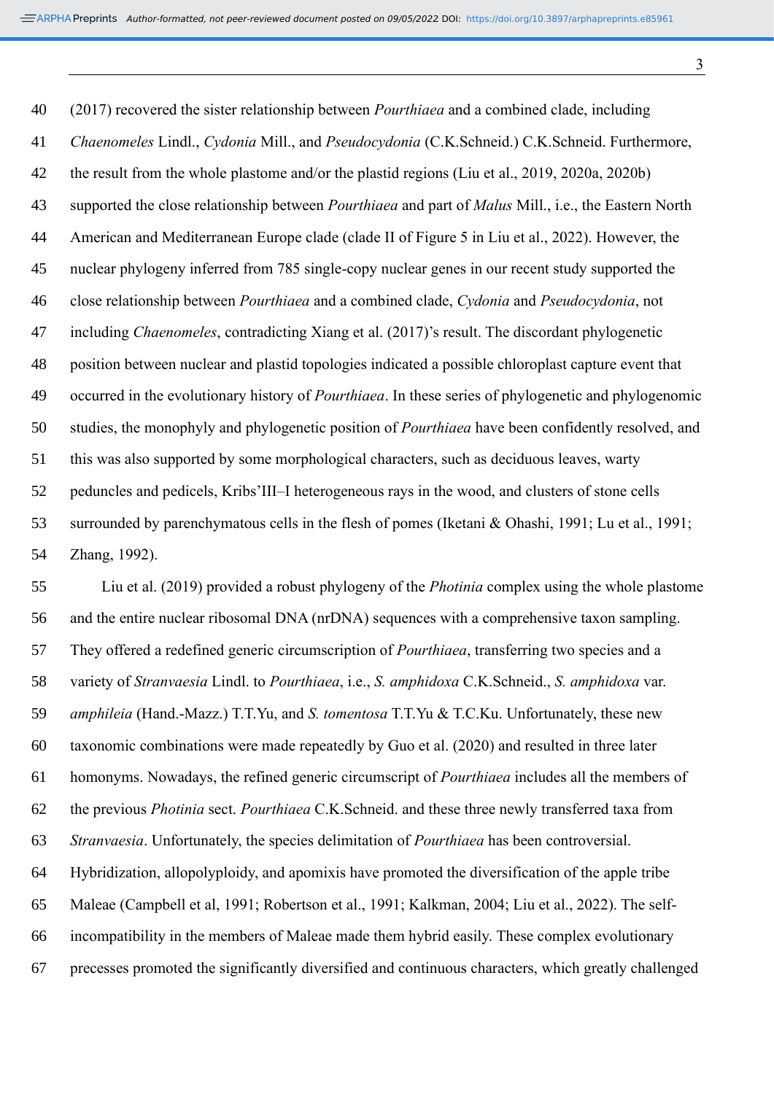(2017) recovered the sister relationship between *Pourthiaea* and a combined clade, including *Chaenomeles* Lindl., *Cydonia* Mill., and *Pseudocydonia* (C.K.Schneid.) C.K.Schneid. Furthermore, the result from the whole plastome and/or the plastid regions (Liu et al., 2019, 2020a, 2020b) supported the close relationship between *Pourthiaea* and part of *Malus* Mill., i.e., the Eastern North American and Mediterranean Europe clade (clade II of Figure 5 in Liu et al., 2022). However, the nuclear phylogeny inferred from 785 single-copy nuclear genes in our recent study supported the close relationship between *Pourthiaea* and a combined clade, *Cydonia* and *Pseudocydonia*, not including *Chaenomeles*, contradicting Xiang et al. (2017)'s result. The discordant phylogenetic position between nuclear and plastid topologies indicated a possible chloroplast capture event that occurred in the evolutionary history of *Pourthiaea*. In these series of phylogenetic and phylogenomic studies, the monophyly and phylogenetic position of *Pourthiaea* have been confidently resolved, and this was also supported by some morphological characters, such as deciduous leaves, warty peduncles and pedicels, Kribs'III–I heterogeneous rays in the wood, and clusters of stone cells surrounded by parenchymatous cells in the flesh of pomes (Iketani & Ohashi, 1991; Lu et al., 1991; Zhang, 1992).

 Liu et al. (2019) provided a robust phylogeny of the *Photinia* complex using the whole plastome and the entire nuclear ribosomal DNA (nrDNA) sequences with a comprehensive taxon sampling. They offered a redefined generic circumscription of *Pourthiaea*, transferring two species and a variety of *Stranvaesia* Lindl. to *Pourthiaea*, i.e., *S. amphidoxa* C.K.Schneid., *S. amphidoxa* var. *amphileia* (Hand.-Mazz.) T.T.Yu, and *S. tomentosa* T.T.Yu & T.C.Ku. Unfortunately, these new taxonomic combinations were made repeatedly by Guo et al. (2020) and resulted in three later homonyms. Nowadays, the refined generic circumscript of *Pourthiaea* includes all the members of the previous *Photinia* sect. *Pourthiaea* C.K.Schneid. and these three newly transferred taxa from *Stranvaesia*. Unfortunately, the species delimitation of *Pourthiaea* has been controversial. Hybridization, allopolyploidy, and apomixis have promoted the diversification of the apple tribe Maleae (Campbell et al, 1991; Robertson et al., 1991; Kalkman, 2004; Liu et al., 2022). The self- incompatibility in the members of Maleae made them hybrid easily. These complex evolutionary precesses promoted the significantly diversified and continuous characters, which greatly challenged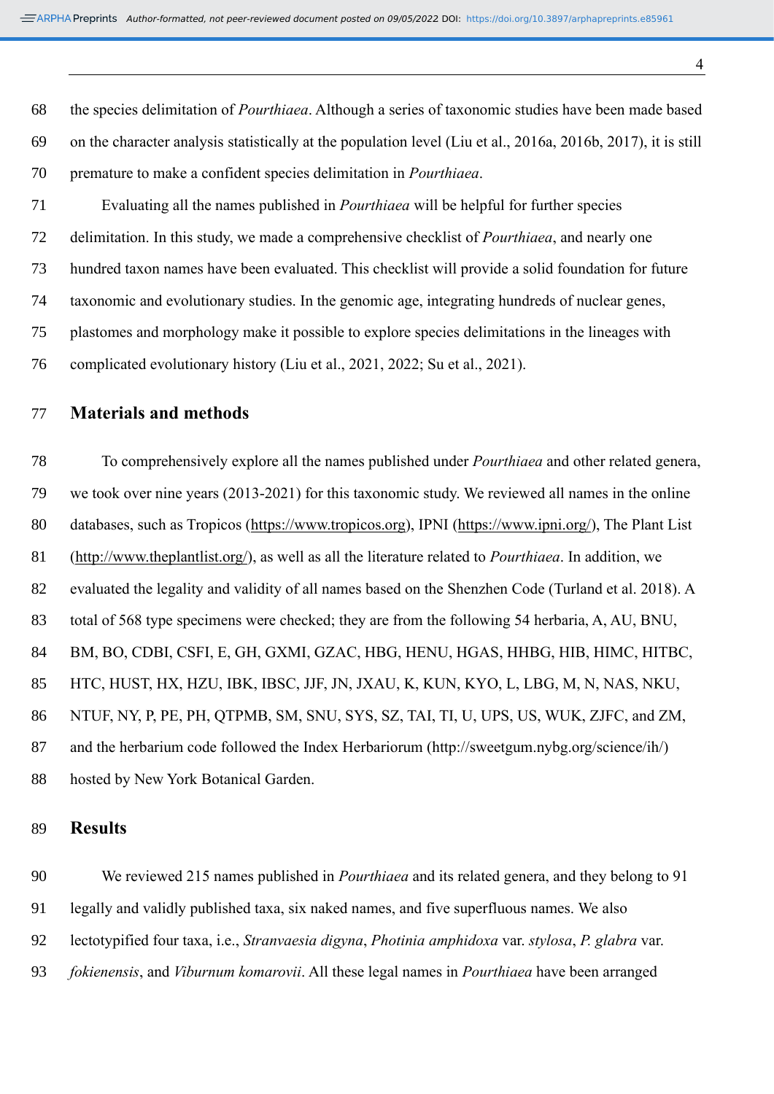the species delimitation of *Pourthiaea*. Although a series of taxonomic studies have been made based on the character analysis statistically at the population level (Liu et al., 2016a, 2016b, 2017), it is still premature to make a confident species delimitation in *Pourthiaea*.

 Evaluating all the names published in *Pourthiaea* will be helpful for further species delimitation. In this study, we made a comprehensive checklist of *Pourthiaea*, and nearly one hundred taxon names have been evaluated. This checklist will provide a solid foundation for future taxonomic and evolutionary studies. In the genomic age, integrating hundreds of nuclear genes, plastomes and morphology make it possible to explore species delimitations in the lineages with complicated evolutionary history (Liu et al., 2021, 2022; Su et al., 2021).

### **Materials and methods**

 To comprehensively explore all the names published under *Pourthiaea* and other related genera, we took over nine years (2013-2021) for this taxonomic study. We reviewed all names in the online databases, such as Tropicos [\(https://www.tropicos.org\)](https://www.tropicos.org/), IPNI [\(https://www.ipni.org/\)](https://www.ipni.org/), The Plant List [\(http://www.theplantlist.org/\)](http://www.theplantlist.org/), as well as all the literature related to *Pourthiaea*. In addition, we evaluated the legality and validity of all names based on the Shenzhen Code (Turland et al. 2018). A total of 568 type specimens were checked; they are from the following 54 herbaria, A, AU, BNU, BM, BO, CDBI, CSFI, E, GH, GXMI, GZAC, HBG, HENU, HGAS, HHBG, HIB, HIMC, HITBC, HTC, HUST, HX, HZU, IBK, IBSC, JJF, JN, JXAU, K, KUN, KYO, L, LBG, M, N, NAS, NKU, NTUF, NY, P, PE, PH, QTPMB, SM, SNU, SYS, SZ, TAI, TI, U, UPS, US, WUK, ZJFC, and ZM, and the herbarium code followed the Index Herbariorum (http://sweetgum.nybg.org/science/ih/) hosted by New York Botanical Garden.

#### **Results**

 We reviewed 215 names published in *Pourthiaea* and its related genera, and they belong to 91 legally and validly published taxa, six naked names, and five superfluous names. We also lectotypified four taxa, i.e., *Stranvaesia digyna*, *Photinia amphidoxa* var. *stylosa*, *P. glabra* var. *fokienensis*, and *Viburnum komarovii*. All these legal names in *Pourthiaea* have been arranged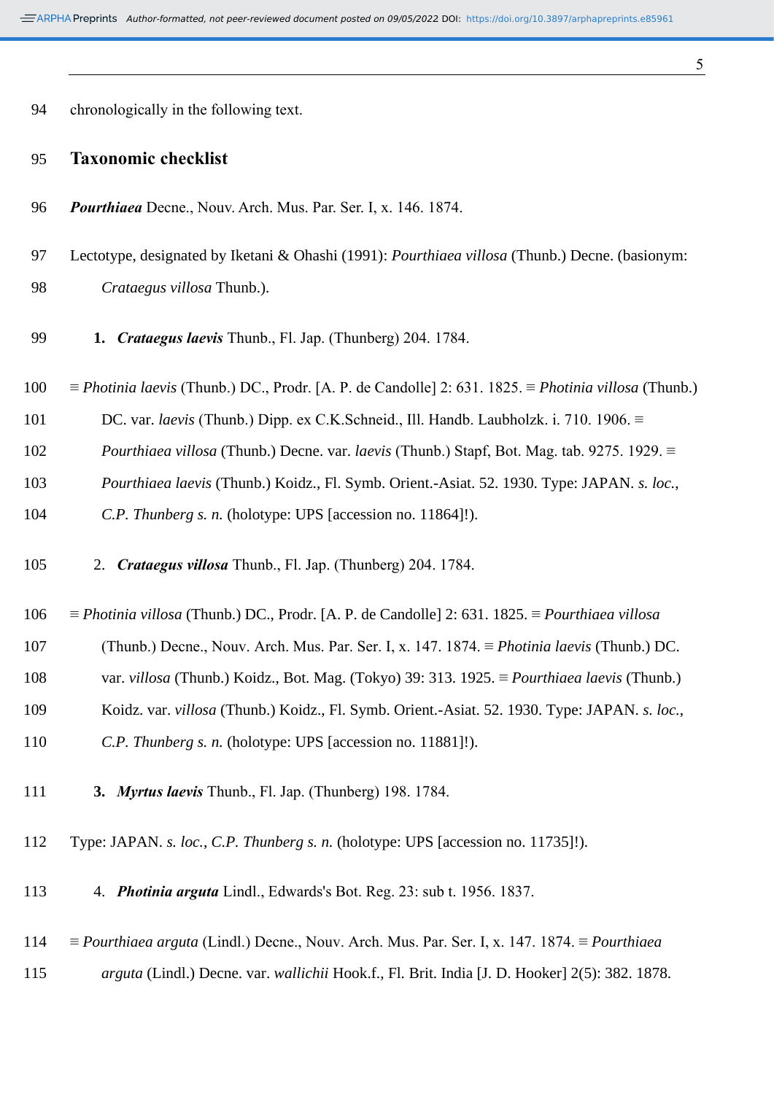|   | ٦ |    |        |  |
|---|---|----|--------|--|
|   |   |    |        |  |
|   |   |    |        |  |
|   |   | I  | I<br>I |  |
| × | v | ۰. |        |  |

| 94 |  |                                        |  |
|----|--|----------------------------------------|--|
|    |  | chronologically in the following text. |  |

## **Taxonomic checklist**

- *Pourthiaea* Decne., Nouv. Arch. Mus. Par. Ser. I, x. 146. 1874.
- Lectotype, designated by Iketani & Ohashi (1991): *Pourthiaea villosa* (Thunb.) Decne. (basionym: *Crataegus villosa* Thunb.).
- **1.** *Crataegus laevis* Thunb., Fl. Jap. (Thunberg) 204. 1784.
- ≡ *Photinia laevis* (Thunb.) DC., Prodr. [A. P. de Candolle] 2: 631. 1825. ≡ *Photinia villosa* (Thunb.)
- DC. var. *laevis* (Thunb.) Dipp. ex C.K.Schneid., Ill. Handb. Laubholzk. i. 710. 1906. ≡
- *Pourthiaea villosa* (Thunb.) Decne. var. *laevis* (Thunb.) Stapf, Bot. Mag. tab. 9275. 1929. ≡
- *Pourthiaea laevis* (Thunb.) Koidz., Fl. Symb. Orient.-Asiat. 52. 1930. Type: JAPAN. *s. loc.*,

*C.P. Thunberg s. n.* (holotype: UPS [accession no. 11864]!).

- 2. *Crataegus villosa* Thunb., Fl. Jap. (Thunberg) 204. 1784.
- ≡ *Photinia villosa* (Thunb.) DC., Prodr. [A. P. de Candolle] 2: 631. 1825. ≡ *Pourthiaea villosa*
- (Thunb.) Decne., Nouv. Arch. Mus. Par. Ser. I, x. 147. 1874. ≡ *Photinia laevis* (Thunb.) DC.
- var. *villosa* (Thunb.) Koidz., Bot. Mag. (Tokyo) 39: 313. 1925. ≡ *Pourthiaea laevis* (Thunb.)
- Koidz. var. *villosa* (Thunb.) Koidz., Fl. Symb. Orient.-Asiat. 52. 1930. Type: JAPAN. *s. loc.*,
- *C.P. Thunberg s. n.* (holotype: UPS [accession no. 11881]!).
- **3.** *Myrtus laevis* Thunb., Fl. Jap. (Thunberg) 198. 1784.
- Type: JAPAN. *s. loc.*, *C.P. Thunberg s. n.* (holotype: UPS [accession no. 11735]!).
- 4. *Photinia arguta* Lindl., Edwards's Bot. Reg. 23: sub t. 1956. 1837.
- ≡ *Pourthiaea arguta* (Lindl.) Decne., Nouv. Arch. Mus. Par. Ser. I, x. 147. 1874. ≡ *Pourthiaea*
- *arguta* (Lindl.) Decne. var. *wallichii* Hook.f., Fl. Brit. India [J. D. Hooker] 2(5): 382. 1878.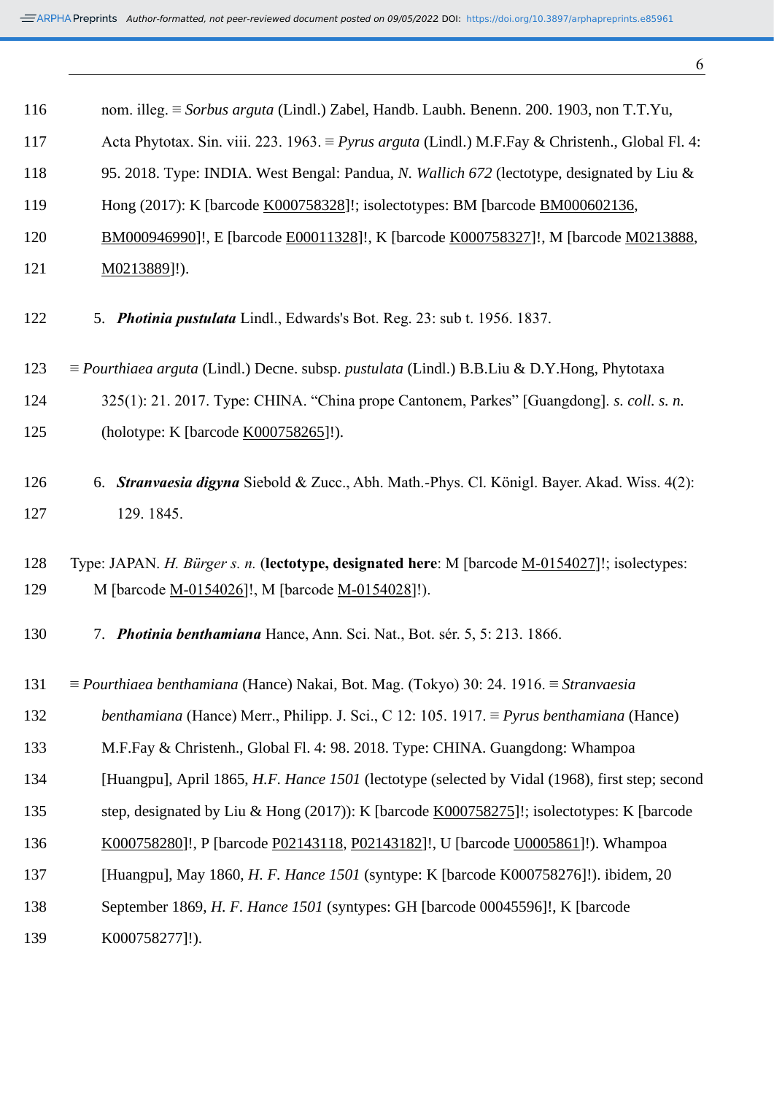| 116 | nom. illeg. $\equiv$ Sorbus arguta (Lindl.) Zabel, Handb. Laubh. Benenn. 200. 1903, non T.T.Yu,                   |
|-----|-------------------------------------------------------------------------------------------------------------------|
| 117 | Acta Phytotax. Sin. viii. 223. 1963. $\equiv Pyrus arguta$ (Lindl.) M.F. Fay & Christenh., Global Fl. 4:          |
| 118 | 95. 2018. Type: INDIA. West Bengal: Pandua, N. Wallich 672 (lectotype, designated by Liu &                        |
| 119 | Hong (2017): K [barcode K000758328]!; isolectotypes: BM [barcode BM000602136,                                     |
| 120 | BM000946990]!, E [barcode E00011328]!, K [barcode K000758327]!, M [barcode M0213888,                              |
| 121 | $M0213889$ ]!).                                                                                                   |
| 122 | 5. Photinia pustulata Lindl., Edwards's Bot. Reg. 23: sub t. 1956. 1837.                                          |
| 123 | $\equiv$ Pourthiaea arguta (Lindl.) Decne. subsp. pustulata (Lindl.) B.B.Liu & D.Y.Hong, Phytotaxa                |
| 124 | 325(1): 21. 2017. Type: CHINA. "China prope Cantonem, Parkes" [Guangdong]. s. coll. s. n.                         |
| 125 | (holotype: K [barcode K000758265]!).                                                                              |
| 126 | 6. Stranvaesia digyna Siebold & Zucc., Abh. Math.-Phys. Cl. Königl. Bayer. Akad. Wiss. 4(2):                      |
| 127 | 129. 1845.                                                                                                        |
| 128 | Type: JAPAN. H. Bürger s. n. (lectotype, designated here: M [barcode M-0154027]!; isolectypes:                    |
| 129 | M [barcode <u>M-0154026</u> ]!, M [barcode <u>M-0154028</u> ]!).                                                  |
| 130 | 7. Photinia benthamiana Hance, Ann. Sci. Nat., Bot. sér. 5, 5: 213. 1866.                                         |
| 131 | $\equiv$ <i>Pourthiaea benthamiana</i> (Hance) Nakai, Bot. Mag. (Tokyo) 30: 24. 1916. $\equiv$ <i>Stranvaesia</i> |
| 132 | <i>benthamiana</i> (Hance) Merr., Philipp. J. Sci., C 12: 105. 1917. $\equiv$ <i>Pyrus benthamiana</i> (Hance)    |
| 133 | M.F.Fay & Christenh., Global Fl. 4: 98. 2018. Type: CHINA. Guangdong: Whampoa                                     |
| 134 | [Huangpu], April 1865, H.F. Hance 1501 (lectotype (selected by Vidal (1968), first step; second                   |
| 135 | step, designated by Liu & Hong (2017)): K [barcode K000758275]!; isolectotypes: K [barcode                        |
| 136 | K000758280]!, P [barcode P02143118, P02143182]!, U [barcode U0005861]!). Whampoa                                  |
| 137 | [Huangpu], May 1860, H. F. Hance 1501 (syntype: K [barcode K000758276]!). ibidem, 20                              |
| 138 | September 1869, H. F. Hance 1501 (syntypes: GH [barcode 00045596]!, K [barcode                                    |
| 139 | K000758277]!).                                                                                                    |
|     |                                                                                                                   |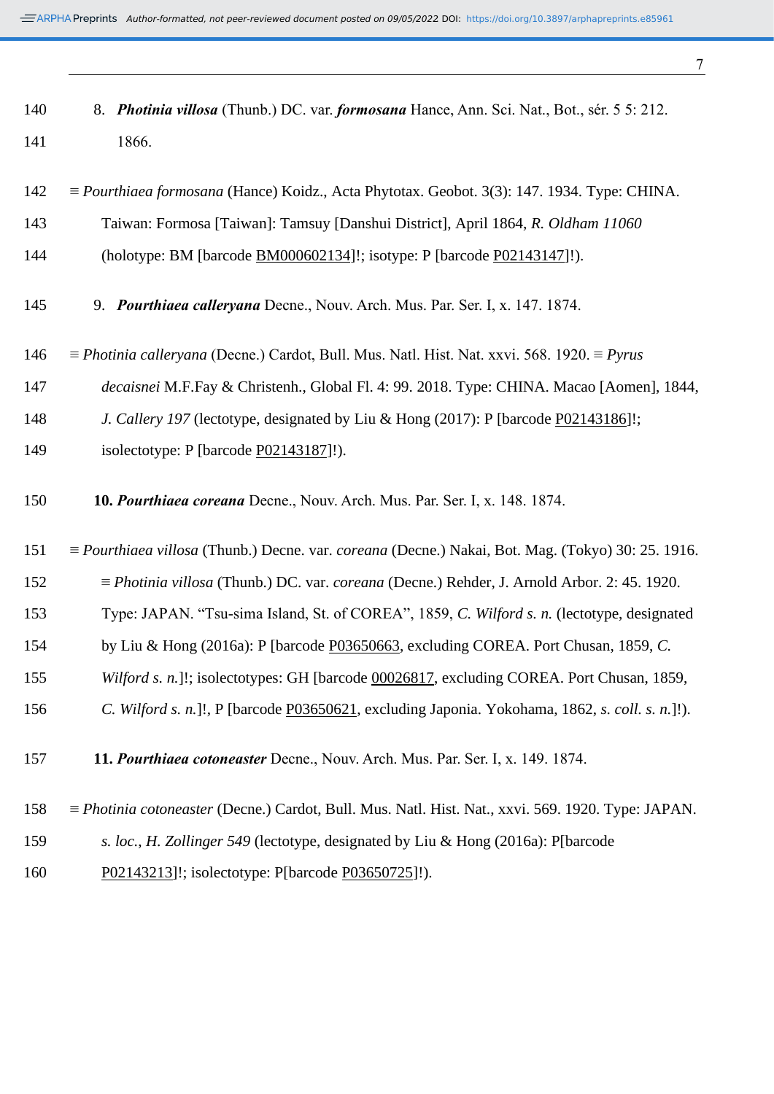| 140 | 8. <i>Photinia villosa</i> (Thunb.) DC. var. <i>formosana</i> Hance, Ann. Sci. Nat., Bot., sér. 5 5: 212.               |
|-----|-------------------------------------------------------------------------------------------------------------------------|
| 141 | 1866.                                                                                                                   |
| 142 | $\equiv$ <i>Pourthiaea formosana</i> (Hance) Koidz., Acta Phytotax. Geobot. 3(3): 147. 1934. Type: CHINA.               |
| 143 | Taiwan: Formosa [Taiwan]: Tamsuy [Danshui District], April 1864, R. Oldham 11060                                        |
| 144 | (holotype: BM [barcode BM000602134]!; isotype: P [barcode P02143147]!).                                                 |
| 145 | 9. Pourthiaea calleryana Decne., Nouv. Arch. Mus. Par. Ser. I, x. 147. 1874.                                            |
| 146 | $\equiv$ <i>Photinia calleryana</i> (Decne.) Cardot, Bull. Mus. Natl. Hist. Nat. xxvi. 568. 1920. $\equiv$ <i>Pyrus</i> |
| 147 | decaisnei M.F.Fay & Christenh., Global Fl. 4: 99. 2018. Type: CHINA. Macao [Aomen], 1844,                               |

- *J. Callery 197* (lectotype, designated by Liu & Hong (2017): P [barcode [P02143186\]](https://plants.jstor.org/stable/10.5555/al.ap.specimen.p02143186?searchUri=filter%3Dfree_text%26so%3Dps_group_by_genus_species%2Basc%26Query%3DP02143186)!;
- isolectotype: P [barcode [P02143187\]](https://plants.jstor.org/stable/10.5555/al.ap.specimen.p02143187?searchUri=filter%3Dfree_text%26so%3Dps_group_by_genus_species%2Basc%26Query%3DP02143187)!).
- **10.** *Pourthiaea coreana* Decne., Nouv. Arch. Mus. Par. Ser. I, x. 148. 1874.
- ≡ *Pourthiaea villosa* (Thunb.) Decne. var. *coreana* (Decne.) Nakai, Bot. Mag. (Tokyo) 30: 25. 1916.
- ≡ *Photinia villosa* (Thunb.) DC. var. *coreana* (Decne.) Rehder, J. Arnold Arbor. 2: 45. 1920.
- Type: JAPAN. "Tsu-sima Island, St. of COREA", 1859, *C. Wilford s. n.* (lectotype, designated
- by Liu & Hong (2016a): P [barcode [P03650663,](https://science.mnhn.fr/institution/mnhn/collection/p/item/p03650663) excluding COREA. Port Chusan, 1859, *C.*
- *Wilford s. n.*]!; isolectotypes: GH [barcode [00026817,](https://plants.jstor.org/stable/10.5555/al.ap.specimen.gh00026817?searchUri=filter%3Dfree_text%26so%3Dps_group_by_genus_species%2Basc%26Query%3DGH00026817) excluding COREA. Port Chusan, 1859,
- *C. Wilford s. n.*]!, P [barcode [P03650621,](https://science.mnhn.fr/institution/mnhn/collection/p/item/p03650621) excluding Japonia. Yokohama, 1862, *s. coll. s. n.*]!).
- **11.** *Pourthiaea cotoneaster* [Decne.,](http://www.ipni.org/ipni/idAuthorSearch.do?id=2063-1&back_page=%2Fipni%2FeditSimplePlantNameSearch.do%3Bjsessionid%3DD9C99A059B8ADF3B4AD65325F1D28382%3Ffind_wholeName%3DPourthiaea%2Bcoreana%26output_format%3Dnormal) Nouv. Arch. Mus. Par. Ser. I, x. 149. 1874.
- ≡ *Photinia cotoneaster* (Decne.) Cardot, Bull. Mus. Natl. Hist. Nat., xxvi. 569. 1920. Type: JAPAN.
- *s. loc.*, *H. Zollinger 549* (lectotype, designated by Liu & Hong (2016a): P[barcode
- [P02143213\]](https://plants.jstor.org/stable/10.5555/al.ap.specimen.p02143213?searchUri=filter%3Dfree_text%26so%3Dps_group_by_genus_species%2Basc%26Query%3DP02143213)!; isolectotype: P[barcode [P03650725\]](https://science.mnhn.fr/institution/mnhn/collection/p/item/p03650725)!).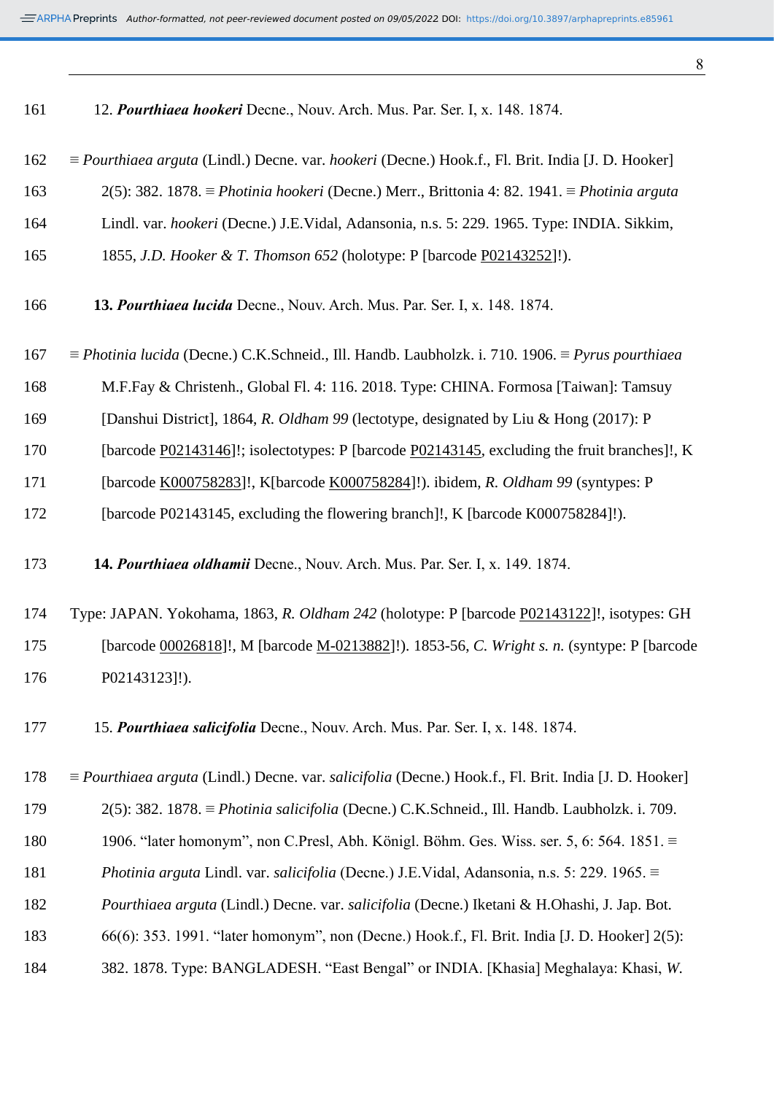| 161 | 12. Pourthiaea hookeri Decne., Nouv. Arch. Mus. Par. Ser. I, x. 148. 1874.                                                   |
|-----|------------------------------------------------------------------------------------------------------------------------------|
| 162 | $\equiv$ Pourthiaea arguta (Lindl.) Decne. var. hookeri (Decne.) Hook.f., Fl. Brit. India [J. D. Hooker]                     |
| 163 | 2(5): 382. 1878. = Photinia hookeri (Decne.) Merr., Brittonia 4: 82. 1941. = Photinia arguta                                 |
| 164 | Lindl. var. hookeri (Decne.) J.E.Vidal, Adansonia, n.s. 5: 229. 1965. Type: INDIA. Sikkim,                                   |
| 165 | 1855, J.D. Hooker & T. Thomson 652 (holotype: P [barcode P02143252]!).                                                       |
| 166 | 13. Pourthiaea lucida Decne., Nouv. Arch. Mus. Par. Ser. I, x. 148. 1874.                                                    |
| 167 | $\equiv$ <i>Photinia lucida</i> (Decne.) C.K.Schneid., Ill. Handb. Laubholzk. i. 710. 1906. $\equiv$ <i>Pyrus pourthiaea</i> |
| 168 | M.F.Fay & Christenh., Global Fl. 4: 116. 2018. Type: CHINA. Formosa [Taiwan]: Tamsuy                                         |
| 169 | [Danshui District], 1864, R. Oldham 99 (lectotype, designated by Liu & Hong (2017): P                                        |
| 170 | [barcode P02143146]!; isolectotypes: P [barcode P02143145, excluding the fruit branches]!, K                                 |
| 171 | [barcode K000758283]!, K[barcode K000758284]!). ibidem, R. Oldham 99 (syntypes: P                                            |
| 172 | [barcode P02143145, excluding the flowering branch]!, K [barcode K000758284]!).                                              |
|     |                                                                                                                              |
| 173 | 14. Pourthiaea oldhamii Decne., Nouv. Arch. Mus. Par. Ser. I, x. 149. 1874.                                                  |
| 174 | Type: JAPAN. Yokohama, 1863, R. Oldham 242 (holotype: P [barcode P02143122]!, isotypes: GH                                   |
| 175 | [barcode 00026818]!, M [barcode M-0213882]!). 1853-56, C. Wright s. n. (syntype: P [barcode                                  |
| 176 | P02143123]!).                                                                                                                |
| 177 | 15. Pourthiaea salicifolia Decne., Nouv. Arch. Mus. Par. Ser. I, x. 148. 1874.                                               |
| 178 | $\equiv$ Pourthiaea arguta (Lindl.) Decne. var. salicifolia (Decne.) Hook.f., Fl. Brit. India [J. D. Hooker]                 |
| 179 | $2(5)$ : 382. 1878. $\equiv$ <i>Photinia salicifolia</i> (Decne.) C.K.Schneid., Ill. Handb. Laubholzk. i. 709.               |
| 180 | 1906. "later homonym", non C.Presl, Abh. Königl. Böhm. Ges. Wiss. ser. 5, 6: 564. 1851. $\equiv$                             |
| 181 | Photinia arguta Lindl. var. salicifolia (Decne.) J.E.Vidal, Adansonia, n.s. 5: 229. 1965. $\equiv$                           |
| 182 | Pourthiaea arguta (Lindl.) Decne. var. salicifolia (Decne.) Iketani & H.Ohashi, J. Jap. Bot.                                 |
| 183 | 66(6): 353. 1991. "later homonym", non (Decne.) Hook.f., Fl. Brit. India [J. D. Hooker] 2(5):                                |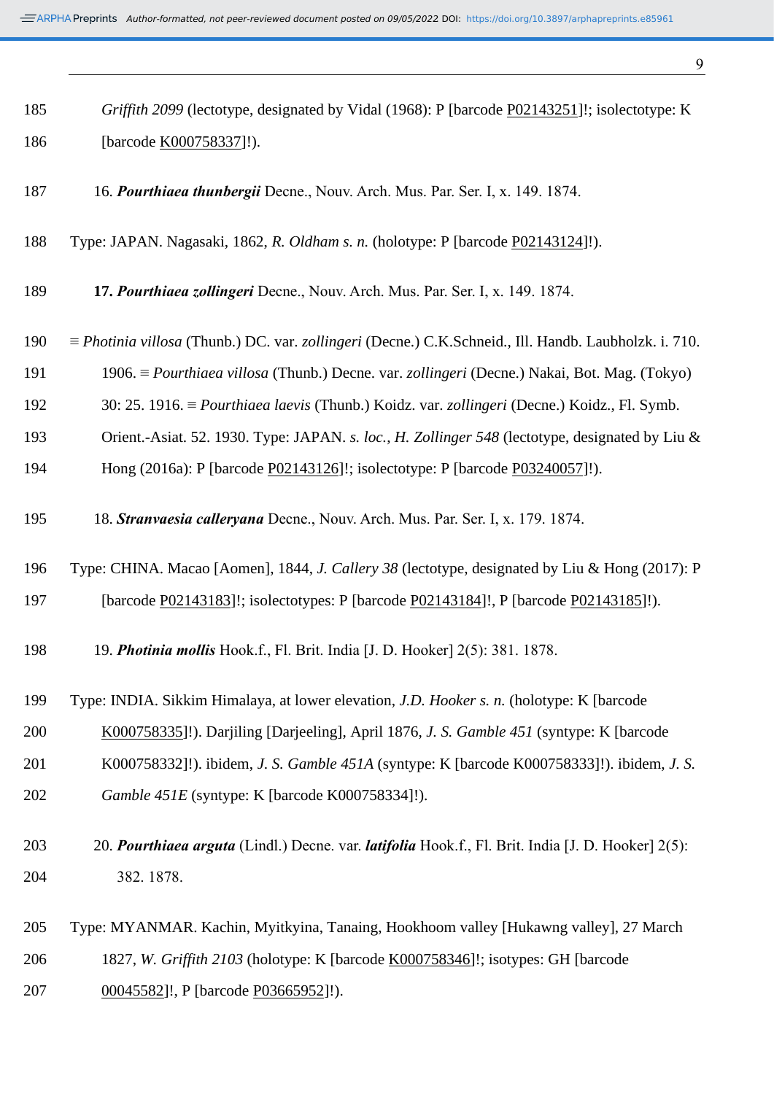*Griffith 2099* (lectotype, designated by Vidal (1968): P [barcode [P02143251\]](https://plants.jstor.org/stable/10.5555/al.ap.specimen.p02143251?searchUri=filter%3Dfree_text%26so%3Dps_group_by_genus_species%2Basc%26Query%3DP02143251)!; isolectotype: K

| 186 | [barcode K000758337]!).                                                                                                    |
|-----|----------------------------------------------------------------------------------------------------------------------------|
| 187 | 16. Pourthiaea thunbergii Decne., Nouv. Arch. Mus. Par. Ser. I, x. 149. 1874.                                              |
| 188 | Type: JAPAN. Nagasaki, 1862, R. Oldham s. n. (holotype: P [barcode P02143124]!).                                           |
| 189 | 17. Pourthiaea zollingeri Decne., Nouv. Arch. Mus. Par. Ser. I, x. 149. 1874.                                              |
| 190 | $\equiv$ <i>Photinia villosa</i> (Thunb.) DC. var. <i>zollingeri</i> (Decne.) C.K.Schneid., Ill. Handb. Laubholzk. i. 710. |
| 191 | 1906. $\equiv$ <i>Pourthiaea villosa</i> (Thunb.) Decne. var. <i>zollingeri</i> (Decne.) Nakai, Bot. Mag. (Tokyo)          |
| 192 | 30: 25. 1916. $\equiv$ <i>Pourthiaea laevis</i> (Thunb.) Koidz. var. <i>zollingeri</i> (Decne.) Koidz., Fl. Symb.          |
| 193 | Orient.-Asiat. 52. 1930. Type: JAPAN. s. loc., H. Zollinger 548 (lectotype, designated by Liu &                            |
| 194 | Hong (2016a): P [barcode P02143126]!; isolectotype: P [barcode P03240057]!).                                               |
| 195 | 18. Stranvaesia calleryana Decne., Nouv. Arch. Mus. Par. Ser. I, x. 179. 1874.                                             |
| 196 | Type: CHINA. Macao [Aomen], 1844, J. Callery 38 (lectotype, designated by Liu & Hong (2017): P                             |
| 197 | [barcode P02143183]!; isolectotypes: P [barcode P02143184]!, P [barcode P02143185]!).                                      |
| 198 | 19. Photinia mollis Hook.f., Fl. Brit. India [J. D. Hooker] 2(5): 381. 1878.                                               |
| 199 | Type: INDIA. Sikkim Himalaya, at lower elevation, J.D. Hooker s. n. (holotype: K [barcode]                                 |
| 200 | K000758335]!). Darjiling [Darjeeling], April 1876, J. S. Gamble 451 (syntype: K [barcode                                   |
| 201 | K000758332]!). ibidem, <i>J. S. Gamble 451A</i> (syntype: K [barcode K000758333]!). ibidem, <i>J. S.</i>                   |
| 202 | Gamble 451E (syntype: K [barcode K000758334]!).                                                                            |
| 203 | 20. Pourthiaea arguta (Lindl.) Decne. var. latifolia Hook.f., Fl. Brit. India [J. D. Hooker] 2(5):                         |
| 204 | 382.1878.                                                                                                                  |
| 205 | Type: MYANMAR. Kachin, Myitkyina, Tanaing, Hookhoom valley [Hukawng valley], 27 March                                      |
| 206 | 1827, W. Griffith 2103 (holotype: K [barcode K000758346]!; isotypes: GH [barcode                                           |
| 207 | 00045582]!, P [barcode P03665952]!).                                                                                       |
|     |                                                                                                                            |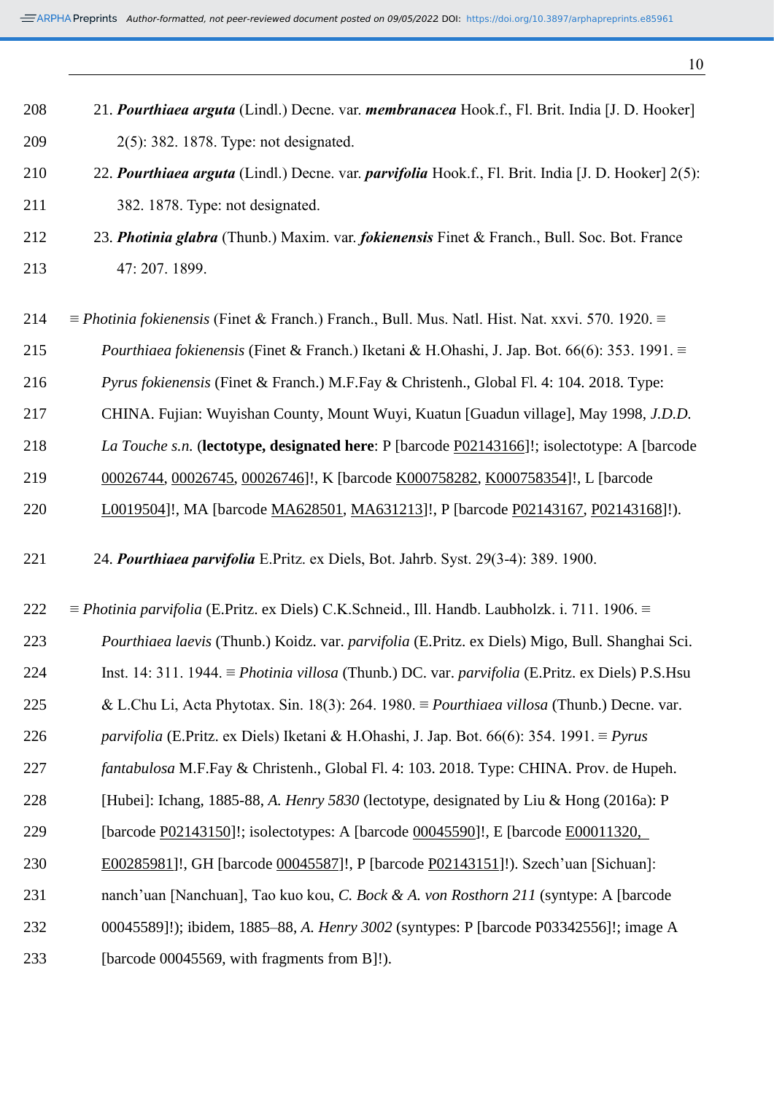21. *Pourthiaea arguta* (Lindl.) Decne. var. *membranacea* Hook.f., Fl. Brit. India [J. D. Hooker] 2(5): 382. 1878. Type: not designated.

- 22. *Pourthiaea arguta* (Lindl.) Decne. var. *parvifolia* Hook.f., Fl. Brit. India [J. D. Hooker] 2(5): 382. 1878. Type: not designated.
- 23. *Photinia glabra* (Thunb.) Maxim. var. *fokienensis* Finet & Franch., Bull. Soc. Bot. France 47: 207. 1899.
- ≡ *Photinia fokienensis* (Finet & Franch.) Franch., Bull. Mus. Natl. Hist. Nat. xxvi. 570. 1920. ≡
- *Pourthiaea fokienensis* (Finet & Franch.) Iketani & H.Ohashi, J. Jap. Bot. 66(6): 353. 1991. ≡
- *Pyrus fokienensis* (Finet & Franch.) M.F.Fay & Christenh., Global Fl. 4: 104. 2018. Type:
- CHINA. Fujian: Wuyishan County, Mount Wuyi, Kuatun [Guadun village], May 1998, *J.D.D.*
- *La Touche s.n.* (**lectotype, designated here**: P [barcode [P02143166\]](https://plants.jstor.org/stable/10.5555/al.ap.specimen.p02143166?searchUri=filter%3Dfree_text%26so%3Dps_group_by_genus_species%2Basc%26Query%3DP02143166)!; isolectotype: A [barcode
- [00026744,](https://plants.jstor.org/stable/10.5555/al.ap.specimen.a00026744?searchUri=filter%3Dfree_text%26so%3Dps_group_by_genus_species%2Basc%26Query%3DA00026744) [00026745,](https://plants.jstor.org/stable/10.5555/al.ap.specimen.a00026745?searchUri=filter%3Dfree_text%26so%3Dps_group_by_genus_species%2Basc%26Query%3DA00026745) [00026746\]](https://plants.jstor.org/stable/10.5555/al.ap.specimen.a00026746?searchUri=filter%3Dfree_text%26so%3Dps_group_by_genus_species%2Basc%26Query%3DA00026746)!, K [barcode [K000758282,](https://plants.jstor.org/stable/10.5555/al.ap.specimen.k000758282?searchUri=filter%3Dfree_text%26so%3Dps_group_by_genus_species%2Basc%26Query%3DK000758282) [K000758354\]](https://plants.jstor.org/stable/10.5555/al.ap.specimen.k000758354?searchUri=filter%3Dfree_text%26so%3Dps_group_by_genus_species%2Basc%26Query%3DK000758354)!, L [barcode
- [L0019504\]](https://plants.jstor.org/stable/10.5555/al.ap.specimen.l0019504?searchUri=filter%3Dfree_text%26so%3Dps_group_by_genus_species%2Basc%26Query%3DL0019504)!, MA [barcode [MA628501,](https://plants.jstor.org/stable/10.5555/al.ap.specimen.ma628501?searchUri=filter%3Dfree_text%26so%3Dps_group_by_genus_species%2Basc%26Query%3DMA628501) [MA631213\]](https://plants.jstor.org/stable/10.5555/al.ap.specimen.ma631213?searchUri=filter%3Dfree_text%26so%3Dps_group_by_genus_species%2Basc%26Query%3DMA631213)!, P [barcode [P02143167,](https://plants.jstor.org/stable/10.5555/al.ap.specimen.p02143167?searchUri=filter%3Dfree_text%26so%3Dps_group_by_genus_species%2Basc%26Query%3DP02143167) [P02143168\]](https://plants.jstor.org/stable/10.5555/al.ap.specimen.p02143168?searchUri=filter%3Dfree_text%26so%3Dps_group_by_genus_species%2Basc%26Query%3DP02143168)!).
- 24. *Pourthiaea parvifolia* E.Pritz. ex Diels, Bot. Jahrb. Syst. 29(3-4): 389. 1900.
- ≡ *Photinia parvifolia* (E.Pritz. ex Diels) C.K.Schneid., Ill. Handb. Laubholzk. i. 711. 1906. ≡
- *Pourthiaea laevis* (Thunb.) Koidz. var. *parvifolia* (E.Pritz. ex Diels) Migo, Bull. Shanghai Sci.
- Inst. 14: 311. 1944. ≡ *Photinia villosa* (Thunb.) DC. var. *parvifolia* (E.Pritz. ex Diels) P.S.Hsu
- & L.Chu Li, Acta Phytotax. Sin. 18(3): 264. 1980. ≡ *Pourthiaea villosa* (Thunb.) Decne. var.
- *parvifolia* (E.Pritz. ex Diels) Iketani & H.Ohashi, J. Jap. Bot. 66(6): 354. 1991. ≡ *Pyrus*
- *fantabulosa* M.F.Fay & Christenh., Global Fl. 4: 103. 2018. Type: CHINA. Prov. de Hupeh.
- [Hubei]: Ichang, 1885-88, *A. Henry 5830* (lectotype, designated by Liu & Hong (2016a): P
- [barcode [P02143150\]](https://plants.jstor.org/stable/10.5555/al.ap.specimen.p02143150?searchUri=filter%3Dfree_text%26so%3Dps_group_by_genus_species%2Basc%26Query%3DP02143150)!; isolectotypes: A [barcode [00045590\]](https://plants.jstor.org/stable/10.5555/al.ap.specimen.a00045590?searchUri=filter%3Dfree_text%26so%3Dps_group_by_genus_species%2Basc%26Query%3DA00045590)!, E [barcode [E00011320,](https://plants.jstor.org/stable/10.5555/al.ap.specimen.e00011320?searchUri=filter%3Dfree_text%26so%3Dps_group_by_genus_species%2Basc%26Query%3DE00011320)
- [E00285981\]](https://plants.jstor.org/stable/10.5555/al.ap.specimen.e00285981?searchUri=filter%3Dfree_text%26so%3Dps_group_by_genus_species%2Basc%26Query%3DE00285981)!, GH [barcode [00045587\]](https://plants.jstor.org/stable/10.5555/al.ap.specimen.gh00045587?searchUri=filter%3Dfree_text%26so%3Dps_group_by_genus_species%2Basc%26Query%3DGH00045587)!, P [barcode [P02143151\]](https://plants.jstor.org/stable/10.5555/al.ap.specimen.p02143151?searchUri=filter%3Dfree_text%26so%3Dps_group_by_genus_species%2Basc%26Query%3DP02143151)!). Szech'uan [Sichuan]:
- nanch'uan [Nanchuan], Tao kuo kou, *C. Bock & A. von Rosthorn 211* (syntype: A [barcode
- 00045589]!); ibidem, 1885–88, *A. Henry 3002* (syntypes: P [barcode P03342556]!; image A
- [barcode 00045569, with fragments from B]!).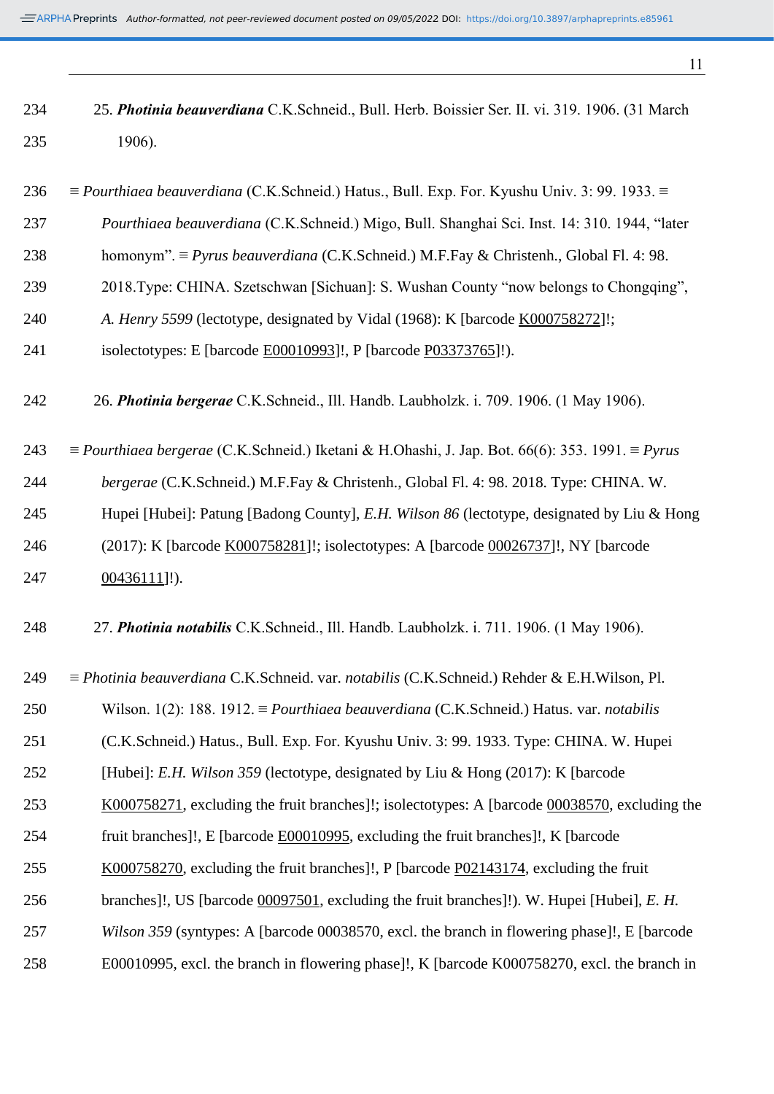| 234 | 25. Photinia beauverdiana C.K.Schneid., Bull. Herb. Boissier Ser. II. vi. 319. 1906. (31 March                |
|-----|---------------------------------------------------------------------------------------------------------------|
| 235 | 1906).                                                                                                        |
|     |                                                                                                               |
| 236 | $\equiv$ Pourthiaea beauverdiana (C.K.Schneid.) Hatus., Bull. Exp. For. Kyushu Univ. 3: 99. 1933. $\equiv$    |
| 237 | Pourthiaea beauverdiana (C.K.Schneid.) Migo, Bull. Shanghai Sci. Inst. 14: 310. 1944, "later                  |
| 238 | homonym". $\equiv$ Pyrus beauverdiana (C.K.Schneid.) M.F.Fay & Christenh., Global Fl. 4: 98.                  |
| 239 | 2018. Type: CHINA. Szetschwan [Sichuan]: S. Wushan County "now belongs to Chongqing",                         |
| 240 | A. Henry 5599 (lectotype, designated by Vidal (1968): K [barcode K000758272]!;                                |
| 241 | isolectotypes: E [barcode E00010993]!, P [barcode P03373765]!).                                               |
|     |                                                                                                               |
| 242 | 26. Photinia bergerae C.K.Schneid., Ill. Handb. Laubholzk. i. 709. 1906. (1 May 1906).                        |
| 243 | $\equiv$ Pourthiaea bergerae (C.K.Schneid.) Iketani & H.Ohashi, J. Jap. Bot. 66(6): 353. 1991. $\equiv$ Pyrus |
|     |                                                                                                               |
| 244 | bergerae (C.K.Schneid.) M.F.Fay & Christenh., Global Fl. 4: 98. 2018. Type: CHINA. W.                         |
| 245 | Hupei [Hubei]: Patung [Badong County], E.H. Wilson 86 (lectotype, designated by Liu & Hong                    |
| 246 | (2017): K [barcode K000758281]!; isolectotypes: A [barcode 00026737]!, NY [barcode                            |
| 247 | 00436111]!).                                                                                                  |
|     |                                                                                                               |
| 248 | 27. Photinia notabilis C.K.Schneid., Ill. Handb. Laubholzk. i. 711. 1906. (1 May 1906).                       |
|     |                                                                                                               |
| 249 | $\equiv$ Photinia beauverdiana C.K.Schneid. var. notabilis (C.K.Schneid.) Rehder & E.H.Wilson, Pl.            |
| 250 | Wilson. 1(2): 188. 1912. $\equiv$ <i>Pourthiaea beauverdiana</i> (C.K.Schneid.) Hatus. var. <i>notabilis</i>  |
| 251 | (C.K.Schneid.) Hatus., Bull. Exp. For. Kyushu Univ. 3: 99. 1933. Type: CHINA. W. Hupei                        |

- [Hubei]: *E.H. Wilson 359* (lectotype, designated by Liu & Hong (2017): K [barcode
- [K000758271,](https://plants.jstor.org/stable/10.5555/al.ap.specimen.k000758271?searchUri=filter%3Dfree_text%26so%3Dps_group_by_genus_species%2Basc%26Query%3DK000758271) excluding the fruit branches]!; isolectotypes: A [barcode [00038570,](https://plants.jstor.org/stable/10.5555/al.ap.specimen.a00038570?searchUri=filter%3Dfree_text%26so%3Dps_group_by_genus_species%2Basc%26Query%3DA00038570) excluding the
- fruit branches]!, E [barcode [E00010995,](https://plants.jstor.org/stable/10.5555/al.ap.specimen.e00010995?searchUri=filter%3Dfree_text%26so%3Dps_group_by_genus_species%2Basc%26Query%3DE00010995) excluding the fruit branches]!, K [barcode
- [K000758270,](https://plants.jstor.org/stable/10.5555/al.ap.specimen.k000758270?searchUri=filter%3Dfree_text%26so%3Dps_group_by_genus_species%2Basc%26Query%3DK000758270) excluding the fruit branches]!, P [barcode [P02143174,](https://plants.jstor.org/stable/10.5555/al.ap.specimen.p02143174?searchUri=filter%3Dfree_text%26so%3Dps_group_by_genus_species%2Basc%26Query%3DP02143174) excluding the fruit
- branches]!, US [barcode [00097501,](https://plants.jstor.org/stable/10.5555/al.ap.specimen.us00097501?searchUri=filter%3Dfree_text%26so%3Dps_group_by_genus_species%2Basc%26Query%3DUS00097501) excluding the fruit branches]!). W. Hupei [Hubei], *E. H.*
- *Wilson 359* (syntypes: A [barcode 00038570, excl. the branch in flowering phase]!, E [barcode
- E00010995, excl. the branch in flowering phase]!, K [barcode K000758270, excl. the branch in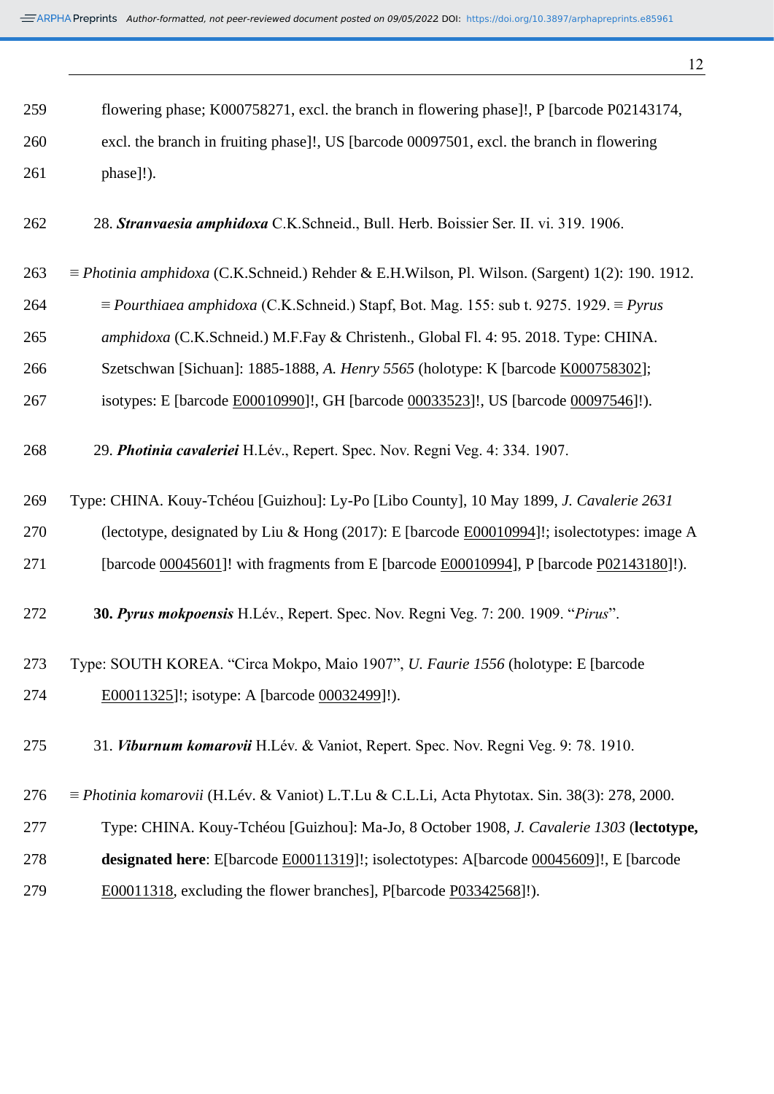| ٠            |
|--------------|
| I<br>I<br>۰. |

| 259 | flowering phase; K000758271, excl. the branch in flowering phase]!, P [barcode P02143174,                     |
|-----|---------------------------------------------------------------------------------------------------------------|
| 260 | excl. the branch in fruiting phase]!, US [barcode 00097501, excl. the branch in flowering                     |
| 261 | phase]!).                                                                                                     |
| 262 | 28. Stranvaesia amphidoxa C.K.Schneid., Bull. Herb. Boissier Ser. II. vi. 319. 1906.                          |
| 263 | $\equiv$ <i>Photinia amphidoxa</i> (C.K.Schneid.) Rehder & E.H.Wilson, Pl. Wilson. (Sargent) 1(2): 190. 1912. |
| 264 | $\equiv$ Pourthiaea amphidoxa (C.K.Schneid.) Stapf, Bot. Mag. 155: sub t. 9275. 1929. $\equiv$ Pyrus          |
| 265 | amphidoxa (C.K.Schneid.) M.F.Fay & Christenh., Global Fl. 4: 95. 2018. Type: CHINA.                           |
| 266 | Szetschwan [Sichuan]: 1885-1888, A. Henry 5565 (holotype: K [barcode K000758302];                             |
| 267 | isotypes: E [barcode E00010990]!, GH [barcode 00033523]!, US [barcode 00097546]!).                            |
| 268 | 29. Photinia cavaleriei H.Lév., Repert. Spec. Nov. Regni Veg. 4: 334. 1907.                                   |
| 269 | Type: CHINA. Kouy-Tchéou [Guizhou]: Ly-Po [Libo County], 10 May 1899, J. Cavalerie 2631                       |
| 270 | (lectotype, designated by Liu & Hong (2017): E [barcode E00010994]!; isolectotypes: image A                   |
| 271 | [barcode 00045601]! with fragments from E [barcode E00010994], P [barcode P02143180]!).                       |
| 272 | 30. Pyrus mokpoensis H.Lév., Repert. Spec. Nov. Regni Veg. 7: 200. 1909. "Pirus".                             |
| 273 | Type: SOUTH KOREA. "Circa Mokpo, Maio 1907", U. Faurie 1556 (holotype: E [barcode]                            |
| 274 | E00011325]!; isotype: A [barcode 00032499]!).                                                                 |
| 275 | 31. Viburnum komarovii H.Lév. & Vaniot, Repert. Spec. Nov. Regni Veg. 9: 78. 1910.                            |
| 276 | $\equiv$ <i>Photinia komarovii</i> (H.Lév. & Vaniot) L.T.Lu & C.L.Li, Acta Phytotax. Sin. 38(3): 278, 2000.   |
| 277 | Type: CHINA. Kouy-Tchéou [Guizhou]: Ma-Jo, 8 October 1908, J. Cavalerie 1303 (lectotype,                      |
| 278 | designated here: E[barcode E00011319]!; isolectotypes: A[barcode 00045609]!, E [barcode                       |
| 279 | E00011318, excluding the flower branches], P[barcode P03342568]!).                                            |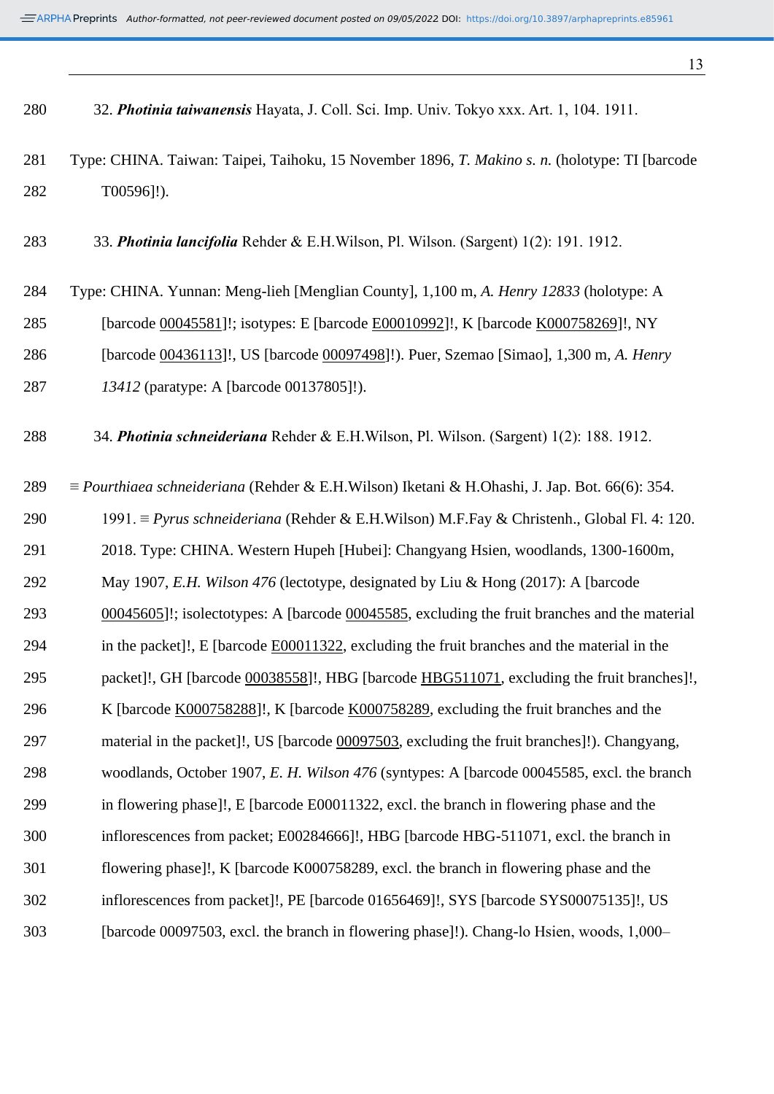32. *Photinia taiwanensis* Hayata, J. Coll. Sci. Imp. Univ. Tokyo xxx. Art. 1, 104. 1911.

- Type: CHINA. Taiwan: Taipei, Taihoku, 15 November 1896, *T. Makino s. n.* (holotype: TI [barcode T00596]!).
- 33. *Photinia lancifolia* Rehder & E.H.Wilson, Pl. Wilson. (Sargent) 1(2): 191. 1912.
- Type: CHINA. Yunnan: Meng-lieh [Menglian County], 1,100 m, *A. Henry 12833* (holotype: A [barcode [00045581\]](https://plants.jstor.org/stable/10.5555/al.ap.specimen.a00045581?searchUri=filter%3Dfree_text%26so%3Dps_group_by_genus_species%2Basc%26Query%3DA00045581)!; isotypes: E [barcode [E00010992\]](https://plants.jstor.org/stable/10.5555/al.ap.specimen.e00010992?searchUri=filter%3Dfree_text%26so%3Dps_group_by_genus_species%2Basc%26Query%3DE00010992)!, K [barcode [K000758269\]](https://plants.jstor.org/stable/10.5555/al.ap.specimen.k000758269?searchUri=filter%3Dfree_text%26so%3Dps_group_by_genus_species%2Basc%26Query%3DK000758269)!, NY [barcode [00436113\]](https://plants.jstor.org/stable/10.5555/al.ap.specimen.ny00436113?searchUri=filter%3Dfree_text%26so%3Dps_group_by_genus_species%2Basc%26Query%3Dny00436113)!, US [barcode [00097498\]](https://plants.jstor.org/stable/10.5555/al.ap.specimen.us00097498?searchUri=filter%3Dfree_text%26so%3Dps_group_by_genus_species%2Basc%26Query%3Dus00097498)!). Puer, Szemao [Simao], 1,300 m, *A. Henry 13412* (paratype: A [barcode 00137805]!).

34. *Photinia schneideriana* Rehder & E.H.Wilson, Pl. Wilson. (Sargent) 1(2): 188. 1912.

 ≡ *Pourthiaea schneideriana* (Rehder & E.H.Wilson) Iketani & H.Ohashi, J. Jap. Bot. 66(6): 354. 1991. ≡ *Pyrus schneideriana* (Rehder & E.H.Wilson) M.F.Fay & Christenh., Global Fl. 4: 120. 2018. Type: CHINA. Western Hupeh [Hubei]: Changyang Hsien, woodlands, 1300-1600m, May 1907, *E.H. Wilson 476* (lectotype, designated by Liu & Hong (2017): A [barcode [00045605\]](https://plants.jstor.org/stable/10.5555/al.ap.specimen.a00045605?searchUri=filter%3Dfree_text%26so%3Dps_group_by_genus_species%2Basc%26Query%3DA00045605)!; isolectotypes: A [barcode [00045585,](https://plants.jstor.org/stable/10.5555/al.ap.specimen.a00045585?searchUri=filter%3Dfree_text%26so%3Dps_group_by_genus_species%2Basc%26Query%3DA00045585) excluding the fruit branches and the material in the packet]!, E [barcode [E00011322,](https://plants.jstor.org/stable/10.5555/al.ap.specimen.e00011322?searchUri=filter%3Dfree_text%26so%3Dps_group_by_genus_species%2Basc%26Query%3DE00011322) excluding the fruit branches and the material in the packet]!, GH [barcode [00038558\]](https://plants.jstor.org/stable/10.5555/al.ap.specimen.gh00038558?searchUri=filter%3Dfree_text%26so%3Dps_group_by_genus_species%2Basc%26Query%3DGH00038558)!, HBG [barcode [HBG511071,](https://plants.jstor.org/stable/10.5555/al.ap.specimen.hbg511071?searchUri=filter%3Dfree_text%26so%3Dps_group_by_genus_species%2Basc%26Query%3DHBG511071) excluding the fruit branches]!, 296 K [barcode [K000758288\]](https://plants.jstor.org/stable/10.5555/al.ap.specimen.k000758288?searchUri=filter%3Dfree_text%26so%3Dps_group_by_genus_species%2Basc%26Query%3DK000758288)!, K [barcode [K000758289,](https://plants.jstor.org/stable/10.5555/al.ap.specimen.k000758289?searchUri=filter%3Dfree_text%26so%3Dps_group_by_genus_species%2Basc%26Query%3DK000758289) excluding the fruit branches and the material in the packet]!, US [barcode [00097503,](https://plants.jstor.org/stable/10.5555/al.ap.specimen.us00097503?searchUri=filter%3Dfree_text%26so%3Dps_group_by_genus_species%2Basc%26Query%3DUS00097503) excluding the fruit branches]!). Changyang, woodlands, October 1907, *E. H. Wilson 476* (syntypes: A [barcode 00045585, excl. the branch in flowering phase]!, E [barcode E00011322, excl. the branch in flowering phase and the inflorescences from packet; E00284666]!, HBG [barcode HBG-511071, excl. the branch in flowering phase]!, K [barcode K000758289, excl. the branch in flowering phase and the inflorescences from packet]!, PE [barcode 01656469]!, SYS [barcode SYS00075135]!, US 303 [barcode 00097503, excl. the branch in flowering phase]!). Chang-lo Hsien, woods, 1,000–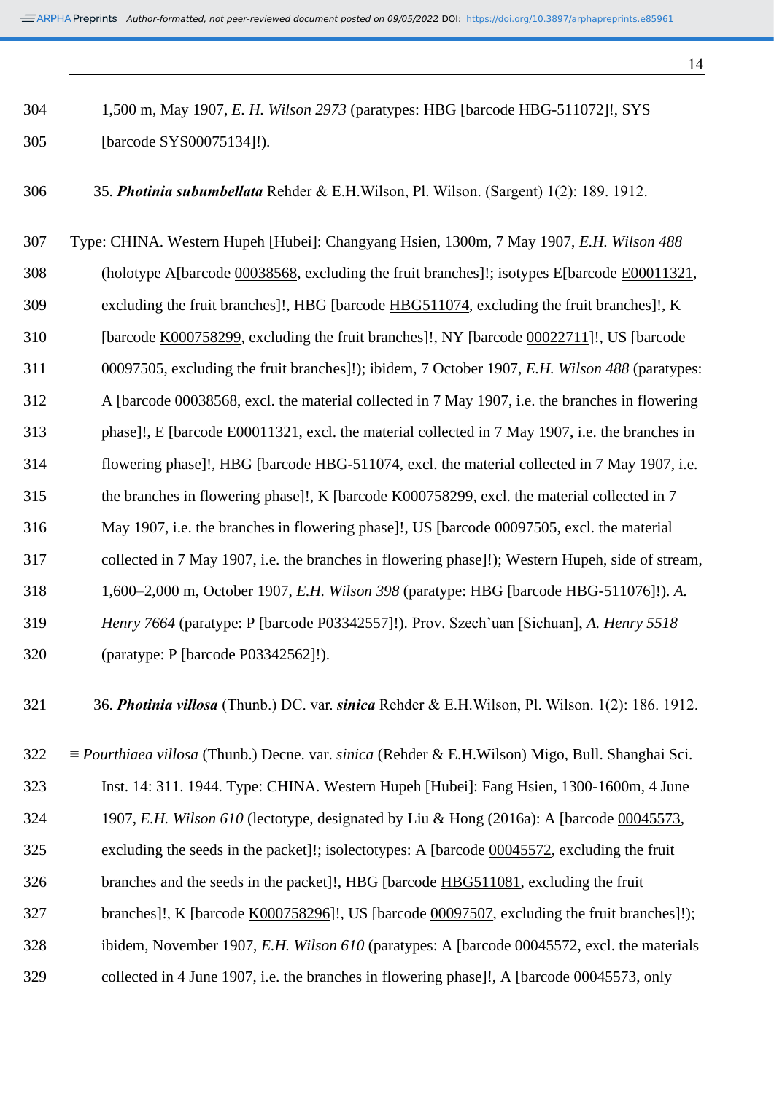1,500 m, May 1907, *E. H. Wilson 2973* (paratypes: HBG [barcode HBG-511072]!, SYS [barcode SYS00075134]!).

35. *Photinia subumbellata* Rehder & E.H.Wilson, Pl. Wilson. (Sargent) 1(2): 189. 1912.

 Type: CHINA. Western Hupeh [Hubei]: Changyang Hsien, 1300m, 7 May 1907, *E.H. Wilson 488* (holotype A[barcode [00038568,](https://plants.jstor.org/stable/10.5555/al.ap.specimen.a00038568?searchUri=filter%3Dname%26so%3Dps_group_by_genus_species%2Basc%26Query%3DPhotinia%2Bsubumbellata) excluding the fruit branches]!; isotypes E[barcode [E00011321,](https://plants.jstor.org/stable/10.5555/al.ap.specimen.e00011321?searchUri=filter%3Dfree_text%26so%3Dps_group_by_genus_species%2Basc%26Query%3DE00011321) excluding the fruit branches]!, HBG [barcode [HBG511074,](https://plants.jstor.org/stable/10.5555/al.ap.specimen.hbg511074?searchUri=filter%3Dname%26so%3Dps_group_by_genus_species%2Basc%26Query%3DPhotinia%2Bsubumbellata) excluding the fruit branches]!, K [barcode [K000758299,](https://plants.jstor.org/stable/10.5555/al.ap.specimen.k000758299?searchUri=filter%3Dfree_text%26so%3Dps_group_by_genus_species%2Basc%26Query%3DK000758299) excluding the fruit branches]!, NY [barcode [00022711\]](https://plants.jstor.org/stable/10.5555/al.ap.specimen.ny00022711?searchUri=filter%3Dname%26so%3Dps_group_by_genus_species%2Basc%26Query%3DPhotinia%2Bsubumbellata)!, US [barcode [00097505,](https://plants.jstor.org/stable/10.5555/al.ap.specimen.us00097505?searchUri=filter%3Dname%26so%3Dps_group_by_genus_species%2Basc%26Query%3DPhotinia%2Bsubumbellata) excluding the fruit branches]!); ibidem, 7 October 1907, *E.H. Wilson 488* (paratypes: A [barcode 00038568, excl. the material collected in 7 May 1907, i.e. the branches in flowering phase]!, E [barcode E00011321, excl. the material collected in 7 May 1907, i.e. the branches in flowering phase]!, HBG [barcode HBG-511074, excl. the material collected in 7 May 1907, i.e. the branches in flowering phase]!, K [barcode K000758299, excl. the material collected in 7 May 1907, i.e. the branches in flowering phase]!, US [barcode 00097505, excl. the material collected in 7 May 1907, i.e. the branches in flowering phase]!); Western Hupeh, side of stream, 1,600–2,000 m, October 1907, *E.H. Wilson 398* (paratype: HBG [barcode HBG-511076]!). *A. Henry 7664* (paratype: P [barcode P03342557]!). Prov. Szech'uan [Sichuan], *A. Henry 5518* (paratype: P [barcode P03342562]!).

36. *Photinia villosa* (Thunb.) DC. var. *sinica* Rehder & E.H.Wilson, Pl. Wilson. 1(2): 186. 1912.

 ≡ *Pourthiaea villosa* (Thunb.) Decne. var. *sinica* (Rehder & E.H.Wilson) Migo, Bull. Shanghai Sci. Inst. 14: 311. 1944. Type: CHINA. Western Hupeh [Hubei]: Fang Hsien, 1300-1600m, 4 June 1907, *E.H. Wilson 610* (lectotype, designated by Liu & Hong (2016a): A [barcode [00045573,](https://plants.jstor.org/stable/10.5555/al.ap.specimen.a00045573?searchUri=filter%3Dfree_text%26so%3Dps_group_by_genus_species%2Basc%26Query%3DA00045573) excluding the seeds in the packet]!; isolectotypes: A [barcode [00045572,](https://plants.jstor.org/stable/10.5555/al.ap.specimen.a00045572?searchUri=filter%3Dfree_text%26so%3Dps_group_by_genus_species%2Basc%26Query%3DA00045572) excluding the fruit branches and the seeds in the packet]!, HBG [barcode [HBG511081,](https://plants.jstor.org/stable/10.5555/al.ap.specimen.hbg511081?searchUri=filter%3Dfree_text%26so%3Dps_group_by_genus_species%2Basc%26Query%3DHBG511081) excluding the fruit branches]!, K [barcode [K000758296\]](https://plants.jstor.org/stable/10.5555/al.ap.specimen.k000758296?searchUri=filter%3Dfree_text%26so%3Dps_group_by_genus_species%2Basc%26Query%3DK000758296)!, US [barcode [00097507,](https://plants.jstor.org/stable/10.5555/al.ap.specimen.us00097507?searchUri=filter%3Dfree_text%26so%3Dps_group_by_genus_species%2Basc%26Query%3DUS00097507) excluding the fruit branches]!); ibidem, November 1907, *E.H. Wilson 610* (paratypes: A [barcode 00045572, excl. the materials collected in 4 June 1907, i.e. the branches in flowering phase]!, A [barcode 00045573, only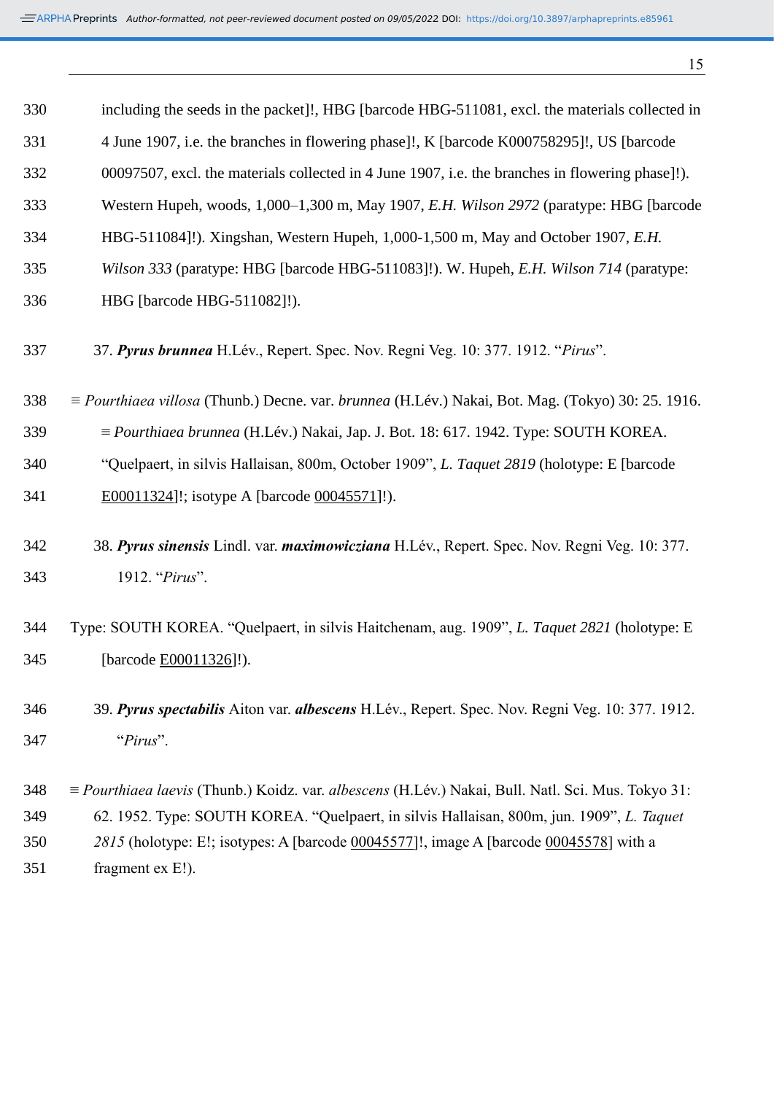| 330        | including the seeds in the packet]!, HBG [barcode HBG-511081, excl. the materials collected in                          |
|------------|-------------------------------------------------------------------------------------------------------------------------|
| 331        | 4 June 1907, i.e. the branches in flowering phase]!, K [barcode K000758295]!, US [barcode]                              |
| 332        | 00097507, excl. the materials collected in 4 June 1907, i.e. the branches in flowering phase]!).                        |
| 333        | Western Hupeh, woods, 1,000–1,300 m, May 1907, E.H. Wilson 2972 (paratype: HBG [barcode]                                |
| 334        | HBG-511084]!). Xingshan, Western Hupeh, 1,000-1,500 m, May and October 1907, E.H.                                       |
| 335        | Wilson 333 (paratype: HBG [barcode HBG-511083]!). W. Hupeh, E.H. Wilson 714 (paratype:                                  |
| 336        | HBG [barcode HBG-511082]!).                                                                                             |
| 337        | 37. Pyrus brunnea H.Lév., Repert. Spec. Nov. Regni Veg. 10: 377. 1912. "Pirus".                                         |
| 338        | $\equiv$ <i>Pourthiaea villosa</i> (Thunb.) Decne. var. <i>brunnea</i> (H.Lév.) Nakai, Bot. Mag. (Tokyo) 30: 25. 1916.  |
| 339        | $\equiv$ Pourthiaea brunnea (H.Lév.) Nakai, Jap. J. Bot. 18: 617. 1942. Type: SOUTH KOREA.                              |
| 340        | "Quelpaert, in silvis Hallaisan, 800m, October 1909", L. Taquet 2819 (holotype: E [barcode]                             |
| 341        | E00011324]!; isotype A [barcode 00045571]!).                                                                            |
| 342<br>343 | 38. Pyrus sinensis Lindl. var. maximowicziana H.Lév., Repert. Spec. Nov. Regni Veg. 10: 377.<br>1912. "Pirus".          |
|            |                                                                                                                         |
| 344        | Type: SOUTH KOREA. "Quelpaert, in silvis Haitchenam, aug. 1909", L. Taquet 2821 (holotype: E                            |
| 345        | [barcode E00011326]!).                                                                                                  |
| 346        | 39. Pyrus spectabilis Aiton var. albescens H.Lév., Repert. Spec. Nov. Regni Veg. 10: 377. 1912.                         |
| 347        | "Pirus".                                                                                                                |
|            |                                                                                                                         |
| 348        | $\equiv$ <i>Pourthiaea laevis</i> (Thunb.) Koidz. var. <i>albescens</i> (H.Lév.) Nakai, Bull. Natl. Sci. Mus. Tokyo 31: |
| 349        | 62. 1952. Type: SOUTH KOREA. "Quelpaert, in silvis Hallaisan, 800m, jun. 1909", L. Taquet                               |
| 350<br>351 | 2815 (holotype: E!; isotypes: A [barcode 00045577]!, image A [barcode 00045578] with a<br>fragment ex E!).              |
|            |                                                                                                                         |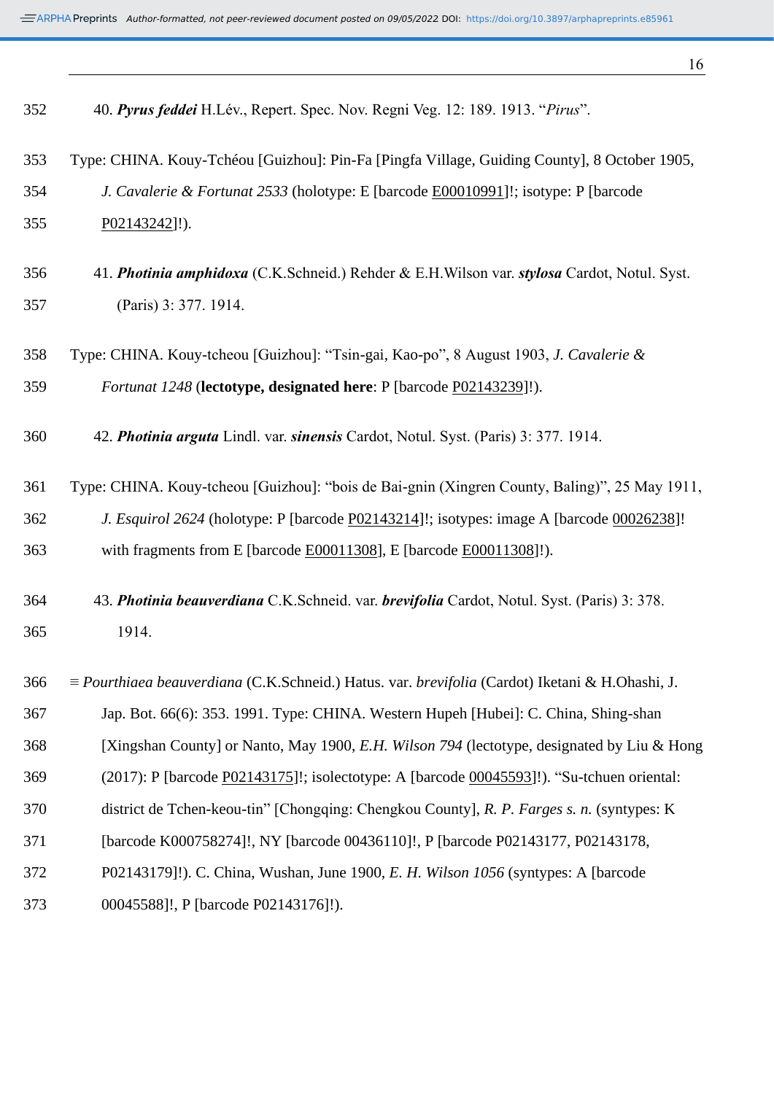| 352 | 40. Pyrus feddei H.Lév., Repert. Spec. Nov. Regni Veg. 12: 189. 1913. "Pirus".                  |
|-----|-------------------------------------------------------------------------------------------------|
| 353 | Type: CHINA. Kouy-Tchéou [Guizhou]: Pin-Fa [Pingfa Village, Guiding County], 8 October 1905,    |
| 354 | J. Cavalerie & Fortunat 2533 (holotype: E [barcode E00010991]!; isotype: P [barcode             |
| 355 | P02143242]!).                                                                                   |
| 356 | 41. Photinia amphidoxa (C.K.Schneid.) Rehder & E.H.Wilson var. stylosa Cardot, Notul. Syst.     |
| 357 | (Paris) 3: 377. 1914.                                                                           |
| 358 | Type: CHINA. Kouy-tcheou [Guizhou]: "Tsin-gai, Kao-po", 8 August 1903, J. Cavalerie &           |
| 359 | Fortunat 1248 (lectotype, designated here: P [barcode P02143239]!).                             |
| 360 | 42. Photinia arguta Lindl. var. sinensis Cardot, Notul. Syst. (Paris) 3: 377. 1914.             |
| 361 | Type: CHINA. Kouy-tcheou [Guizhou]: "bois de Bai-gnin (Xingren County, Baling)", 25 May 1911,   |
| 362 | J. Esquirol 2624 (holotype: P [barcode P02143214]!; isotypes: image A [barcode 00026238]!       |
| 363 | with fragments from E [barcode E00011308], E [barcode E00011308]!).                             |
| 364 | 43. Photinia beauverdiana C.K.Schneid. var. brevifolia Cardot, Notul. Syst. (Paris) 3: 378.     |
| 365 | 1914.                                                                                           |
| 366 | ≡ Pourthiaea beauverdiana (C.K.Schneid.) Hatus. var. brevifolia (Cardot) Iketani & H.Ohashi, J. |
| 367 | Jap. Bot. 66(6): 353. 1991. Type: CHINA. Western Hupeh [Hubei]: C. China, Shing-shan            |
| 368 | [Xingshan County] or Nanto, May 1900, E.H. Wilson 794 (lectotype, designated by Liu & Hong      |
| 369 | (2017): P [barcode P02143175]!; isolectotype: A [barcode 00045593]!). "Su-tchuen oriental:      |
| 370 | district de Tchen-keou-tin" [Chongqing: Chengkou County], R. P. Farges s. n. (syntypes: K       |
| 371 | [barcode K000758274]!, NY [barcode 00436110]!, P [barcode P02143177, P02143178,                 |
| 372 | P02143179]!). C. China, Wushan, June 1900, <i>E. H. Wilson 1056</i> (syntypes: A [barcode       |
| 373 | 00045588]!, P [barcode P02143176]!).                                                            |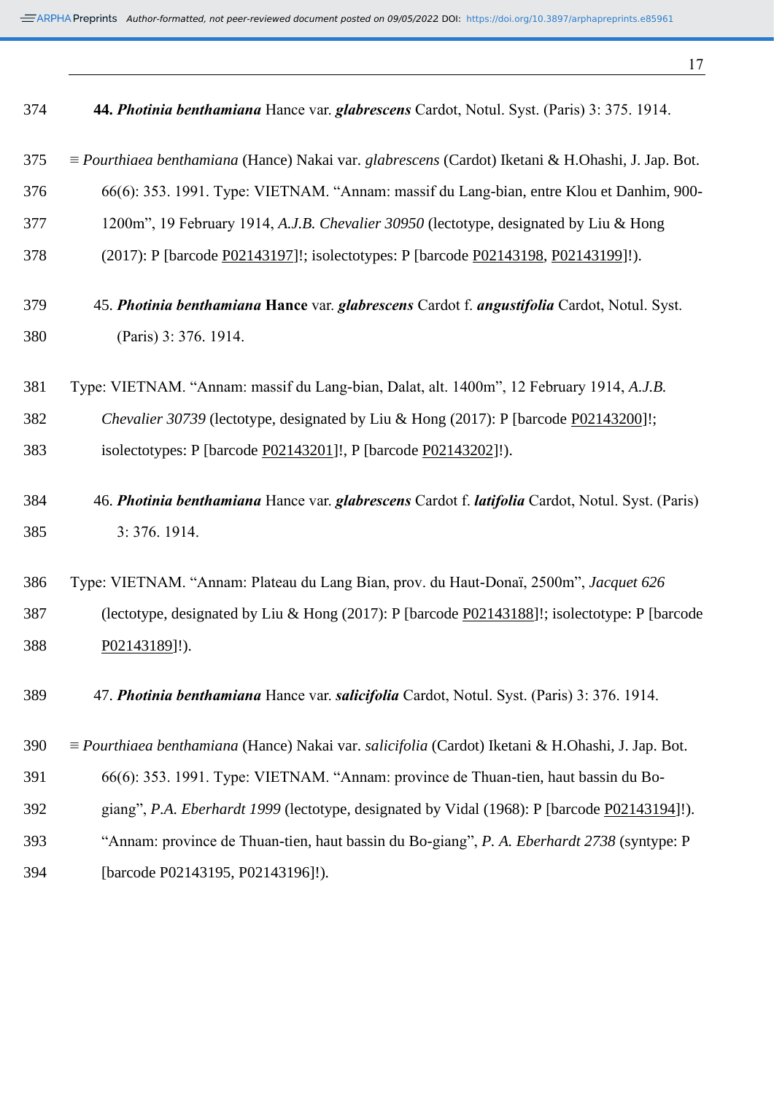*Author-formatted, not peer-reviewed document posted on 09/05/2022*. DOI: https://doi.org/10.3897/arphapreprints.e85961

| 374 | 44. Photinia benthamiana Hance var. glabrescens Cardot, Notul. Syst. (Paris) 3: 375. 1914.               |
|-----|----------------------------------------------------------------------------------------------------------|
| 375 | = Pourthiaea benthamiana (Hance) Nakai var. glabrescens (Cardot) Iketani & H.Ohashi, J. Jap. Bot.        |
| 376 | 66(6): 353. 1991. Type: VIETNAM. "Annam: massif du Lang-bian, entre Klou et Danhim, 900-                 |
| 377 | 1200m", 19 February 1914, A.J.B. Chevalier 30950 (lectotype, designated by Liu & Hong                    |
| 378 | (2017): P [barcode P02143197]!; isolectotypes: P [barcode P02143198, P02143199]!).                       |
| 379 | 45. Photinia benthamiana Hance var. glabrescens Cardot f. angustifolia Cardot, Notul. Syst.              |
| 380 | (Paris) 3: 376. 1914.                                                                                    |
| 381 | Type: VIETNAM. "Annam: massif du Lang-bian, Dalat, alt. 1400m", 12 February 1914, A.J.B.                 |
| 382 | Chevalier 30739 (lectotype, designated by Liu & Hong (2017): P [barcode P02143200]!;                     |
| 383 | isolectotypes: P [barcode P02143201]!, P [barcode P02143202]!).                                          |
| 384 | 46. Photinia benthamiana Hance var. glabrescens Cardot f. latifolia Cardot, Notul. Syst. (Paris)         |
| 385 | 3:376.1914.                                                                                              |
| 386 | Type: VIETNAM. "Annam: Plateau du Lang Bian, prov. du Haut-Donaï, 2500m", Jacquet 626                    |
| 387 | (lectotype, designated by Liu & Hong (2017): P [barcode P02143188]!; isolectotype: P [barcode            |
| 388 | P02143189]!).                                                                                            |
| 389 | 47. Photinia benthamiana Hance var. salicifolia Cardot, Notul. Syst. (Paris) 3: 376. 1914.               |
| 390 | $\equiv$ Pourthiaea benthamiana (Hance) Nakai var. salicifolia (Cardot) Iketani & H.Ohashi, J. Jap. Bot. |
| 391 | 66(6): 353. 1991. Type: VIETNAM. "Annam: province de Thuan-tien, haut bassin du Bo-                      |
| 392 | giang", P.A. Eberhardt 1999 (lectotype, designated by Vidal (1968): P [barcode P02143194]!).             |
| 393 | "Annam: province de Thuan-tien, haut bassin du Bo-giang", P. A. Eberhardt 2738 (syntype: P               |
| 394 | [barcode P02143195, P02143196]!).                                                                        |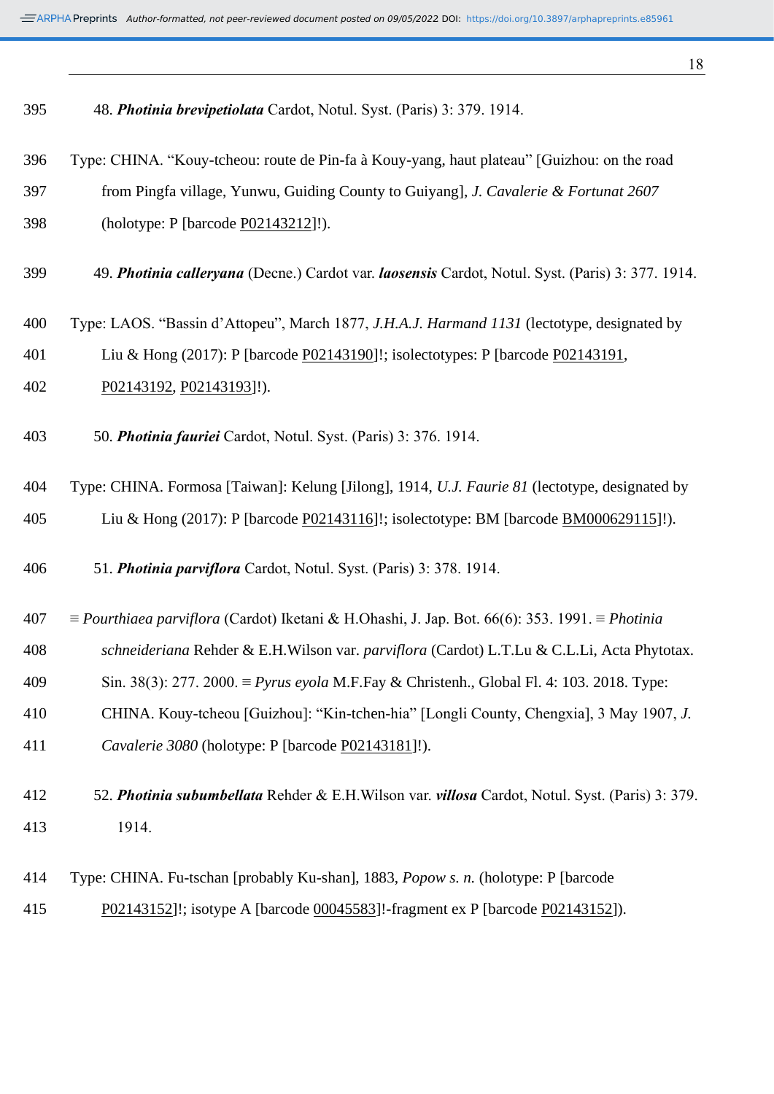| 395 | 48. Photinia brevipetiolata Cardot, Notul. Syst. (Paris) 3: 379. 1914.                                       |
|-----|--------------------------------------------------------------------------------------------------------------|
| 396 | Type: CHINA. "Kouy-tcheou: route de Pin-fa à Kouy-yang, haut plateau" [Guizhou: on the road                  |
| 397 | from Pingfa village, Yunwu, Guiding County to Guiyang], J. Cavalerie & Fortunat 2607                         |
| 398 | (holotype: P [barcode P02143212]!).                                                                          |
| 399 | 49. Photinia calleryana (Decne.) Cardot var. laosensis Cardot, Notul. Syst. (Paris) 3: 377. 1914.            |
| 400 | Type: LAOS. "Bassin d'Attopeu", March 1877, J.H.A.J. Harmand 1131 (lectotype, designated by                  |
| 401 | Liu & Hong (2017): P [barcode P02143190]!; isolectotypes: P [barcode P02143191,                              |
| 402 | P02143192, P02143193]!).                                                                                     |
| 403 | 50. Photinia fauriei Cardot, Notul. Syst. (Paris) 3: 376. 1914.                                              |
| 404 | Type: CHINA. Formosa [Taiwan]: Kelung [Jilong], 1914, U.J. Faurie 81 (lectotype, designated by               |
| 405 | Liu & Hong (2017): P [barcode P02143116]!; isolectotype: BM [barcode BM000629115]!).                         |
| 406 | 51. Photinia parviflora Cardot, Notul. Syst. (Paris) 3: 378. 1914.                                           |
| 407 | $\equiv$ Pourthiaea parviflora (Cardot) Iketani & H.Ohashi, J. Jap. Bot. 66(6): 353. 1991. $\equiv$ Photinia |
| 408 | schneideriana Rehder & E.H.Wilson var. parviflora (Cardot) L.T.Lu & C.L.Li, Acta Phytotax.                   |
| 409 | Sin. 38(3): 277. 2000. $\equiv Pyrus \ evola M.F.Fay \& Christenh., Global Fl. 4: 103. 2018. Type:$          |
| 410 | CHINA. Kouy-tcheou [Guizhou]: "Kin-tchen-hia" [Longli County, Chengxia], 3 May 1907, J.                      |
| 411 | Cavalerie 3080 (holotype: P [barcode P02143181]!).                                                           |
| 412 | 52. Photinia subumbellata Rehder & E.H. Wilson var. villosa Cardot, Notul. Syst. (Paris) 3: 379.             |
| 413 | 1914.                                                                                                        |
| 414 | Type: CHINA. Fu-tschan [probably Ku-shan], 1883, <i>Popow s. n.</i> (holotype: P [barcode]                   |
| 415 | P02143152]!; isotype A [barcode 00045583]!-fragment ex P [barcode P02143152]).                               |
|     |                                                                                                              |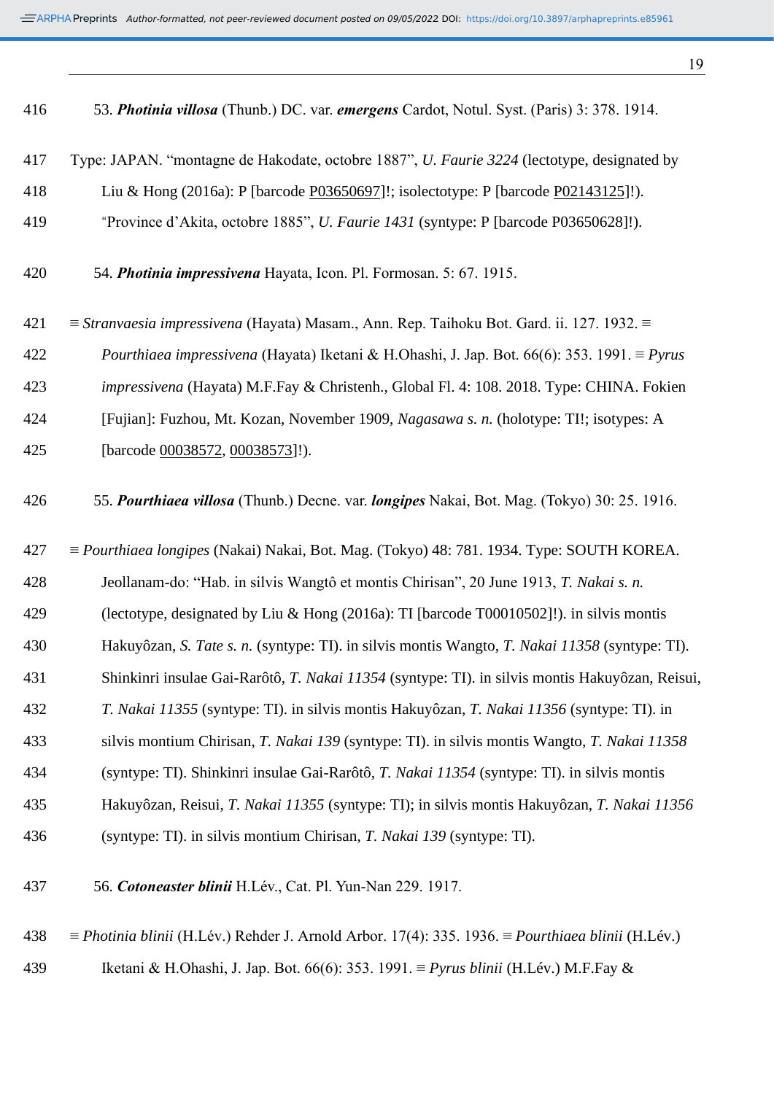| 416 | 53. Photinia villosa (Thunb.) DC. var. emergens Cardot, Notul. Syst. (Paris) 3: 378. 1914.                      |
|-----|-----------------------------------------------------------------------------------------------------------------|
| 417 | Type: JAPAN. "montagne de Hakodate, octobre 1887", <i>U. Faurie 3224</i> (lectotype, designated by              |
| 418 | Liu & Hong (2016a): P [barcode P03650697]!; isolectotype: P [barcode P02143125]!).                              |
| 419 | "Province d'Akita, octobre 1885", U. Faurie 1431 (syntype: P [barcode P03650628]!).                             |
| 420 | 54. Photinia impressivena Hayata, Icon. Pl. Formosan. 5: 67. 1915.                                              |
| 421 | $\equiv$ Stranvaesia impressivena (Hayata) Masam., Ann. Rep. Taihoku Bot. Gard. ii. 127. 1932. $\equiv$         |
| 422 | Pourthiaea impressivena (Hayata) Iketani & H.Ohashi, J. Jap. Bot. 66(6): 353. 1991. $\equiv$ Pyrus              |
| 423 | impressivena (Hayata) M.F.Fay & Christenh., Global Fl. 4: 108. 2018. Type: CHINA. Fokien                        |
| 424 | [Fujian]: Fuzhou, Mt. Kozan, November 1909, Nagasawa s. n. (holotype: TI!; isotypes: A                          |
| 425 | [barcode 00038572, 00038573]!).                                                                                 |
| 426 | 55. Pourthiaea villosa (Thunb.) Decne. var. longipes Nakai, Bot. Mag. (Tokyo) 30: 25. 1916.                     |
| 427 | $\equiv$ <i>Pourthiaea longipes</i> (Nakai) Nakai, Bot. Mag. (Tokyo) 48: 781. 1934. Type: SOUTH KOREA.          |
| 428 | Jeollanam-do: "Hab. in silvis Wangtô et montis Chirisan", 20 June 1913, T. Nakai s. n.                          |
| 429 | (lectotype, designated by Liu & Hong (2016a): TI [barcode T00010502]!). in silvis montis                        |
| 430 | Hakuyôzan, S. Tate s. n. (syntype: TI). in silvis montis Wangto, T. Nakai 11358 (syntype: TI).                  |
| 431 | Shinkinri insulae Gai-Rarôtô, T. Nakai 11354 (syntype: TI). in silvis montis Hakuyôzan, Reisui,                 |
| 432 | T. Nakai 11355 (syntype: TI). in silvis montis Hakuyôzan, T. Nakai 11356 (syntype: TI). in                      |
| 433 | silvis montium Chirisan, T. Nakai 139 (syntype: TI). in silvis montis Wangto, T. Nakai 11358                    |
| 434 | (syntype: TI). Shinkinri insulae Gai-Rarôtô, T. Nakai 11354 (syntype: TI). in silvis montis                     |
| 435 | Hakuyôzan, Reisui, T. Nakai 11355 (syntype: TI); in silvis montis Hakuyôzan, T. Nakai 11356                     |
| 436 | (syntype: TI). in silvis montium Chirisan, T. Nakai 139 (syntype: TI).                                          |
| 437 | 56. Cotoneaster blinii H.Lév., Cat. Pl. Yun-Nan 229. 1917.                                                      |
| 438 | $\equiv$ Photinia blinii (H.Lév.) Rehder J. Arnold Arbor. 17(4): 335. 1936. $\equiv$ Pourthiaea blinii (H.Lév.) |

Iketani & H.Ohashi, J. Jap. Bot. 66(6): 353. 1991. ≡ *Pyrus blinii* (H.Lév.) M.F.Fay &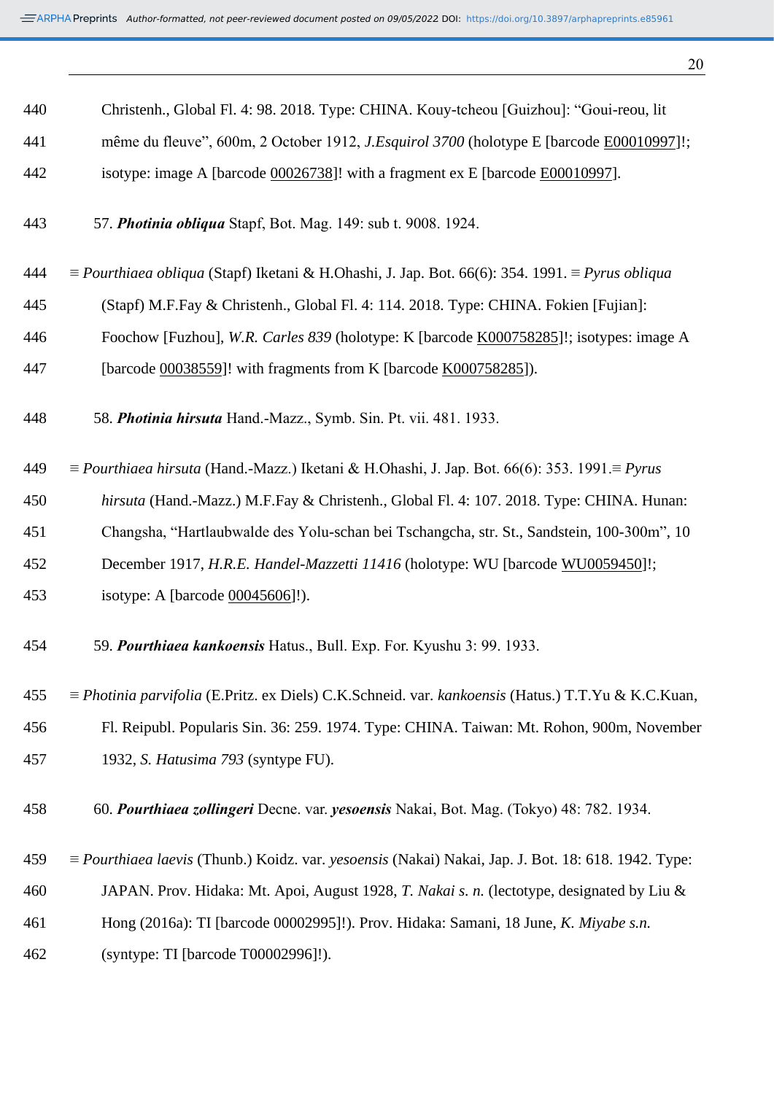| ٠  |              |
|----|--------------|
| ۰. | I<br>×<br>۰. |

| 440 | Christenh., Global Fl. 4: 98. 2018. Type: CHINA. Kouy-tcheou [Guizhou]: "Goui-reou, lit                                     |
|-----|-----------------------------------------------------------------------------------------------------------------------------|
| 441 | même du fleuve", 600m, 2 October 1912, <i>J.Esquirol 3700</i> (holotype E [barcode E00010997]!;                             |
| 442 | isotype: image A [barcode 00026738]! with a fragment ex E [barcode E00010997].                                              |
| 443 | 57. Photinia obliqua Stapf, Bot. Mag. 149: sub t. 9008. 1924.                                                               |
| 444 | $\equiv$ Pourthiaea obliqua (Stapf) Iketani & H.Ohashi, J. Jap. Bot. 66(6): 354. 1991. $\equiv$ Pyrus obliqua               |
| 445 | (Stapf) M.F.Fay & Christenh., Global Fl. 4: 114. 2018. Type: CHINA. Fokien [Fujian]:                                        |
| 446 | Foochow [Fuzhou], W.R. Carles 839 (holotype: K [barcode K000758285]!; isotypes: image A                                     |
| 447 | [barcode 00038559]! with fragments from K [barcode K000758285]).                                                            |
| 448 | 58. Photinia hirsuta Hand.-Mazz., Symb. Sin. Pt. vii. 481. 1933.                                                            |
| 449 | $\equiv$ Pourthiaea hirsuta (Hand.-Mazz.) Iketani & H.Ohashi, J. Jap. Bot. 66(6): 353. 1991. $\equiv$ Pyrus                 |
| 450 | hirsuta (Hand.-Mazz.) M.F.Fay & Christenh., Global Fl. 4: 107. 2018. Type: CHINA. Hunan:                                    |
| 451 | Changsha, "Hartlaubwalde des Yolu-schan bei Tschangcha, str. St., Sandstein, 100-300m", 10                                  |
| 452 | December 1917, H.R.E. Handel-Mazzetti 11416 (holotype: WU [barcode WU0059450]!;                                             |
| 453 | isotype: A [barcode 00045606]!).                                                                                            |
| 454 | 59. Pourthiaea kankoensis Hatus., Bull. Exp. For. Kyushu 3: 99. 1933.                                                       |
| 455 | $\equiv$ <i>Photinia parvifolia</i> (E. Pritz. ex Diels) C.K. Schneid. var. <i>kankoensis</i> (Hatus.) T.T. Yu & K.C. Kuan, |
| 456 | Fl. Reipubl. Popularis Sin. 36: 259. 1974. Type: CHINA. Taiwan: Mt. Rohon, 900m, November                                   |
| 457 | 1932, S. Hatusima 793 (syntype FU).                                                                                         |
| 458 | 60. Pourthiaea zollingeri Decne. var. yesoensis Nakai, Bot. Mag. (Tokyo) 48: 782. 1934.                                     |
| 459 | $\equiv$ <i>Pourthiaea laevis</i> (Thunb.) Koidz. var. <i>yesoensis</i> (Nakai) Nakai, Jap. J. Bot. 18: 618. 1942. Type:    |
| 460 | JAPAN. Prov. Hidaka: Mt. Apoi, August 1928, T. Nakai s. n. (lectotype, designated by Liu &                                  |
| 461 | Hong (2016a): TI [barcode 00002995]!). Prov. Hidaka: Samani, 18 June, K. Miyabe s.n.                                        |
| 462 | (syntype: TI [barcode T00002996]!).                                                                                         |
|     |                                                                                                                             |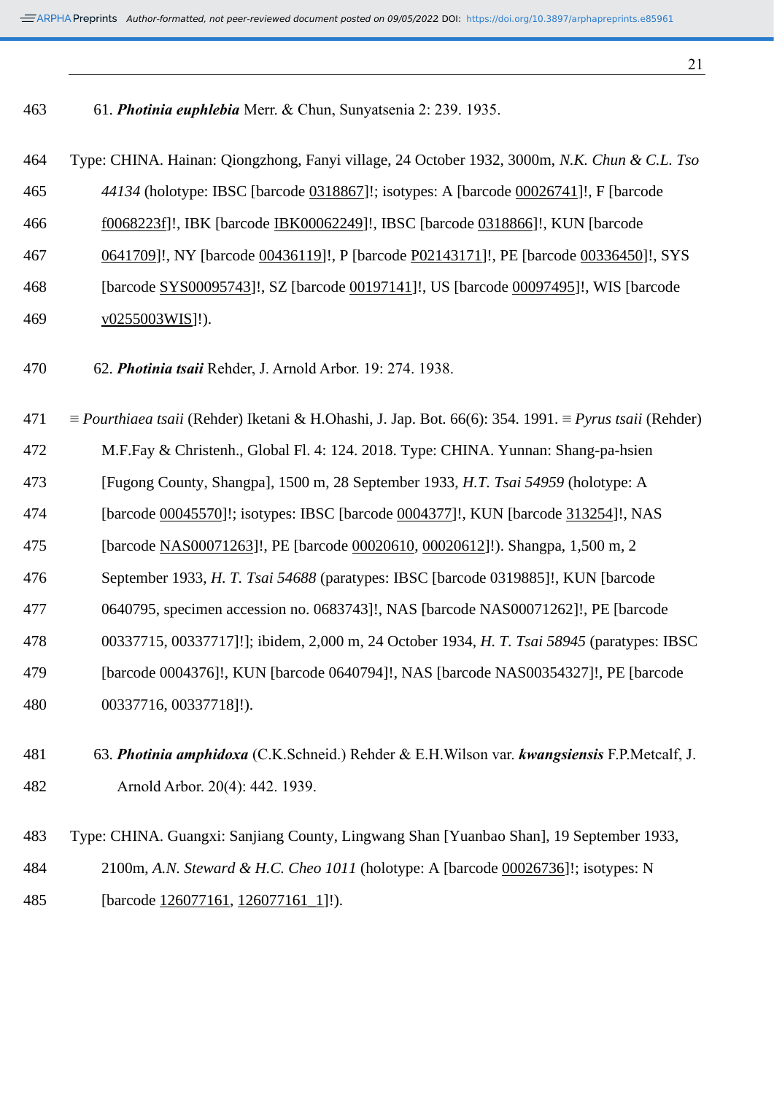| 463 | 61. Photinia euphlebia Merr. & Chun, Sunyatsenia 2: 239. 1935.                                                                    |
|-----|-----------------------------------------------------------------------------------------------------------------------------------|
| 464 | Type: CHINA. Hainan: Qiongzhong, Fanyi village, 24 October 1932, 3000m, N.K. Chun & C.L. Tso                                      |
| 465 | 44134 (holotype: IBSC [barcode 0318867]!; isotypes: A [barcode 00026741]!, F [barcode                                             |
| 466 | f0068223f]!, IBK [barcode IBK00062249]!, IBSC [barcode 0318866]!, KUN [barcode                                                    |
| 467 | 0641709]!, NY [barcode 00436119]!, P [barcode P02143171]!, PE [barcode 00336450]!, SYS                                            |
| 468 | [barcode SYS00095743]!, SZ [barcode 00197141]!, US [barcode 00097495]!, WIS [barcode                                              |
| 469 | $\underline{v0255003WIS}$ ]!).                                                                                                    |
| 470 | 62. Photinia tsaii Rehder, J. Arnold Arbor. 19: 274. 1938.                                                                        |
| 471 | $\equiv$ <i>Pourthiaea tsaii</i> (Rehder) Iketani & H.Ohashi, J. Jap. Bot. 66(6): 354. 1991. $\equiv$ <i>Pyrus tsaii</i> (Rehder) |
| 472 | M.F.Fay & Christenh., Global Fl. 4: 124. 2018. Type: CHINA. Yunnan: Shang-pa-hsien                                                |
| 473 | [Fugong County, Shangpa], 1500 m, 28 September 1933, H.T. Tsai 54959 (holotype: A                                                 |
| 474 | [barcode 00045570]!; isotypes: IBSC [barcode 0004377]!, KUN [barcode 313254]!, NAS                                                |
| 475 | [barcode NAS00071263]!, PE [barcode 00020610, 00020612]!). Shangpa, 1,500 m, 2                                                    |
| 476 | September 1933, H. T. Tsai 54688 (paratypes: IBSC [barcode 0319885]!, KUN [barcode                                                |
| 477 | 0640795, specimen accession no. 0683743]!, NAS [barcode NAS00071262]!, PE [barcode                                                |
| 478 | 00337715, 00337717]!]; ibidem, 2,000 m, 24 October 1934, H. T. Tsai 58945 (paratypes: IBSC                                        |
| 479 | [barcode 0004376]!, KUN [barcode 0640794]!, NAS [barcode NAS00354327]!, PE [barcode                                               |
| 480 | 00337716, 00337718]!).                                                                                                            |
| 481 | 63. Photinia amphidoxa (C.K.Schneid.) Rehder & E.H.Wilson var. kwangsiensis F.P.Metcalf, J.                                       |
| 482 | Arnold Arbor. 20(4): 442. 1939.                                                                                                   |
| 483 | Type: CHINA. Guangxi: Sanjiang County, Lingwang Shan [Yuanbao Shan], 19 September 1933,                                           |
| 484 | 2100m, A.N. Steward & H.C. Cheo 1011 (holotype: A [barcode 00026736]!; isotypes: N                                                |
| 485 | [barcode 126077161, 126077161_1]!).                                                                                               |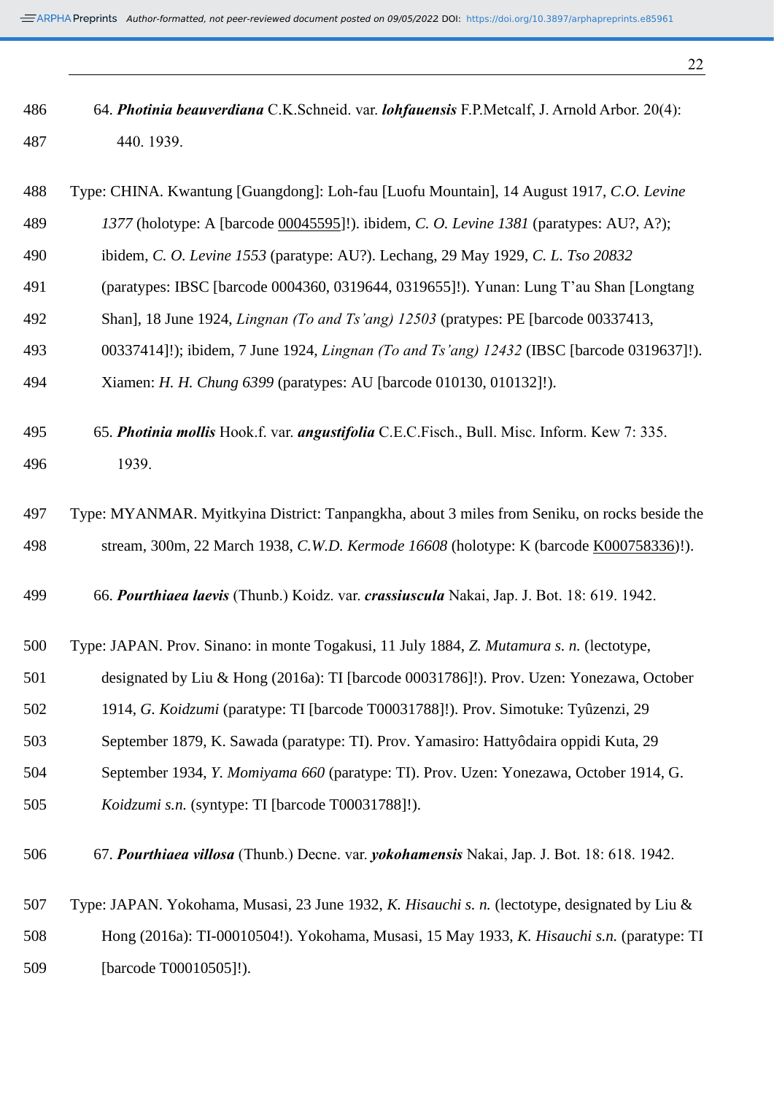| 486 | 64. Photinia beauverdiana C.K.Schneid. var. lohfauensis F.P.Metcalf, J. Arnold Arbor. 20(4):      |
|-----|---------------------------------------------------------------------------------------------------|
| 487 | 440. 1939.                                                                                        |
|     |                                                                                                   |
| 488 | Type: CHINA. Kwantung [Guangdong]: Loh-fau [Luofu Mountain], 14 August 1917, C.O. Levine          |
| 489 | 1377 (holotype: A [barcode 00045595]!). ibidem, C. O. Levine 1381 (paratypes: AU?, A?);           |
| 490 | ibidem, C. O. Levine 1553 (paratype: AU?). Lechang, 29 May 1929, C. L. Tso 20832                  |
| 491 | (paratypes: IBSC [barcode 0004360, 0319644, 0319655]!). Yunan: Lung T'au Shan [Longtang]          |
| 492 | Shan], 18 June 1924, <i>Lingnan (To and Ts'ang) 12503</i> (pratypes: PE [barcode 00337413,        |
| 493 | 00337414]!); ibidem, 7 June 1924, <i>Lingnan (To and Ts'ang)</i> 12432 (IBSC [barcode 0319637]!). |
| 494 | Xiamen: H. H. Chung 6399 (paratypes: AU [barcode 010130, 010132]!).                               |
| 495 | 65. Photinia mollis Hook.f. var. angustifolia C.E.C.Fisch., Bull. Misc. Inform. Kew 7: 335.       |
| 496 | 1939.                                                                                             |
|     |                                                                                                   |
| 497 | Type: MYANMAR. Myitkyina District: Tanpangkha, about 3 miles from Seniku, on rocks beside the     |
| 498 | stream, 300m, 22 March 1938, C.W.D. Kermode 16608 (holotype: K (barcode K000758336)!).            |
|     |                                                                                                   |
| 499 | 66. Pourthiaea laevis (Thunb.) Koidz. var. crassiuscula Nakai, Jap. J. Bot. 18: 619. 1942.        |
| 500 | Type: JAPAN. Prov. Sinano: in monte Togakusi, 11 July 1884, Z. Mutamura s. n. (lectotype,         |
| 501 | designated by Liu & Hong (2016a): TI [barcode 00031786]!). Prov. Uzen: Yonezawa, October          |
|     |                                                                                                   |

- 1914, *G. Koidzumi* (paratype: TI [barcode T00031788]!). Prov. Simotuke: Tyûzenzi, 29
- September 1879, K. Sawada (paratype: TI). Prov. Yamasiro: Hattyôdaira oppidi Kuta, 29
- September 1934, *Y. Momiyama 660* (paratype: TI). Prov. Uzen: Yonezawa, October 1914, G.
- *Koidzumi s.n.* (syntype: TI [barcode T00031788]!).
- 67. *Pourthiaea villosa* (Thunb.) Decne. var. *yokohamensis* Nakai, Jap. J. Bot. 18: 618. 1942.
- Type: JAPAN. Yokohama, Musasi, 23 June 1932, *K. Hisauchi s. n.* (lectotype, designated by Liu & Hong (2016a): TI-00010504!). Yokohama, Musasi, 15 May 1933, *K. Hisauchi s.n.* (paratype: TI [barcode T00010505]!).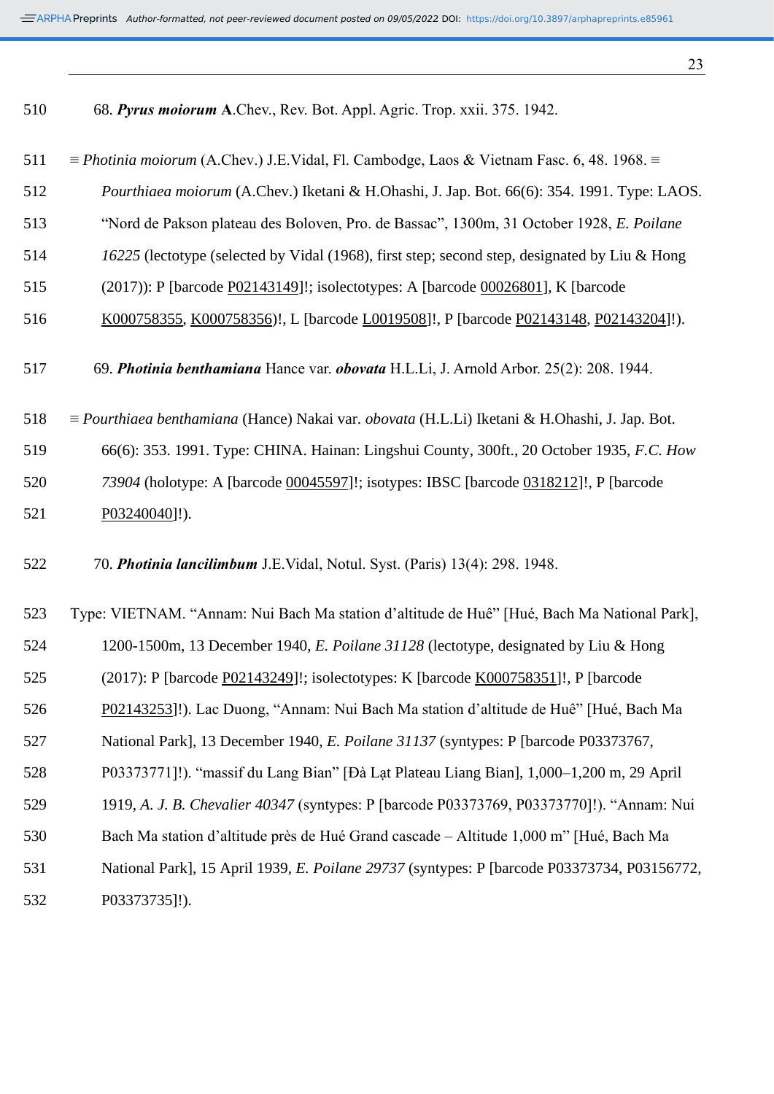| 510 | 68. Pyrus moiorum A.Chev., Rev. Bot. Appl. Agric. Trop. xxii. 375. 1942.                                       |
|-----|----------------------------------------------------------------------------------------------------------------|
| 511 | $\equiv$ <i>Photinia moiorum</i> (A.Chev.) J.E.Vidal, Fl. Cambodge, Laos & Vietnam Fasc. 6, 48. 1968. $\equiv$ |
| 512 | Pourthiaea moiorum (A.Chev.) Iketani & H.Ohashi, J. Jap. Bot. 66(6): 354. 1991. Type: LAOS.                    |
| 513 | "Nord de Pakson plateau des Boloven, Pro. de Bassac", 1300m, 31 October 1928, E. Poilane                       |
| 514 | 16225 (lectotype (selected by Vidal (1968), first step; second step, designated by Liu & Hong                  |
| 515 | (2017)): P [barcode P02143149]!; isolectotypes: A [barcode 00026801], K [barcode                               |
| 516 | K000758355, K000758356)!, L [barcode L0019508]!, P [barcode P02143148, P02143204]!).                           |
| 517 | 69. Photinia benthamiana Hance var. obovata H.L.Li, J. Arnold Arbor. 25(2): 208. 1944.                         |
| 518 | $\equiv$ Pourthiaea benthamiana (Hance) Nakai var. obovata (H.L.Li) Iketani & H.Ohashi, J. Jap. Bot.           |
| 519 | 66(6): 353. 1991. Type: CHINA. Hainan: Lingshui County, 300ft., 20 October 1935, F.C. How                      |
| 520 | 73904 (holotype: A [barcode 00045597]!; isotypes: IBSC [barcode 0318212]!, P [barcode                          |
| 521 | $P03240040$ ]!).                                                                                               |
| 522 | 70. Photinia lancilimbum J.E.Vidal, Notul. Syst. (Paris) 13(4): 298. 1948.                                     |
| 523 | Type: VIETNAM. "Annam: Nui Bach Ma station d'altitude de Huê" [Hué, Bach Ma National Park],                    |
| 524 | 1200-1500m, 13 December 1940, E. Poilane 31128 (lectotype, designated by Liu & Hong                            |
| 525 | (2017): P [barcode P02143249]!; isolectotypes: K [barcode K000758351]!, P [barcode                             |
| 526 | P02143253]!). Lac Duong, "Annam: Nui Bach Ma station d'altitude de Huê" [Hué, Bach Ma                          |
| 527 | National Park], 13 December 1940, <i>E. Poilane 31137</i> (syntypes: P [barcode P03373767,                     |
| 528 | P03373771]!). "massif du Lang Bian" [Đà Lạt Plateau Liang Bian], 1,000–1,200 m, 29 April                       |
| 529 | 1919, A. J. B. Chevalier 40347 (syntypes: P [barcode P03373769, P03373770]!). "Annam: Nui                      |
| 530 | Bach Ma station d'altitude près de Hué Grand cascade – Altitude 1,000 m" [Hué, Bach Ma                         |
| 531 | National Park], 15 April 1939, <i>E. Poilane 29737</i> (syntypes: P [barcode P03373734, P03156772,             |
| 532 | P03373735]!).                                                                                                  |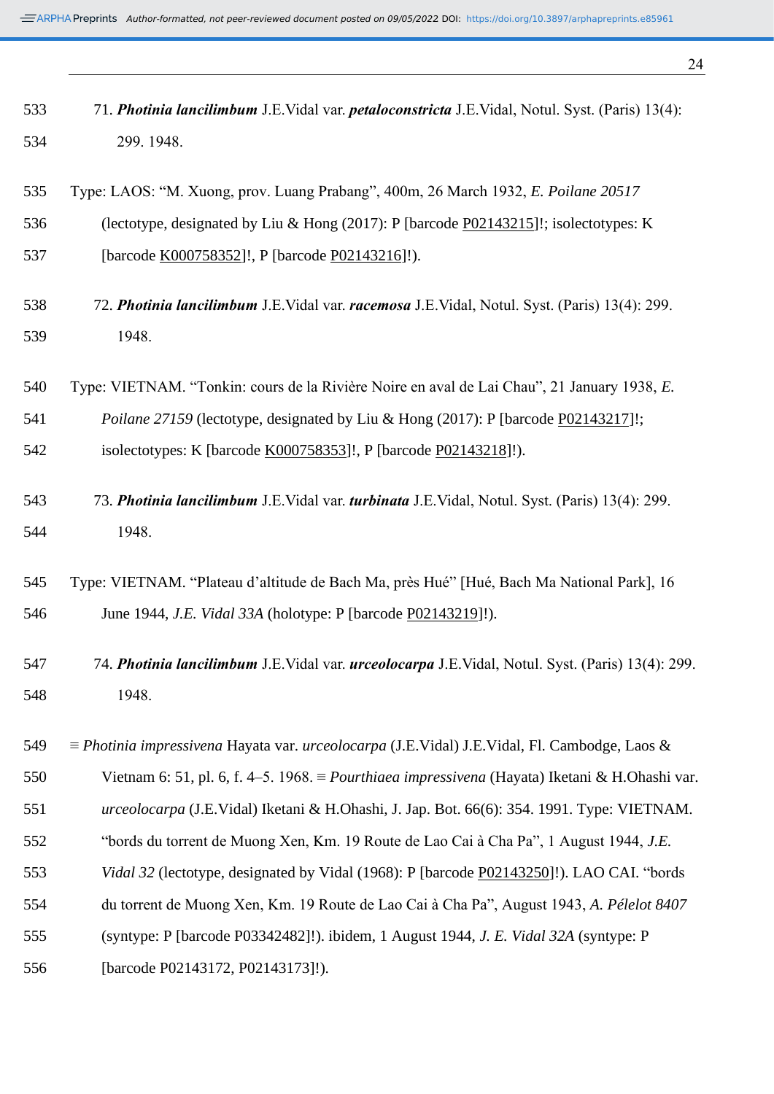71. *Photinia lancilimbum* J.E.Vidal var. *petaloconstricta* J.E.Vidal, Notul. Syst. (Paris) 13(4):

| 534 | 299.1948.                                                                                                    |
|-----|--------------------------------------------------------------------------------------------------------------|
| 535 | Type: LAOS: "M. Xuong, prov. Luang Prabang", 400m, 26 March 1932, E. Poilane 20517                           |
| 536 | (lectotype, designated by Liu & Hong (2017): P [barcode P02143215]!; isolectotypes: K                        |
| 537 | [barcode K000758352]!, P [barcode P02143216]!).                                                              |
| 538 | 72. Photinia lancilimbum J.E.Vidal var. racemosa J.E.Vidal, Notul. Syst. (Paris) 13(4): 299.                 |
| 539 | 1948.                                                                                                        |
| 540 | Type: VIETNAM. "Tonkin: cours de la Rivière Noire en aval de Lai Chau", 21 January 1938, E.                  |
| 541 | <i>Poilane 27159</i> (lectotype, designated by Liu & Hong (2017): P [barcode P02143217]!;                    |
| 542 | isolectotypes: K [barcode K000758353]!, P [barcode P02143218]!).                                             |
| 543 | 73. Photinia lancilimbum J.E.Vidal var. turbinata J.E.Vidal, Notul. Syst. (Paris) 13(4): 299.                |
| 544 | 1948.                                                                                                        |
| 545 | Type: VIETNAM. "Plateau d'altitude de Bach Ma, près Hué" [Hué, Bach Ma National Park], 16                    |
| 546 | June 1944, <i>J.E. Vidal 33A</i> (holotype: P [barcode P02143219]!).                                         |
| 547 | 74. Photinia lancilimbum J.E.Vidal var. urceolocarpa J.E.Vidal, Notul. Syst. (Paris) 13(4): 299.             |
| 548 | 1948.                                                                                                        |
| 549 | $\equiv$ Photinia impressivena Hayata var. urceolocarpa (J.E.Vidal) J.E.Vidal, Fl. Cambodge, Laos &          |
| 550 | Vietnam 6: 51, pl. 6, f. 4–5. 1968. $\equiv$ <i>Pourthiaea impressivena</i> (Hayata) Iketani & H.Ohashi var. |
| 551 | urceolocarpa (J.E.Vidal) Iketani & H.Ohashi, J. Jap. Bot. 66(6): 354. 1991. Type: VIETNAM.                   |
| 552 | "bords du torrent de Muong Xen, Km. 19 Route de Lao Cai à Cha Pa", 1 August 1944, J.E.                       |
| 553 | Vidal 32 (lectotype, designated by Vidal (1968): P [barcode P02143250]!). LAO CAI. "bords                    |
| 554 | du torrent de Muong Xen, Km. 19 Route de Lao Cai à Cha Pa", August 1943, A. Pélelot 8407                     |
| 555 | (syntype: P [barcode P03342482]!). ibidem, 1 August 1944, J. E. Vidal 32A (syntype: P                        |

[barcode P02143172, P02143173]!).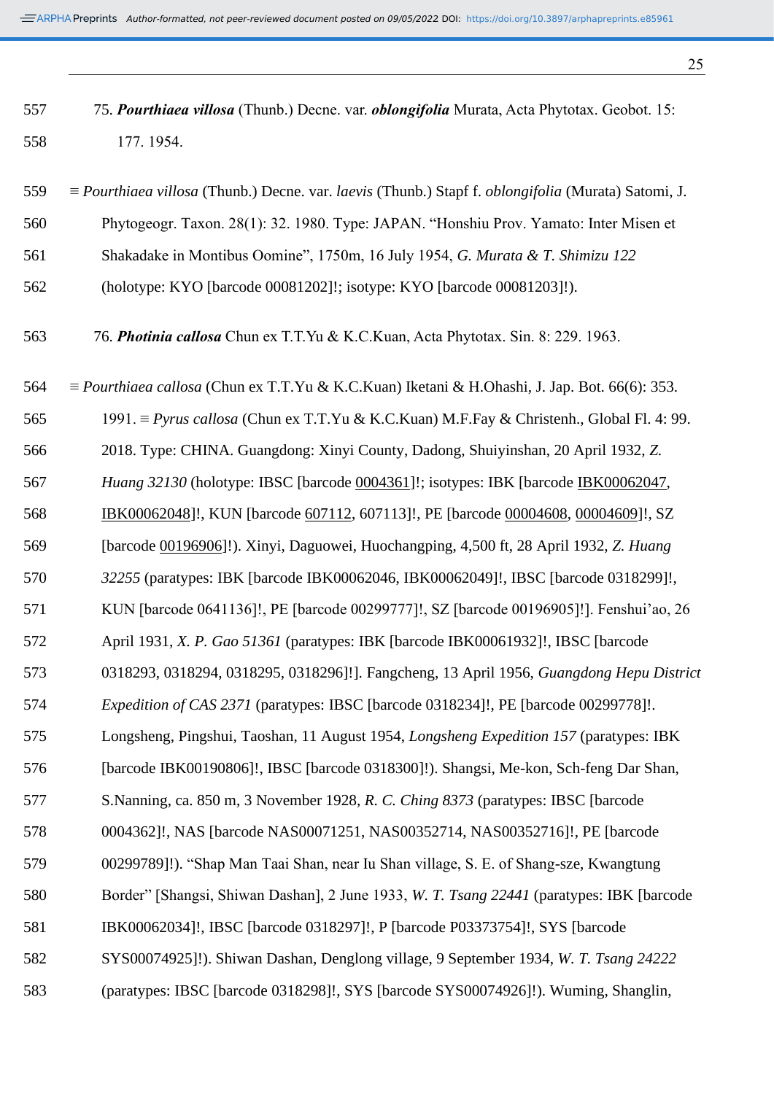| 557 | 75. Pourthiaea villosa (Thunb.) Decne. var. <i>oblongifolia</i> Murata, Acta Phytotax. Geobot. 15: |
|-----|----------------------------------------------------------------------------------------------------|
| 558 | 177. 1954.                                                                                         |

| 559 | $\equiv$ Pourthiaea villosa (Thunb.) Decne. var. laevis (Thunb.) Stapf f. oblongifolia (Murata) Satomi, J.  |
|-----|-------------------------------------------------------------------------------------------------------------|
| 560 | Phytogeogr. Taxon. 28(1): 32. 1980. Type: JAPAN. "Honshiu Prov. Yamato: Inter Misen et                      |
| 561 | Shakadake in Montibus Oomine", 1750m, 16 July 1954, G. Murata & T. Shimizu 122                              |
| 562 | (holotype: KYO [barcode 00081202]!; isotype: KYO [barcode 00081203]!).                                      |
| 563 | 76. Photinia callosa Chun ex T.T.Yu & K.C.Kuan, Acta Phytotax. Sin. 8: 229. 1963.                           |
| 564 | $\equiv$ <i>Pourthiaea callosa</i> (Chun ex T.T.Yu & K.C.Kuan) Iketani & H.Ohashi, J. Jap. Bot. 66(6): 353. |
| 565 | 1991. $\equiv$ Pyrus callosa (Chun ex T.T.Yu & K.C.Kuan) M.F.Fay & Christenh., Global Fl. 4: 99.            |
| 566 | 2018. Type: CHINA. Guangdong: Xinyi County, Dadong, Shuiyinshan, 20 April 1932, Z.                          |
| 567 | Huang 32130 (holotype: IBSC [barcode 0004361]!; isotypes: IBK [barcode IBK00062047,                         |
| 568 | IBK00062048]!, KUN [barcode 607112, 607113]!, PE [barcode 00004608, 00004609]!, SZ                          |
| 569 | [barcode 00196906]!). Xinyi, Daguowei, Huochangping, 4,500 ft, 28 April 1932, Z. Huang                      |
| 570 | 32255 (paratypes: IBK [barcode IBK00062046, IBK00062049]!, IBSC [barcode 0318299]!,                         |
| 571 | KUN [barcode 0641136]!, PE [barcode 00299777]!, SZ [barcode 00196905]!]. Fenshui'ao, 26                     |
| 572 | April 1931, X. P. Gao 51361 (paratypes: IBK [barcode IBK00061932]!, IBSC [barcode                           |
| 573 | 0318293, 0318294, 0318295, 0318296]!]. Fangcheng, 13 April 1956, Guangdong Hepu District                    |
| 574 | Expedition of CAS 2371 (paratypes: IBSC [barcode 0318234]!, PE [barcode 00299778]!.                         |
| 575 | Longsheng, Pingshui, Taoshan, 11 August 1954, Longsheng Expedition 157 (paratypes: IBK                      |
| 576 | [barcode IBK00190806]!, IBSC [barcode 0318300]!). Shangsi, Me-kon, Sch-feng Dar Shan,                       |
| 577 | S. Nanning, ca. 850 m, 3 November 1928, R. C. Ching 8373 (paratypes: IBSC [barcode]                         |
| 578 | 0004362]!, NAS [barcode NAS00071251, NAS00352714, NAS00352716]!, PE [barcode                                |
| 579 | 00299789]!). "Shap Man Taai Shan, near Iu Shan village, S. E. of Shang-sze, Kwangtung                       |
| 580 | Border" [Shangsi, Shiwan Dashan], 2 June 1933, W. T. Tsang 22441 (paratypes: IBK [barcode]                  |
| 581 | IBK00062034]!, IBSC [barcode 0318297]!, P [barcode P03373754]!, SYS [barcode                                |
| 582 | SYS00074925]!). Shiwan Dashan, Denglong village, 9 September 1934, W. T. Tsang 24222                        |
| 583 | (paratypes: IBSC [barcode 0318298]!, SYS [barcode SYS00074926]!). Wuming, Shanglin,                         |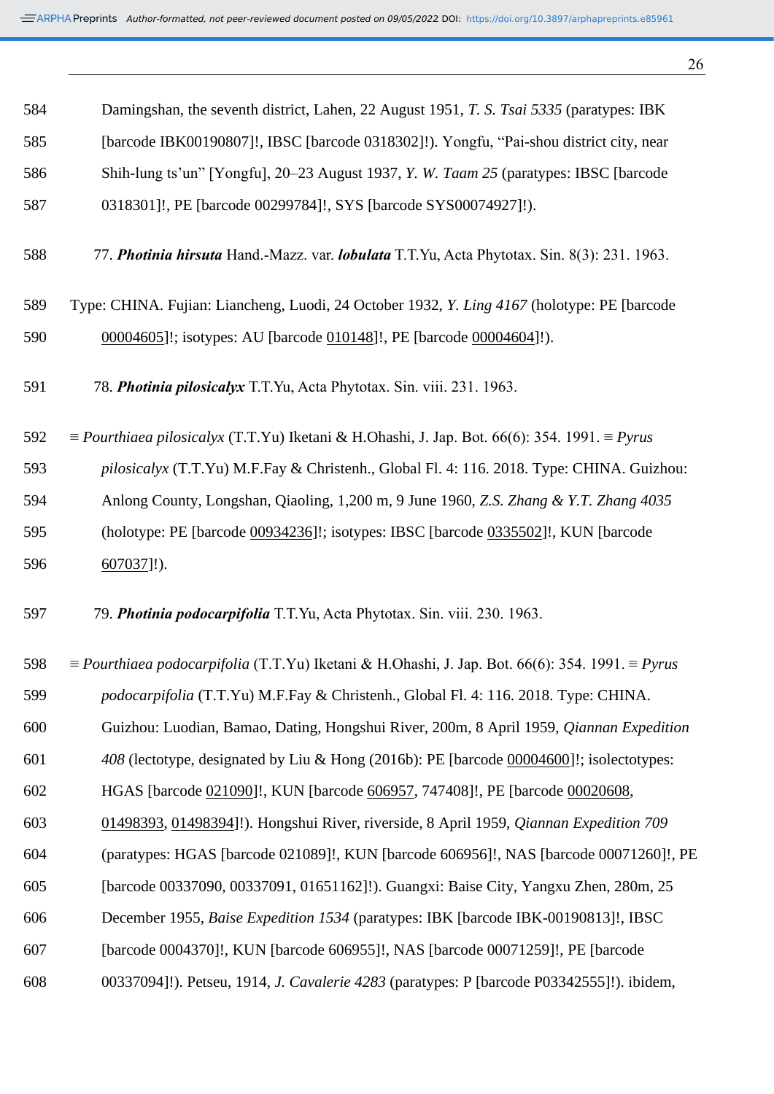| 584 | Damingshan, the seventh district, Lahen, 22 August 1951, T. S. Tsai 5335 (paratypes: IBK                                 |
|-----|--------------------------------------------------------------------------------------------------------------------------|
| 585 | [barcode IBK00190807]!, IBSC [barcode 0318302]!). Yongfu, "Pai-shou district city, near                                  |
| 586 | Shih-lung ts'un" [Yongfu], 20–23 August 1937, Y. W. Taam 25 (paratypes: IBSC [barcode]                                   |
| 587 | 0318301]!, PE [barcode 00299784]!, SYS [barcode SYS00074927]!).                                                          |
| 588 | 77. Photinia hirsuta Hand.-Mazz. var. <i>lobulata</i> T.T.Yu, Acta Phytotax. Sin. 8(3): 231. 1963.                       |
| 589 | Type: CHINA. Fujian: Liancheng, Luodi, 24 October 1932, <i>Y. Ling 4167</i> (holotype: PE [barcode]                      |
| 590 | 00004605]!; isotypes: AU [barcode 010148]!, PE [barcode 00004604]!).                                                     |
| 591 | 78. Photinia pilosicalyx T.T.Yu, Acta Phytotax. Sin. viii. 231. 1963.                                                    |
| 592 | $\equiv$ <i>Pourthiaea pilosicalyx</i> (T.T.Yu) Iketani & H.Ohashi, J. Jap. Bot. 66(6): 354. 1991. $\equiv$ <i>Pyrus</i> |
| 593 | pilosicalyx (T.T.Yu) M.F.Fay & Christenh., Global Fl. 4: 116. 2018. Type: CHINA. Guizhou:                                |
| 594 | Anlong County, Longshan, Qiaoling, 1,200 m, 9 June 1960, Z.S. Zhang & Y.T. Zhang 4035                                    |
| 595 | (holotype: PE [barcode 00934236]!; isotypes: IBSC [barcode 0335502]!, KUN [barcode]                                      |
| 596 | $607037$ ]!).                                                                                                            |
| 597 | 79. Photinia podocarpifolia T.T.Yu, Acta Phytotax. Sin. viii. 230. 1963.                                                 |
| 598 | $\equiv$ Pourthiaea podocarpifolia (T.T.Yu) Iketani & H.Ohashi, J. Jap. Bot. 66(6): 354. 1991. $\equiv$ Pyrus            |
| 599 | podocarpifolia (T.T.Yu) M.F.Fay & Christenh., Global Fl. 4: 116. 2018. Type: CHINA.                                      |
| 600 | Guizhou: Luodian, Bamao, Dating, Hongshui River, 200m, 8 April 1959, Qiannan Expedition                                  |
| 601 | 408 (lectotype, designated by Liu & Hong (2016b): PE [barcode 00004600]!; isolectotypes:                                 |
| 602 | HGAS [barcode 021090]!, KUN [barcode 606957, 747408]!, PE [barcode 00020608,                                             |
| 603 | 01498393, 01498394]!). Hongshui River, riverside, 8 April 1959, <i>Qiannan Expedition 709</i>                            |
| 604 | (paratypes: HGAS [barcode 021089]!, KUN [barcode 606956]!, NAS [barcode 00071260]!, PE                                   |
| 605 | [barcode 00337090, 00337091, 01651162]!). Guangxi: Baise City, Yangxu Zhen, 280m, 25                                     |
| 606 | December 1955, <i>Baise Expedition 1534</i> (paratypes: IBK [barcode IBK-00190813]!, IBSC                                |
| 607 | [barcode 0004370]!, KUN [barcode 606955]!, NAS [barcode 00071259]!, PE [barcode                                          |
| 608 | 00337094]!). Petseu, 1914, <i>J. Cavalerie 4283</i> (paratypes: P [barcode P03342555]!). ibidem,                         |
|     |                                                                                                                          |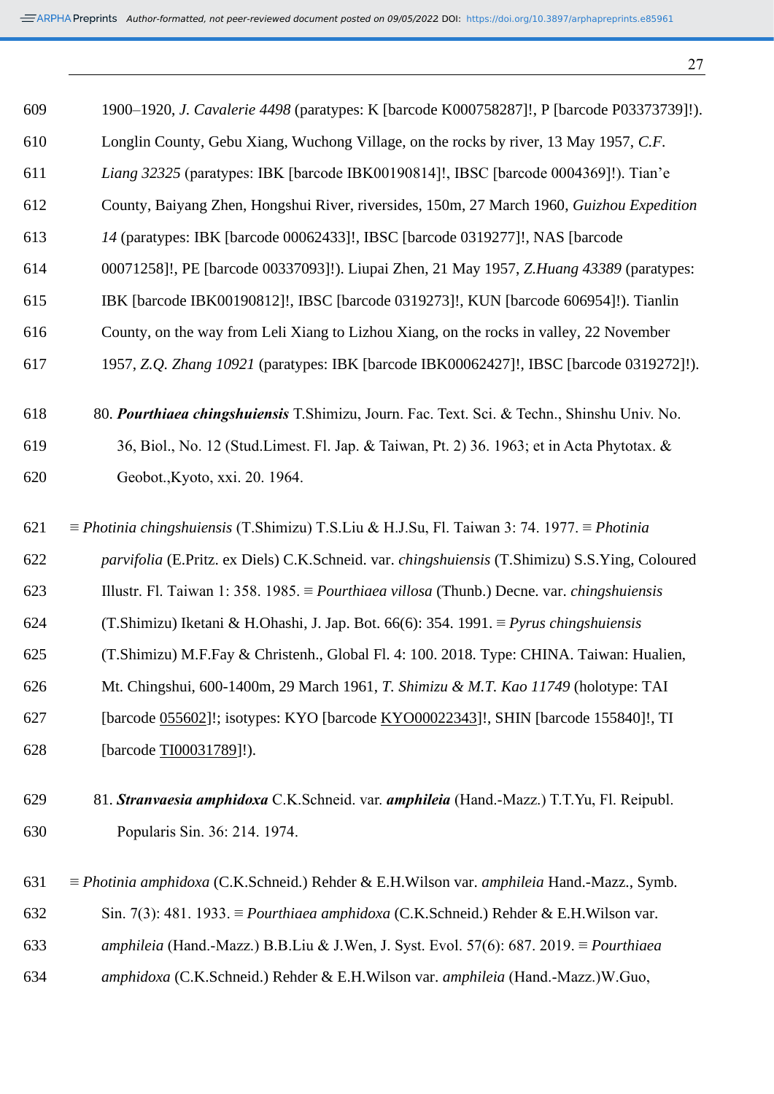| ٠  | ۰.<br>٧<br>I |
|----|--------------|
| ۰. |              |

| 609 | 1900–1920, J. Cavalerie 4498 (paratypes: K [barcode K000758287]!, P [barcode P03373739]!).                      |
|-----|-----------------------------------------------------------------------------------------------------------------|
| 610 | Longlin County, Gebu Xiang, Wuchong Village, on the rocks by river, 13 May 1957, C.F.                           |
| 611 | Liang 32325 (paratypes: IBK [barcode IBK00190814]!, IBSC [barcode 0004369]!). Tian'e                            |
| 612 | County, Baiyang Zhen, Hongshui River, riversides, 150m, 27 March 1960, Guizhou Expedition                       |
| 613 | 14 (paratypes: IBK [barcode 00062433]!, IBSC [barcode 0319277]!, NAS [barcode                                   |
| 614 | 00071258]!, PE [barcode 00337093]!). Liupai Zhen, 21 May 1957, Z.Huang 43389 (paratypes:                        |
| 615 | IBK [barcode IBK00190812]!, IBSC [barcode 0319273]!, KUN [barcode 606954]!). Tianlin                            |
| 616 | County, on the way from Leli Xiang to Lizhou Xiang, on the rocks in valley, 22 November                         |
| 617 | 1957, Z.Q. Zhang 10921 (paratypes: IBK [barcode IBK00062427]!, IBSC [barcode 0319272]!).                        |
| 618 | 80. Pourthiaea chingshuiensis T.Shimizu, Journ. Fac. Text. Sci. & Techn., Shinshu Univ. No.                     |
| 619 | 36, Biol., No. 12 (Stud.Limest. Fl. Jap. & Taiwan, Pt. 2) 36. 1963; et in Acta Phytotax. &                      |
| 620 | Geobot., Kyoto, xxi. 20. 1964.                                                                                  |
| 621 | $\equiv$ Photinia chingshuiensis (T.Shimizu) T.S.Liu & H.J.Su, Fl. Taiwan 3: 74. 1977. $\equiv$ Photinia        |
| 622 | parvifolia (E.Pritz. ex Diels) C.K.Schneid. var. chingshuiensis (T.Shimizu) S.S.Ying, Coloured                  |
| 623 | Illustr. Fl. Taiwan 1: 358. 1985. $\equiv$ <i>Pourthiaea villosa</i> (Thunb.) Decne. var. <i>chingshuiensis</i> |
| 624 | (T.Shimizu) Iketani & H.Ohashi, J. Jap. Bot. 66(6): 354. 1991. $\equiv$ Pyrus chingshuiensis                    |
| 625 | (T.Shimizu) M.F.Fay & Christenh., Global Fl. 4: 100. 2018. Type: CHINA. Taiwan: Hualien,                        |
| 626 | Mt. Chingshui, 600-1400m, 29 March 1961, T. Shimizu & M.T. Kao 11749 (holotype: TAI                             |
| 627 | [barcode 055602]!; isotypes: KYO [barcode KYO00022343]!, SHIN [barcode 155840]!, TI                             |
| 628 | [barcode TI00031789]!).                                                                                         |
| 629 | 81. Stranvaesia amphidoxa C.K.Schneid. var. amphileia (Hand.-Mazz.) T.T.Yu, Fl. Reipubl.                        |
| 630 | Popularis Sin. 36: 214. 1974.                                                                                   |
| 631 | $\equiv$ <i>Photinia amphidoxa</i> (C.K.Schneid.) Rehder & E.H.Wilson var. <i>amphileia</i> Hand.-Mazz., Symb.  |
| 632 | Sin. 7(3): 481. 1933. $\equiv$ <i>Pourthiaea amphidoxa</i> (C.K.Schneid.) Rehder & E.H.Wilson var.              |
| 633 | amphileia (Hand.-Mazz.) B.B.Liu & J.Wen, J. Syst. Evol. 57(6): 687. 2019. $\equiv$ Pourthiaea                   |
| 634 | amphidoxa (C.K.Schneid.) Rehder & E.H.Wilson var. amphileia (Hand.-Mazz.)W.Guo,                                 |
|     |                                                                                                                 |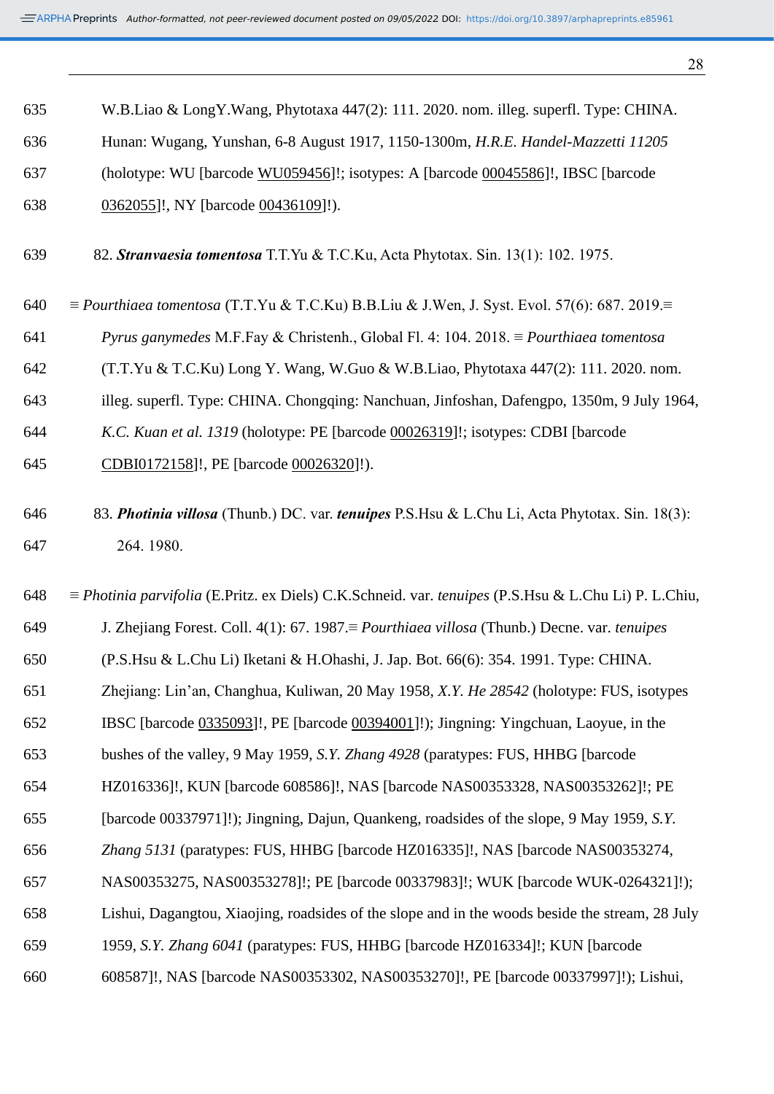W.B.Liao & LongY.Wang, Phytotaxa 447(2): 111. 2020. nom. illeg. superfl. Type: CHINA.

| 636 | Hunan: Wugang, Yunshan, 6-8 August 1917, 1150-1300m, H.R.E. Handel-Mazzetti 11205                                         |
|-----|---------------------------------------------------------------------------------------------------------------------------|
| 637 | (holotype: WU [barcode WU059456]!; isotypes: A [barcode 00045586]!, IBSC [barcode                                         |
| 638 | 0362055]!, NY [barcode 00436109]!).                                                                                       |
| 639 | 82. Stranvaesia tomentosa T.T.Yu & T.C.Ku, Acta Phytotax. Sin. 13(1): 102. 1975.                                          |
| 640 | $\equiv$ Pourthiaea tomentosa (T.T.Yu & T.C.Ku) B.B.Liu & J.Wen, J. Syst. Evol. 57(6): 687. 2019.                         |
| 641 | <i>Pyrus ganymedes</i> M.F.Fay & Christenh., Global Fl. 4: 104. 2018. $\equiv$ <i>Pourthiaea tomentosa</i>                |
| 642 | (T.T.Yu & T.C.Ku) Long Y. Wang, W.Guo & W.B.Liao, Phytotaxa 447(2): 111. 2020. nom.                                       |
| 643 | illeg. superfl. Type: CHINA. Chongqing: Nanchuan, Jinfoshan, Dafengpo, 1350m, 9 July 1964,                                |
| 644 | K.C. Kuan et al. 1319 (holotype: PE [barcode 00026319]!; isotypes: CDBI [barcode]                                         |
| 645 | CDBI0172158]!, PE [barcode 00026320]!).                                                                                   |
| 646 | 83. Photinia villosa (Thunb.) DC. var. tenuipes P.S. Hsu & L.Chu Li, Acta Phytotax. Sin. 18(3):                           |
| 647 | 264.1980.                                                                                                                 |
| 648 | $\equiv$ <i>Photinia parvifolia</i> (E.Pritz. ex Diels) C.K.Schneid. var. <i>tenuipes</i> (P.S.Hsu & L.Chu Li) P. L.Chiu, |
| 649 | J. Zhejiang Forest. Coll. 4(1): 67. 1987. $\equiv$ <i>Pourthiaea villosa</i> (Thunb.) Decne. var. <i>tenuipes</i>         |
| 650 | (P.S.Hsu & L.Chu Li) Iketani & H.Ohashi, J. Jap. Bot. 66(6): 354. 1991. Type: CHINA.                                      |
| 651 | Zhejiang: Lin'an, Changhua, Kuliwan, 20 May 1958, X.Y. He 28542 (holotype: FUS, isotypes                                  |
| 652 | IBSC [barcode 0335093]!, PE [barcode 00394001]!); Jingning: Yingchuan, Laoyue, in the                                     |
| 653 | bushes of the valley, 9 May 1959, S.Y. Zhang 4928 (paratypes: FUS, HHBG [barcode]                                         |
| 654 | HZ016336]!, KUN [barcode 608586]!, NAS [barcode NAS00353328, NAS00353262]!; PE                                            |
| 655 | [barcode 00337971]!); Jingning, Dajun, Quankeng, roadsides of the slope, 9 May 1959, S.Y.                                 |
| 656 | Zhang 5131 (paratypes: FUS, HHBG [barcode HZ016335]!, NAS [barcode NAS00353274,                                           |
| 657 | NAS00353275, NAS00353278]!; PE [barcode 00337983]!; WUK [barcode WUK-0264321]!);                                          |
| 658 | Lishui, Dagangtou, Xiaojing, roadsides of the slope and in the woods beside the stream, 28 July                           |
| 659 | 1959, S.Y. Zhang 6041 (paratypes: FUS, HHBG [barcode HZ016334]!; KUN [barcode                                             |
| 660 | 608587]!, NAS [barcode NAS00353302, NAS00353270]!, PE [barcode 00337997]!); Lishui,                                       |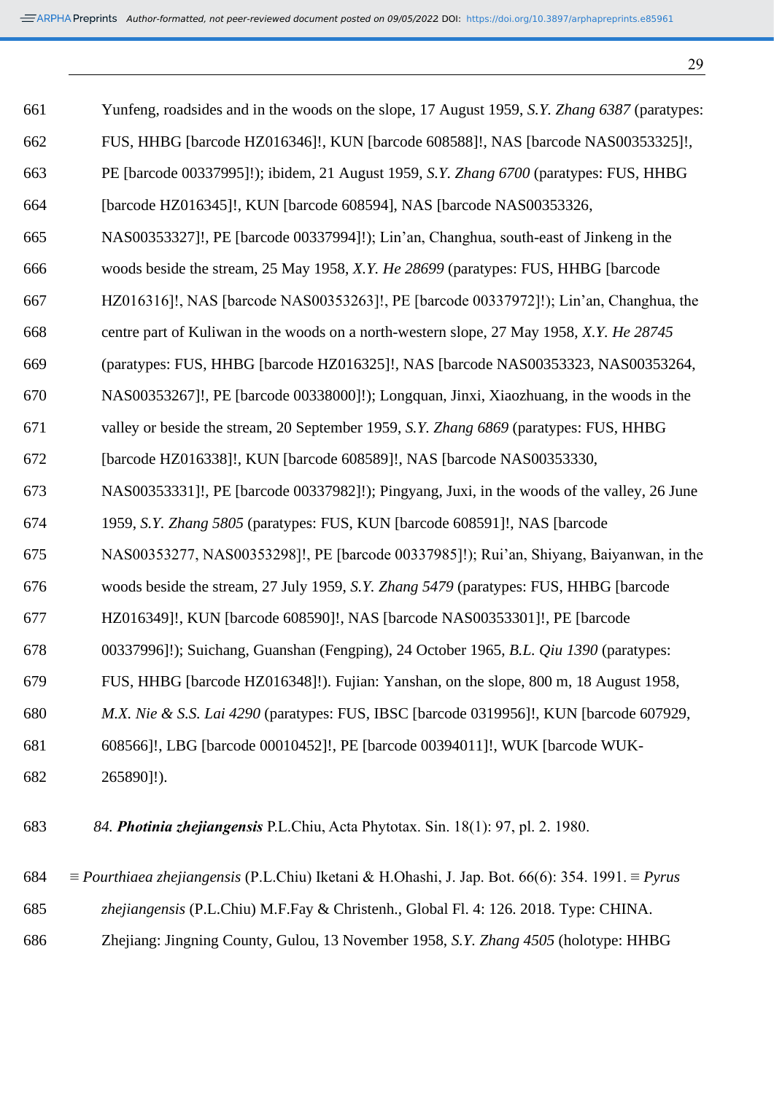| ۰. | I<br>I<br>ę<br>۰.<br>٠ |
|----|------------------------|

| 661 | Yunfeng, roadsides and in the woods on the slope, 17 August 1959, S.Y. Zhang 6387 (paratypes:                  |
|-----|----------------------------------------------------------------------------------------------------------------|
| 662 | FUS, HHBG [barcode HZ016346]!, KUN [barcode 608588]!, NAS [barcode NAS00353325]!,                              |
| 663 | PE [barcode 00337995]!); ibidem, 21 August 1959, S.Y. Zhang 6700 (paratypes: FUS, HHBG                         |
| 664 | [barcode HZ016345]!, KUN [barcode 608594], NAS [barcode NAS00353326,                                           |
| 665 | NAS00353327]!, PE [barcode 00337994]!); Lin'an, Changhua, south-east of Jinkeng in the                         |
| 666 | woods beside the stream, 25 May 1958, X.Y. He 28699 (paratypes: FUS, HHBG [barcode]                            |
| 667 | HZ016316]!, NAS [barcode NAS00353263]!, PE [barcode 00337972]!); Lin'an, Changhua, the                         |
| 668 | centre part of Kuliwan in the woods on a north-western slope, 27 May 1958, X.Y. He 28745                       |
| 669 | (paratypes: FUS, HHBG [barcode HZ016325]!, NAS [barcode NAS00353323, NAS00353264,                              |
| 670 | NAS00353267]!, PE [barcode 00338000]!); Longquan, Jinxi, Xiaozhuang, in the woods in the                       |
| 671 | valley or beside the stream, 20 September 1959, S.Y. Zhang 6869 (paratypes: FUS, HHBG                          |
| 672 | [barcode HZ016338]!, KUN [barcode 608589]!, NAS [barcode NAS00353330,                                          |
| 673 | NAS00353331]!, PE [barcode 00337982]!); Pingyang, Juxi, in the woods of the valley, 26 June                    |
| 674 | 1959, S.Y. Zhang 5805 (paratypes: FUS, KUN [barcode 608591]!, NAS [barcode]                                    |
| 675 | NAS00353277, NAS00353298]!, PE [barcode 00337985]!); Rui'an, Shiyang, Baiyanwan, in the                        |
| 676 | woods beside the stream, 27 July 1959, S.Y. Zhang 5479 (paratypes: FUS, HHBG [barcode]                         |
| 677 | HZ016349]!, KUN [barcode 608590]!, NAS [barcode NAS00353301]!, PE [barcode                                     |
| 678 | 00337996]!); Suichang, Guanshan (Fengping), 24 October 1965, B.L. Qiu 1390 (paratypes:                         |
| 679 | FUS, HHBG [barcode HZ016348]!). Fujian: Yanshan, on the slope, 800 m, 18 August 1958,                          |
| 680 | M.X. Nie & S.S. Lai 4290 (paratypes: FUS, IBSC [barcode 0319956]!, KUN [barcode 607929,                        |
| 681 | 608566]!, LBG [barcode 00010452]!, PE [barcode 00394011]!, WUK [barcode WUK-                                   |
| 682 | 265890]!).                                                                                                     |
| 683 | 84. Photinia zhejiangensis P.L.Chiu, Acta Phytotax. Sin. 18(1): 97, pl. 2. 1980.                               |
| 684 | $\equiv$ Pourthiaea zhejiangensis (P.L.Chiu) Iketani & H.Ohashi, J. Jap. Bot. 66(6): 354. 1991. $\equiv$ Pyrus |

- *zhejiangensis* (P.L.Chiu) M.F.Fay & Christenh., Global Fl. 4: 126. 2018. Type: CHINA.
- Zhejiang: Jingning County, Gulou, 13 November 1958, *S.Y. Zhang 4505* (holotype: HHBG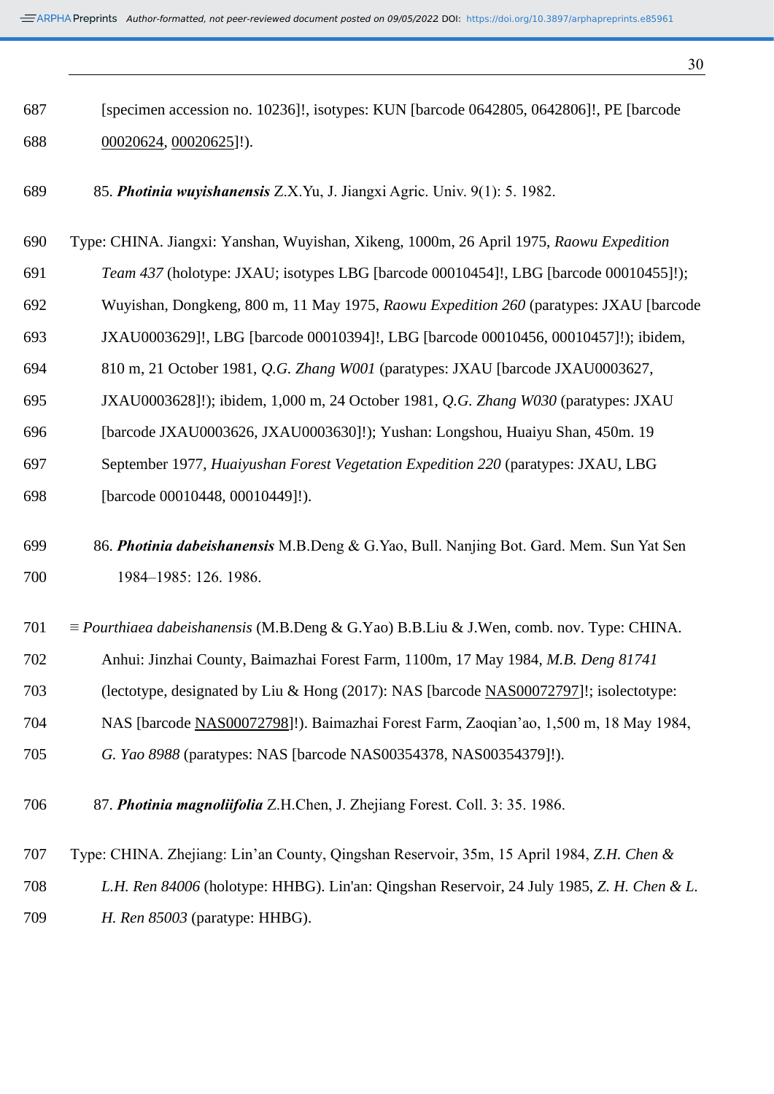| 687 | [specimen accession no. 10236]!, isotypes: KUN [barcode 0642805, 0642806]!, PE [barcode        |
|-----|------------------------------------------------------------------------------------------------|
| 688 | $00020624, 00020625$ ]!).                                                                      |
| 689 | 85. Photinia wuyishanensis Z.X.Yu, J. Jiangxi Agric. Univ. 9(1): 5. 1982.                      |
| 690 | Type: CHINA. Jiangxi: Yanshan, Wuyishan, Xikeng, 1000m, 26 April 1975, Raowu Expedition        |
| 691 | Team 437 (holotype: JXAU; isotypes LBG [barcode 00010454]!, LBG [barcode 00010455]!);          |
| 692 | Wuyishan, Dongkeng, 800 m, 11 May 1975, Raowu Expedition 260 (paratypes: JXAU [barcode]        |
| 693 | JXAU0003629]!, LBG [barcode 00010394]!, LBG [barcode 00010456, 00010457]!); ibidem,            |
| 694 | 810 m, 21 October 1981, Q.G. Zhang W001 (paratypes: JXAU [barcode JXAU0003627,                 |
| 695 | JXAU0003628]!); ibidem, 1,000 m, 24 October 1981, <i>Q.G. Zhang W030</i> (paratypes: JXAU      |
| 696 | [barcode JXAU0003626, JXAU0003630]!); Yushan: Longshou, Huaiyu Shan, 450m. 19                  |
| 697 | September 1977, Huaiyushan Forest Vegetation Expedition 220 (paratypes: JXAU, LBG              |
| 698 | [barcode 00010448, 00010449]!).                                                                |
| 699 | 86. Photinia dabeishanensis M.B.Deng & G.Yao, Bull. Nanjing Bot. Gard. Mem. Sun Yat Sen        |
| 700 | 1984-1985: 126. 1986.                                                                          |
| 701 | $\equiv$ Pourthiaea dabeishanensis (M.B.Deng & G.Yao) B.B.Liu & J.Wen, comb. nov. Type: CHINA. |
| 702 | Anhui: Jinzhai County, Baimazhai Forest Farm, 1100m, 17 May 1984, M.B. Deng 81741              |
| 703 | (lectotype, designated by Liu & Hong (2017): NAS [barcode NAS00072797]!; isolectotype:         |
| 704 | NAS [barcode NAS00072798]!). Baimazhai Forest Farm, Zaoqian'ao, 1,500 m, 18 May 1984,          |
| 705 | G. Yao 8988 (paratypes: NAS [barcode NAS00354378, NAS00354379]!).                              |
| 706 | 87. Photinia magnoliifolia Z.H.Chen, J. Zhejiang Forest. Coll. 3: 35. 1986.                    |
| 707 | Type: CHINA. Zhejiang: Lin'an County, Qingshan Reservoir, 35m, 15 April 1984, Z.H. Chen &      |
| 708 | L.H. Ren 84006 (holotype: HHBG). Lin'an: Qingshan Reservoir, 24 July 1985, Z. H. Chen & L.     |
| 709 | H. Ren 85003 (paratype: HHBG).                                                                 |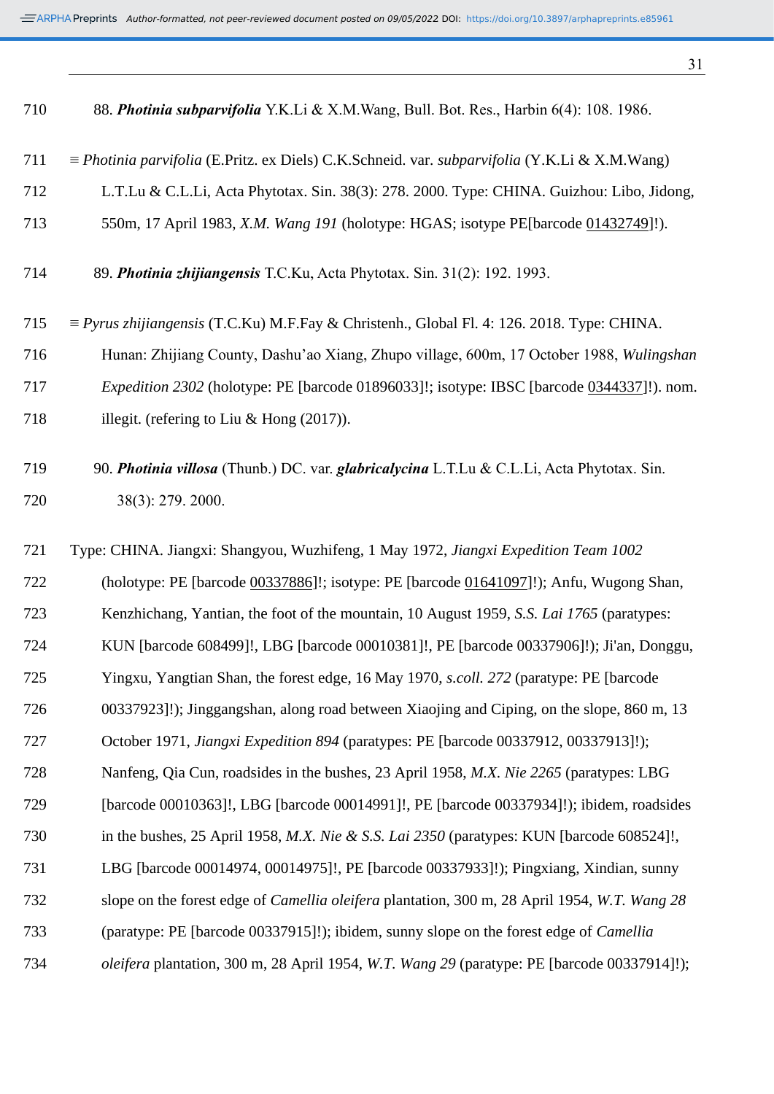|  | 710 |  |  | 88. Photinia subparvifolia Y.K.Li & X.M.Wang, Bull. Bot. Res., Harbin 6(4): 108. 1986. |
|--|-----|--|--|----------------------------------------------------------------------------------------|
|--|-----|--|--|----------------------------------------------------------------------------------------|

- ≡ *Photinia parvifolia* (E.Pritz. ex Diels) C.K.Schneid. var. *subparvifolia* (Y.K.Li & X.M.Wang)
- L.T.Lu & C.L.Li, Acta Phytotax. Sin. 38(3): 278. 2000. Type: CHINA. Guizhou: Libo, Jidong,
- 550m, 17 April 1983, *X.M. Wang 191* (holotype: HGAS; isotype PE[barcode [01432749\]](http://www.cvh.ac.cn/spm/PE/01432749)!).

| 714 | 89. Photinia zhijiangensis T.C.Ku, Acta Phytotax. Sin. 31(2): 192. 1993. |  |  |
|-----|--------------------------------------------------------------------------|--|--|
|     |                                                                          |  |  |

- ≡ *Pyrus zhijiangensis* (T.C.Ku) M.F.Fay & Christenh., Global Fl. 4: 126. 2018. Type: CHINA.
- Hunan: Zhijiang County, Dashu'ao Xiang, Zhupo village, 600m, 17 October 1988, *Wulingshan*
- *Expedition 2302* (holotype: PE [barcode 01896033]!; isotype: IBSC [barcode [0344337\]](http://www.cvh.ac.cn/cvh6/view/spms/info.php?id=c4123bd6)!). nom.
- 718 illegit. (refering to Liu & Hong (2017)).

 90. *Photinia villosa* (Thunb.) DC. var. *glabricalycina* L.T.Lu & C.L.Li, Acta Phytotax. Sin. 38(3): 279. 2000.

 Type: CHINA. Jiangxi: Shangyou, Wuzhifeng, 1 May 1972, *Jiangxi Expedition Team 1002* (holotype: PE [barcode [00337886\]](http://www.cvh.ac.cn/spm/PE/00337886)!; isotype: PE [barcode [01641097\]](http://www.cvh.ac.cn/spm/PE/01641097)!); Anfu, Wugong Shan, Kenzhichang, Yantian, the foot of the mountain, 10 August 1959, *S.S. Lai 1765* (paratypes: KUN [barcode 608499]!, LBG [barcode 00010381]!, PE [barcode 00337906]!); Ji'an, Donggu, Yingxu, Yangtian Shan, the forest edge, 16 May 1970, *s.coll. 272* (paratype: PE [barcode 00337923]!); Jinggangshan, along road between Xiaojing and Ciping, on the slope, 860 m, 13 October 1971, *Jiangxi Expedition 894* (paratypes: PE [barcode 00337912, 00337913]!); Nanfeng, Qia Cun, roadsides in the bushes, 23 April 1958, *M.X. Nie 2265* (paratypes: LBG [barcode 00010363]!, LBG [barcode 00014991]!, PE [barcode 00337934]!); ibidem, roadsides in the bushes, 25 April 1958, *M.X. Nie & S.S. Lai 2350* (paratypes: KUN [barcode 608524]!, LBG [barcode 00014974, 00014975]!, PE [barcode 00337933]!); Pingxiang, Xindian, sunny slope on the forest edge of *Camellia oleifera* plantation, 300 m, 28 April 1954, *W.T. Wang 28* (paratype: PE [barcode 00337915]!); ibidem, sunny slope on the forest edge of *Camellia oleifera* plantation, 300 m, 28 April 1954, *W.T. Wang 29* (paratype: PE [barcode 00337914]!);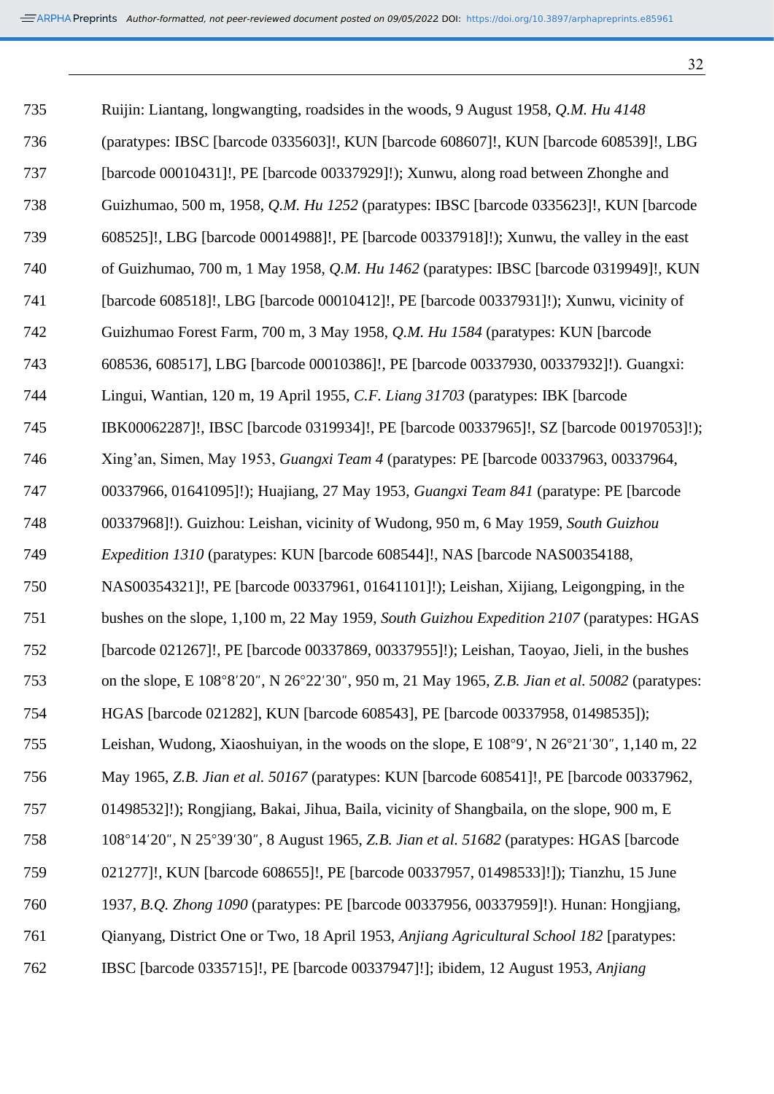| 735 | Ruijin: Liantang, longwangting, roadsides in the woods, 9 August 1958, Q.M. Hu 4148            |
|-----|------------------------------------------------------------------------------------------------|
| 736 | (paratypes: IBSC [barcode 0335603]!, KUN [barcode 608607]!, KUN [barcode 608539]!, LBG         |
| 737 | [barcode 00010431]!, PE [barcode 00337929]!); Xunwu, along road between Zhonghe and            |
| 738 | Guizhumao, 500 m, 1958, Q.M. Hu 1252 (paratypes: IBSC [barcode 0335623]!, KUN [barcode         |
| 739 | 608525]!, LBG [barcode 00014988]!, PE [barcode 00337918]!); Xunwu, the valley in the east      |
| 740 | of Guizhumao, 700 m, 1 May 1958, <i>Q.M. Hu 1462</i> (paratypes: IBSC [barcode 0319949]!, KUN  |
| 741 | [barcode 608518]!, LBG [barcode 00010412]!, PE [barcode 00337931]!); Xunwu, vicinity of        |
| 742 | Guizhumao Forest Farm, 700 m, 3 May 1958, Q.M. Hu 1584 (paratypes: KUN [barcode]               |
| 743 | 608536, 608517], LBG [barcode 00010386]!, PE [barcode 00337930, 00337932]!). Guangxi:          |
| 744 | Lingui, Wantian, 120 m, 19 April 1955, C.F. Liang 31703 (paratypes: IBK [barcode]              |
| 745 | IBK00062287]!, IBSC [barcode 0319934]!, PE [barcode 00337965]!, SZ [barcode 00197053]!);       |
| 746 | Xing'an, Simen, May 1953, Guangxi Team 4 (paratypes: PE [barcode 00337963, 00337964,           |
| 747 | 00337966, 01641095]!); Huajiang, 27 May 1953, Guangxi Team 841 (paratype: PE [barcode]         |
| 748 | 00337968]!). Guizhou: Leishan, vicinity of Wudong, 950 m, 6 May 1959, South Guizhou            |
| 749 | <i>Expedition 1310</i> (paratypes: KUN [barcode 608544]!, NAS [barcode NAS00354188,            |
| 750 | NAS00354321]!, PE [barcode 00337961, 01641101]!); Leishan, Xijiang, Leigongping, in the        |
| 751 | bushes on the slope, 1,100 m, 22 May 1959, South Guizhou Expedition 2107 (paratypes: HGAS      |
| 752 | [barcode 021267]!, PE [barcode 00337869, 00337955]!); Leishan, Taoyao, Jieli, in the bushes    |
| 753 | on the slope, E 108°8'20", N 26°22'30", 950 m, 21 May 1965, Z.B. Jian et al. 50082 (paratypes: |
| 754 | HGAS [barcode 021282], KUN [barcode 608543], PE [barcode 00337958, 01498535]);                 |
| 755 | Leishan, Wudong, Xiaoshuiyan, in the woods on the slope, E 108°9', N 26°21'30", 1,140 m, 22    |
| 756 | May 1965, Z.B. Jian et al. 50167 (paratypes: KUN [barcode 608541]!, PE [barcode 00337962,      |
| 757 | 01498532]!); Rongjiang, Bakai, Jihua, Baila, vicinity of Shangbaila, on the slope, 900 m, E    |
| 758 | 108°14'20", N 25°39'30", 8 August 1965, Z.B. Jian et al. 51682 (paratypes: HGAS [barcode]      |
| 759 | 021277]!, KUN [barcode 608655]!, PE [barcode 00337957, 01498533]!]); Tianzhu, 15 June          |
| 760 | 1937, B.Q. Zhong 1090 (paratypes: PE [barcode 00337956, 00337959]!). Hunan: Hongjiang,         |
| 761 | Qianyang, District One or Two, 18 April 1953, Anjiang Agricultural School 182 [paratypes:      |
| 762 | IBSC [barcode 0335715]!, PE [barcode 00337947]!]; ibidem, 12 August 1953, Anjiang              |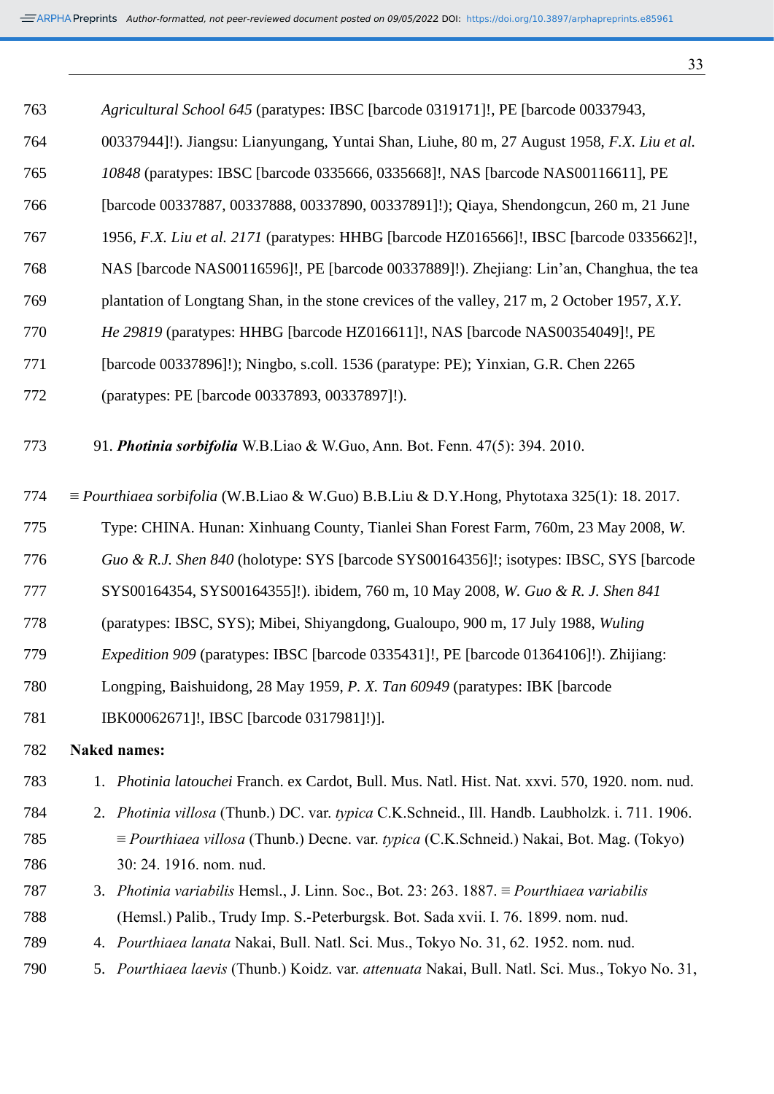| 763 | Agricultural School 645 (paratypes: IBSC [barcode 0319171]!, PE [barcode 00337943,                     |
|-----|--------------------------------------------------------------------------------------------------------|
| 764 | 00337944]!). Jiangsu: Lianyungang, Yuntai Shan, Liuhe, 80 m, 27 August 1958, F.X. Liu et al.           |
| 765 | 10848 (paratypes: IBSC [barcode 0335666, 0335668]!, NAS [barcode NAS00116611], PE                      |
| 766 | [barcode 00337887, 00337888, 00337890, 00337891]!); Qiaya, Shendongcun, 260 m, 21 June                 |
| 767 | 1956, F.X. Liu et al. 2171 (paratypes: HHBG [barcode HZ016566]!, IBSC [barcode 0335662]!,              |
| 768 | NAS [barcode NAS00116596]!, PE [barcode 00337889]!). Zhejiang: Lin'an, Changhua, the tea               |
| 769 | plantation of Longtang Shan, in the stone crevices of the valley, 217 m, 2 October 1957, X.Y.          |
| 770 | He 29819 (paratypes: HHBG [barcode HZ016611]!, NAS [barcode NAS00354049]!, PE                          |
| 771 | [barcode 00337896]!); Ningbo, s.coll. 1536 (paratype: PE); Yinxian, G.R. Chen 2265                     |
| 772 | (paratypes: PE [barcode 00337893, 00337897]!).                                                         |
| 773 | 91. Photinia sorbifolia W.B.Liao & W.Guo, Ann. Bot. Fenn. 47(5): 394. 2010.                            |
| 774 | $\equiv$ Pourthiaea sorbifolia (W.B.Liao & W.Guo) B.B.Liu & D.Y.Hong, Phytotaxa 325(1): 18. 2017.      |
| 775 | Type: CHINA. Hunan: Xinhuang County, Tianlei Shan Forest Farm, 760m, 23 May 2008, W.                   |
| 776 | Guo & R.J. Shen 840 (holotype: SYS [barcode SYS00164356]!; isotypes: IBSC, SYS [barcode                |
| 777 | SYS00164354, SYS00164355]!). ibidem, 760 m, 10 May 2008, W. Guo & R. J. Shen 841                       |
| 778 | (paratypes: IBSC, SYS); Mibei, Shiyangdong, Gualoupo, 900 m, 17 July 1988, Wuling                      |
| 779 | Expedition 909 (paratypes: IBSC [barcode 0335431]!, PE [barcode 01364106]!). Zhijiang:                 |
| 780 | Longping, Baishuidong, 28 May 1959, P. X. Tan 60949 (paratypes: IBK [barcode                           |
| 781 | IBK00062671]!, IBSC [barcode 0317981]!)].                                                              |
| 782 | <b>Naked names:</b>                                                                                    |
| 783 | 1. Photinia latouchei Franch. ex Cardot, Bull. Mus. Natl. Hist. Nat. xxvi. 570, 1920. nom. nud.        |
| 784 | 2. Photinia villosa (Thunb.) DC. var. typica C.K.Schneid., Ill. Handb. Laubholzk. i. 711. 1906.        |
| 785 | $\equiv$ <i>Pourthiaea villosa</i> (Thunb.) Decne. var. typica (C.K.Schneid.) Nakai, Bot. Mag. (Tokyo) |
| 786 | 30: 24. 1916. nom. nud.                                                                                |
| 787 | 3. Photinia variabilis Hemsl., J. Linn. Soc., Bot. 23: 263. 1887. $\equiv$ Pourthiaea variabilis       |
| 788 | (Hemsl.) Palib., Trudy Imp. S.-Peterburgsk. Bot. Sada xvii. I. 76. 1899. nom. nud.                     |
| 789 | 4. Pourthiaea lanata Nakai, Bull. Natl. Sci. Mus., Tokyo No. 31, 62. 1952. nom. nud.                   |
| 790 | 5. Pourthiaea laevis (Thunb.) Koidz. var. attenuata Nakai, Bull. Natl. Sci. Mus., Tokyo No. 31,        |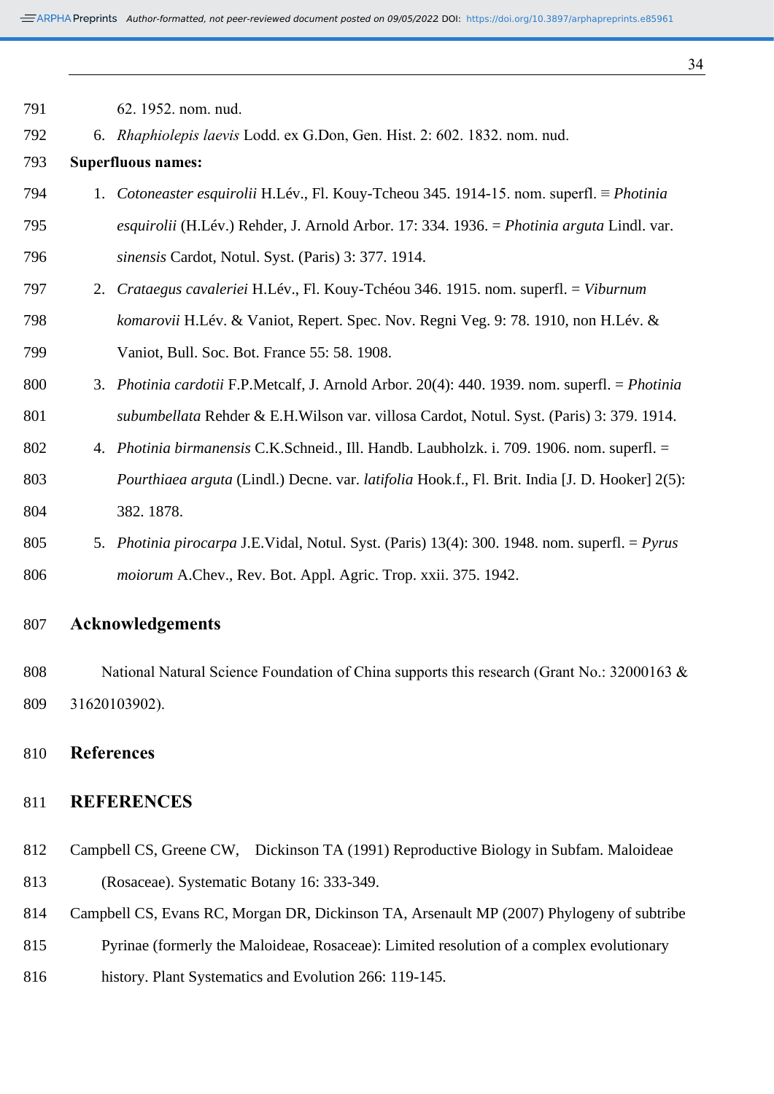*Author-formatted, not peer-reviewed document posted on 09/05/2022*. DOI: https://doi.org/10.3897/arphapreprints.e85961

| 792 | 6. Rhaphiolepis laevis Lodd. ex G.Don, Gen. Hist. 2: 602. 1832. nom. nud.                      |
|-----|------------------------------------------------------------------------------------------------|
| 793 | <b>Superfluous names:</b>                                                                      |
| 794 | 1. Cotoneaster esquirolii H.Lév., Fl. Kouy-Tcheou 345. 1914-15. nom. superfl. ≡ Photinia       |
| 795 | esquirolii (H.Lév.) Rehder, J. Arnold Arbor. 17: 334. 1936. = Photinia arguta Lindl. var.      |
| 796 | sinensis Cardot, Notul. Syst. (Paris) 3: 377. 1914.                                            |
| 797 | 2. Crataegus cavaleriei H.Lév., Fl. Kouy-Tchéou 346. 1915. nom. superfl. = Viburnum            |
| 798 | komarovii H.Lév. & Vaniot, Repert. Spec. Nov. Regni Veg. 9: 78. 1910, non H.Lév. &             |
| 799 | Vaniot, Bull. Soc. Bot. France 55: 58. 1908.                                                   |
| 800 | 3. Photinia cardotii F.P.Metcalf, J. Arnold Arbor. 20(4): 440. 1939. nom. superfl. = Photinia  |
| 801 | subumbellata Rehder & E.H. Wilson var. villosa Cardot, Notul. Syst. (Paris) 3: 379. 1914.      |
| 802 | 4. Photinia birmanensis C.K.Schneid., Ill. Handb. Laubholzk. i. 709. 1906. nom. superfl. =     |
| 803 | Pourthiaea arguta (Lindl.) Decne. var. latifolia Hook.f., Fl. Brit. India [J. D. Hooker] 2(5): |
| 804 | 382.1878.                                                                                      |
| 805 | 5. Photinia pirocarpa J.E.Vidal, Notul. Syst. (Paris) 13(4): 300. 1948. nom. superfl. = Pyrus  |
| 806 | moiorum A.Chev., Rev. Bot. Appl. Agric. Trop. xxii. 375. 1942.                                 |
|     |                                                                                                |

# **Acknowledgements**

62. 1952. nom. nud.

808 National Natural Science Foundation of China supports this research (Grant No.: 32000163 & 31620103902).

**References**

## **REFERENCES**

- Campbell CS, Greene CW, Dickinson TA (1991) Reproductive Biology in Subfam. Maloideae (Rosaceae). Systematic Botany 16: 333-349.
- Campbell CS, Evans RC, Morgan DR, Dickinson TA, Arsenault MP (2007) Phylogeny of subtribe
- Pyrinae (formerly the Maloideae, Rosaceae): Limited resolution of a complex evolutionary
- history. Plant Systematics and Evolution 266: 119-145.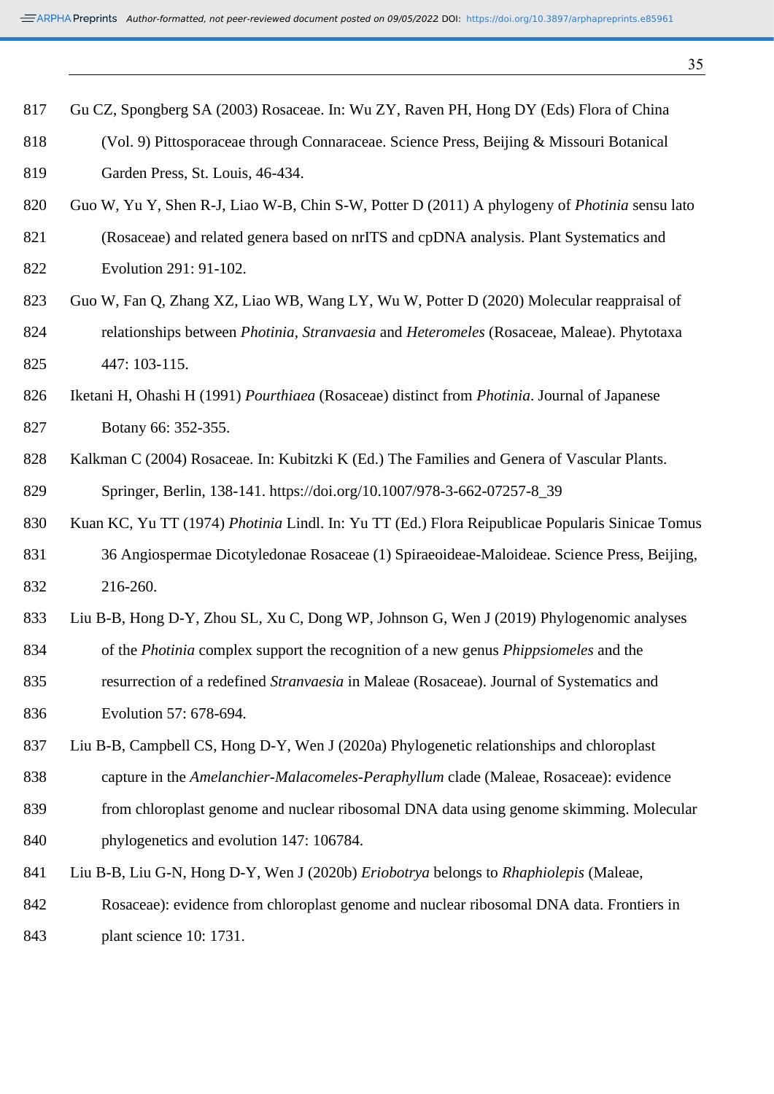|  | 817 Gu CZ, Spongberg SA (2003) Rosaceae. In: Wu ZY, Raven PH, Hong DY (Eds) Flora of China |  |  |  |  |  |  |
|--|--------------------------------------------------------------------------------------------|--|--|--|--|--|--|
|  |                                                                                            |  |  |  |  |  |  |

- (Vol. 9) Pittosporaceae through Connaraceae. Science Press, Beijing & Missouri Botanical
- Garden Press, St. Louis, 46-434.
- Guo W, Yu Y, Shen R-J, Liao W-B, Chin S-W, Potter D (2011) A phylogeny of *Photinia* sensu lato
- (Rosaceae) and related genera based on nrITS and cpDNA analysis. Plant Systematics and Evolution 291: 91-102.
- Guo W, Fan Q, Zhang XZ, Liao WB, Wang LY, Wu W, Potter D (2020) Molecular reappraisal of relationships between *Photinia*, *Stranvaesia* and *Heteromeles* (Rosaceae, Maleae). Phytotaxa 447: 103-115.
- Iketani H, Ohashi H (1991) *Pourthiaea* (Rosaceae) distinct from *Photinia*. Journal of Japanese Botany 66: 352-355.
- 828 Kalkman C (2004) Rosaceae. In: Kubitzki K (Ed.) The Families and Genera of Vascular Plants. Springer, Berlin, 138-141. https://doi.org/10.1007/978-3-662-07257-8\_39
- Kuan KC, Yu TT (1974) *Photinia* Lindl. In: Yu TT (Ed.) Flora Reipublicae Popularis Sinicae Tomus 36 Angiospermae Dicotyledonae Rosaceae (1) Spiraeoideae-Maloideae. Science Press, Beijing, 216-260.
- Liu B-B, Hong D-Y, Zhou SL, Xu C, Dong WP, Johnson G, Wen J (2019) Phylogenomic analyses
- of the *Photinia* complex support the recognition of a new genus *Phippsiomeles* and the
- resurrection of a redefined *Stranvaesia* in Maleae (Rosaceae). Journal of Systematics and Evolution 57: 678-694.
- Liu B-B, Campbell CS, Hong D-Y, Wen J (2020a) Phylogenetic relationships and chloroplast
- capture in the *Amelanchier-Malacomeles-Peraphyllum* clade (Maleae, Rosaceae): evidence
- from chloroplast genome and nuclear ribosomal DNA data using genome skimming. Molecular phylogenetics and evolution 147: 106784.
- Liu B-B, Liu G-N, Hong D-Y, Wen J (2020b) *Eriobotrya* belongs to *Rhaphiolepis* (Maleae,
- Rosaceae): evidence from chloroplast genome and nuclear ribosomal DNA data. Frontiers in
- plant science 10: 1731.